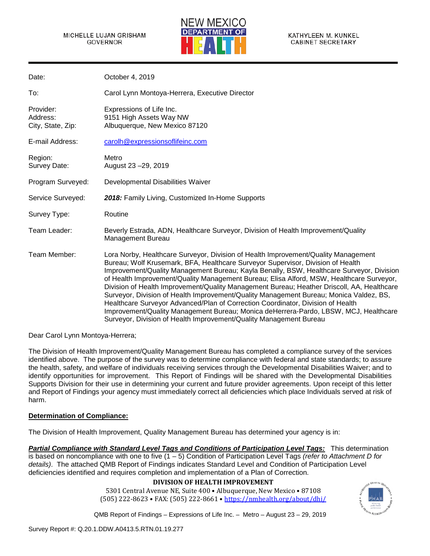#### MICHELLE LUJAN GRISHAM GOVERNOR



| Date:                                      | October 4, 2019                                                                                                                                                                                                                                                                                                                                                                                                                                                                                                                                                                                                                                                                                                                                                                                        |
|--------------------------------------------|--------------------------------------------------------------------------------------------------------------------------------------------------------------------------------------------------------------------------------------------------------------------------------------------------------------------------------------------------------------------------------------------------------------------------------------------------------------------------------------------------------------------------------------------------------------------------------------------------------------------------------------------------------------------------------------------------------------------------------------------------------------------------------------------------------|
| To:                                        | Carol Lynn Montoya-Herrera, Executive Director                                                                                                                                                                                                                                                                                                                                                                                                                                                                                                                                                                                                                                                                                                                                                         |
| Provider:<br>Address:<br>City, State, Zip: | Expressions of Life Inc.<br>9151 High Assets Way NW<br>Albuquerque, New Mexico 87120                                                                                                                                                                                                                                                                                                                                                                                                                                                                                                                                                                                                                                                                                                                   |
| E-mail Address:                            | carolh@expressionsoflifeinc.com                                                                                                                                                                                                                                                                                                                                                                                                                                                                                                                                                                                                                                                                                                                                                                        |
| Region:<br>Survey Date:                    | Metro<br>August 23 - 29, 2019                                                                                                                                                                                                                                                                                                                                                                                                                                                                                                                                                                                                                                                                                                                                                                          |
| Program Surveyed:                          | Developmental Disabilities Waiver                                                                                                                                                                                                                                                                                                                                                                                                                                                                                                                                                                                                                                                                                                                                                                      |
| Service Surveyed:                          | 2018: Family Living, Customized In-Home Supports                                                                                                                                                                                                                                                                                                                                                                                                                                                                                                                                                                                                                                                                                                                                                       |
| Survey Type:                               | Routine                                                                                                                                                                                                                                                                                                                                                                                                                                                                                                                                                                                                                                                                                                                                                                                                |
| Team Leader:                               | Beverly Estrada, ADN, Healthcare Surveyor, Division of Health Improvement/Quality<br><b>Management Bureau</b>                                                                                                                                                                                                                                                                                                                                                                                                                                                                                                                                                                                                                                                                                          |
| Team Member:                               | Lora Norby, Healthcare Surveyor, Division of Health Improvement/Quality Management<br>Bureau; Wolf Krusemark, BFA, Healthcare Surveyor Supervisor, Division of Health<br>Improvement/Quality Management Bureau; Kayla Benally, BSW, Healthcare Surveyor, Division<br>of Health Improvement/Quality Management Bureau; Elisa Alford, MSW, Healthcare Surveyor,<br>Division of Health Improvement/Quality Management Bureau; Heather Driscoll, AA, Healthcare<br>Surveyor, Division of Health Improvement/Quality Management Bureau; Monica Valdez, BS,<br>Healthcare Surveyor Advanced/Plan of Correction Coordinator, Division of Health<br>Improvement/Quality Management Bureau; Monica deHerrera-Pardo, LBSW, MCJ, Healthcare<br>Surveyor, Division of Health Improvement/Quality Management Bureau |

Dear Carol Lynn Montoya-Herrera;

The Division of Health Improvement/Quality Management Bureau has completed a compliance survey of the services identified above. The purpose of the survey was to determine compliance with federal and state standards; to assure the health, safety, and welfare of individuals receiving services through the Developmental Disabilities Waiver; and to identify opportunities for improvement. This Report of Findings will be shared with the Developmental Disabilities Supports Division for their use in determining your current and future provider agreements. Upon receipt of this letter and Report of Findings your agency must immediately correct all deficiencies which place Individuals served at risk of harm.

## **Determination of Compliance:**

The Division of Health Improvement, Quality Management Bureau has determined your agency is in:

*Partial Compliance with Standard Level Tags and Conditions of Participation Level Tags:* This determination is based on noncompliance with one to five (1 – 5) Condition of Participation Level Tags *(refer to Attachment D for details)*. The attached QMB Report of Findings indicates Standard Level and Condition of Participation Level deficiencies identified and requires completion and implementation of a Plan of Correction.

## **DIVISION OF HEALTH IMPROVEMENT**

5301 Central Avenue NE, Suite 400 • Albuquerque, New Mexico • 87108 (505) 222-8623 • FAX: (505) 222-8661 [• https://nmhealth.org/about/dhi/](https://nmhealth.org/about/dhi/)

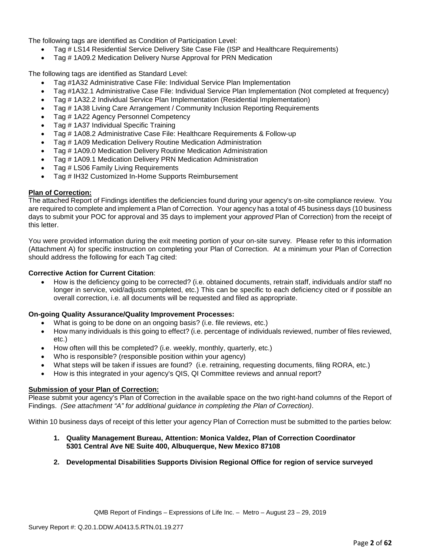The following tags are identified as Condition of Participation Level:

- Tag # LS14 Residential Service Delivery Site Case File (ISP and Healthcare Requirements)
- Tag # 1A09.2 Medication Delivery Nurse Approval for PRN Medication

The following tags are identified as Standard Level:

- Tag #1A32 Administrative Case File: Individual Service Plan Implementation
- Tag #1A32.1 Administrative Case File: Individual Service Plan Implementation (Not completed at frequency)
- Tag # 1A32.2 Individual Service Plan Implementation (Residential Implementation)
- Tag # 1A38 Living Care Arrangement / Community Inclusion Reporting Requirements
- Tag # 1A22 Agency Personnel Competency
- Tag # 1A37 Individual Specific Training
- Tag # 1A08.2 Administrative Case File: Healthcare Requirements & Follow-up
- Tag # 1A09 Medication Delivery Routine Medication Administration
- Tag # 1A09.0 Medication Delivery Routine Medication Administration
- Tag # 1A09.1 Medication Delivery PRN Medication Administration
- Tag # LS06 Family Living Requirements
- Tag # IH32 Customized In-Home Supports Reimbursement

#### **Plan of Correction:**

The attached Report of Findings identifies the deficiencies found during your agency's on-site compliance review. You are required to complete and implement a Plan of Correction. Your agency has a total of 45 business days (10 business days to submit your POC for approval and 35 days to implement your *approved* Plan of Correction) from the receipt of this letter.

You were provided information during the exit meeting portion of your on-site survey. Please refer to this information (Attachment A) for specific instruction on completing your Plan of Correction. At a minimum your Plan of Correction should address the following for each Tag cited:

## **Corrective Action for Current Citation**:

• How is the deficiency going to be corrected? (i.e. obtained documents, retrain staff, individuals and/or staff no longer in service, void/adjusts completed, etc.) This can be specific to each deficiency cited or if possible an overall correction, i.e. all documents will be requested and filed as appropriate.

#### **On-going Quality Assurance/Quality Improvement Processes:**

- What is going to be done on an ongoing basis? (i.e. file reviews, etc.)
- How many individuals is this going to effect? (i.e. percentage of individuals reviewed, number of files reviewed, etc.)
- How often will this be completed? (i.e. weekly, monthly, quarterly, etc.)
- Who is responsible? (responsible position within your agency)
- What steps will be taken if issues are found? (i.e. retraining, requesting documents, filing RORA, etc.)
- How is this integrated in your agency's QIS, QI Committee reviews and annual report?

## **Submission of your Plan of Correction:**

Please submit your agency's Plan of Correction in the available space on the two right-hand columns of the Report of Findings. *(See attachment "A" for additional guidance in completing the Plan of Correction)*.

Within 10 business days of receipt of this letter your agency Plan of Correction must be submitted to the parties below:

- **1. Quality Management Bureau, Attention: Monica Valdez, Plan of Correction Coordinator 5301 Central Ave NE Suite 400, Albuquerque, New Mexico 87108**
- **2. Developmental Disabilities Supports Division Regional Office for region of service surveyed**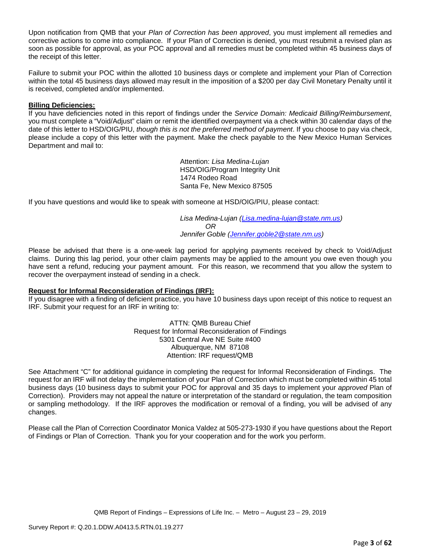Upon notification from QMB that your *Plan of Correction has been approved*, you must implement all remedies and corrective actions to come into compliance. If your Plan of Correction is denied, you must resubmit a revised plan as soon as possible for approval, as your POC approval and all remedies must be completed within 45 business days of the receipt of this letter.

Failure to submit your POC within the allotted 10 business days or complete and implement your Plan of Correction within the total 45 business days allowed may result in the imposition of a \$200 per day Civil Monetary Penalty until it is received, completed and/or implemented.

## **Billing Deficiencies:**

If you have deficiencies noted in this report of findings under the *Service Domain: Medicaid Billing/Reimbursement*, you must complete a "Void/Adjust" claim or remit the identified overpayment via a check within 30 calendar days of the date of this letter to HSD/OIG/PIU, *though this is not the preferred method of payment*. If you choose to pay via check, please include a copy of this letter with the payment. Make the check payable to the New Mexico Human Services Department and mail to:

> Attention: *Lisa Medina-Lujan* HSD/OIG/Program Integrity Unit 1474 Rodeo Road Santa Fe, New Mexico 87505

If you have questions and would like to speak with someone at HSD/OIG/PIU, please contact:

*Lisa Medina-Lujan [\(Lisa.medina-lujan@state.nm.us\)](mailto:Lisa.medina-lujan@state.nm.us) OR Jennifer Goble [\(Jennifer.goble2@state.nm.us\)](mailto:Jennifer.goble2@state.nm.us)*

Please be advised that there is a one-week lag period for applying payments received by check to Void/Adjust claims. During this lag period, your other claim payments may be applied to the amount you owe even though you have sent a refund, reducing your payment amount. For this reason, we recommend that you allow the system to recover the overpayment instead of sending in a check.

#### **Request for Informal Reconsideration of Findings (IRF):**

If you disagree with a finding of deficient practice, you have 10 business days upon receipt of this notice to request an IRF. Submit your request for an IRF in writing to:

> ATTN: QMB Bureau Chief Request for Informal Reconsideration of Findings 5301 Central Ave NE Suite #400 Albuquerque, NM 87108 Attention: IRF request/QMB

See Attachment "C" for additional guidance in completing the request for Informal Reconsideration of Findings. The request for an IRF will not delay the implementation of your Plan of Correction which must be completed within 45 total business days (10 business days to submit your POC for approval and 35 days to implement your *approved* Plan of Correction). Providers may not appeal the nature or interpretation of the standard or regulation, the team composition or sampling methodology. If the IRF approves the modification or removal of a finding, you will be advised of any changes.

Please call the Plan of Correction Coordinator Monica Valdez at 505-273-1930 if you have questions about the Report of Findings or Plan of Correction. Thank you for your cooperation and for the work you perform.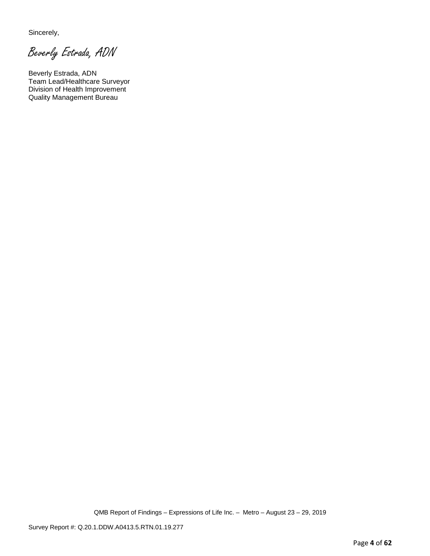Sincerely,

Beverly Estrada, ADN

Beverly Estrada, ADN Team Lead/Healthcare Surveyor Division of Health Improvement Quality Management Bureau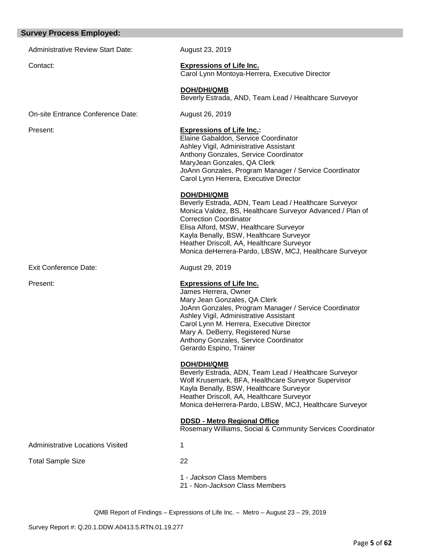#### **Survey Process Employed:**

Administrative Review Start Date: August 23, 2019

#### Contact: **Expressions of Life Inc.**

Carol Lynn Montoya-Herrera, Executive Director

Elaine Gabaldon, Service Coordinator Ashley Vigil, Administrative Assistant Anthony Gonzales, Service Coordinator

Carol Lynn Herrera, Executive Director

Elisa Alford, MSW, Healthcare Surveyor Kayla Benally, BSW, Healthcare Surveyor Heather Driscoll, AA, Healthcare Surveyor

MaryJean Gonzales, QA Clerk

 **DOH/DHI/QMB**

Correction Coordinator

James Herrera, Owner

Gerardo Espino, Trainer

 **DOH/DHI/QMB**

Mary Jean Gonzales, QA Clerk

Ashley Vigil, Administrative Assistant Carol Lynn M. Herrera, Executive Director Mary A. DeBerry, Registered Nurse Anthony Gonzales, Service Coordinator

Kayla Benally, BSW, Healthcare Surveyor Heather Driscoll, AA, Healthcare Surveyor

 **DOH/DHI/QMB** Beverly Estrada, AND, Team Lead / Healthcare Surveyor

JoAnn Gonzales, Program Manager / Service Coordinator

Beverly Estrada, ADN, Team Lead / Healthcare Surveyor Monica Valdez, BS, Healthcare Surveyor Advanced / Plan of

Monica deHerrera-Pardo, LBSW, MCJ, Healthcare Surveyor

JoAnn Gonzales, Program Manager / Service Coordinator

Beverly Estrada, ADN, Team Lead / Healthcare Surveyor Wolf Krusemark, BFA, Healthcare Surveyor Supervisor

Monica deHerrera-Pardo, LBSW, MCJ, Healthcare Surveyor

Rosemary Williams, Social & Community Services Coordinator

On-site Entrance Conference Date: August 26, 2019

Present: **Expressions of Life Inc.:**

Exit Conference Date: August 29, 2019

Present: **Expressions of Life Inc.**

Administrative Locations Visited 1

Total Sample Size 22

1 - *Jackson* Class Members

21 - Non-*Jackson* Class Members

 **DDSD - Metro Regional Office**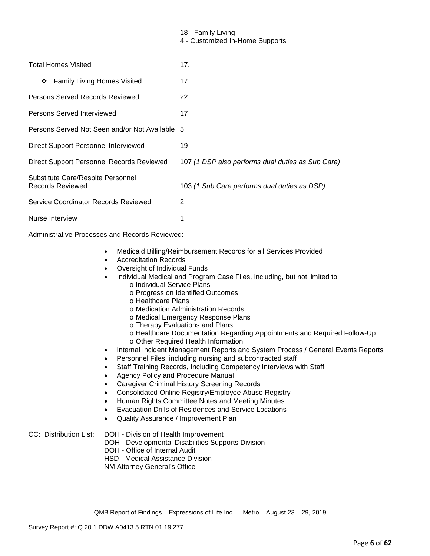## 18 - Family Living

4 - Customized In-Home Supports

| <b>Total Homes Visited</b>                            | 17.                                               |
|-------------------------------------------------------|---------------------------------------------------|
| <b>Family Living Homes Visited</b><br>❖               | 17                                                |
| Persons Served Records Reviewed                       | 22                                                |
| Persons Served Interviewed                            | 17                                                |
| Persons Served Not Seen and/or Not Available 5        |                                                   |
| Direct Support Personnel Interviewed                  | 19                                                |
| Direct Support Personnel Records Reviewed             | 107 (1 DSP also performs dual duties as Sub Care) |
| Substitute Care/Respite Personnel<br>Records Reviewed | 103 (1 Sub Care performs dual duties as DSP)      |
| Service Coordinator Records Reviewed                  | 2                                                 |
| Nurse Interview                                       |                                                   |

Administrative Processes and Records Reviewed:

- Medicaid Billing/Reimbursement Records for all Services Provided
- Accreditation Records
- Oversight of Individual Funds
- Individual Medical and Program Case Files, including, but not limited to:
	- o Individual Service Plans
		- o Progress on Identified Outcomes
		- o Healthcare Plans
		- o Medication Administration Records
		- o Medical Emergency Response Plans
		- o Therapy Evaluations and Plans
		- o Healthcare Documentation Regarding Appointments and Required Follow-Up
		- o Other Required Health Information
- Internal Incident Management Reports and System Process / General Events Reports
- Personnel Files, including nursing and subcontracted staff
- Staff Training Records, Including Competency Interviews with Staff
- Agency Policy and Procedure Manual
- Caregiver Criminal History Screening Records
- Consolidated Online Registry/Employee Abuse Registry
- Human Rights Committee Notes and Meeting Minutes
- Evacuation Drills of Residences and Service Locations
- Quality Assurance / Improvement Plan

### CC: Distribution List: DOH - Division of Health Improvement

- DOH Developmental Disabilities Supports Division
- DOH Office of Internal Audit
- HSD Medical Assistance Division
- NM Attorney General's Office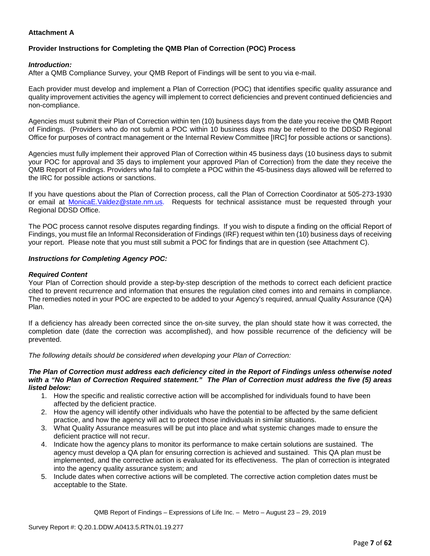## **Attachment A**

# **Provider Instructions for Completing the QMB Plan of Correction (POC) Process**

## *Introduction:*

After a QMB Compliance Survey, your QMB Report of Findings will be sent to you via e-mail.

Each provider must develop and implement a Plan of Correction (POC) that identifies specific quality assurance and quality improvement activities the agency will implement to correct deficiencies and prevent continued deficiencies and non-compliance.

Agencies must submit their Plan of Correction within ten (10) business days from the date you receive the QMB Report of Findings. (Providers who do not submit a POC within 10 business days may be referred to the DDSD Regional Office for purposes of contract management or the Internal Review Committee [IRC] for possible actions or sanctions).

Agencies must fully implement their approved Plan of Correction within 45 business days (10 business days to submit your POC for approval and 35 days to implement your approved Plan of Correction) from the date they receive the QMB Report of Findings. Providers who fail to complete a POC within the 45-business days allowed will be referred to the IRC for possible actions or sanctions.

If you have questions about the Plan of Correction process, call the Plan of Correction Coordinator at 505-273-1930 or email at [MonicaE.Valdez@state.nm.us.](mailto:MonicaE.Valdez@state.nm.us) Requests for technical assistance must be requested through your Regional DDSD Office.

The POC process cannot resolve disputes regarding findings. If you wish to dispute a finding on the official Report of Findings, you must file an Informal Reconsideration of Findings (IRF) request within ten (10) business days of receiving your report. Please note that you must still submit a POC for findings that are in question (see Attachment C).

#### *Instructions for Completing Agency POC:*

### *Required Content*

Your Plan of Correction should provide a step-by-step description of the methods to correct each deficient practice cited to prevent recurrence and information that ensures the regulation cited comes into and remains in compliance. The remedies noted in your POC are expected to be added to your Agency's required, annual Quality Assurance (QA) Plan.

If a deficiency has already been corrected since the on-site survey, the plan should state how it was corrected, the completion date (date the correction was accomplished), and how possible recurrence of the deficiency will be prevented.

*The following details should be considered when developing your Plan of Correction:*

#### *The Plan of Correction must address each deficiency cited in the Report of Findings unless otherwise noted with a "No Plan of Correction Required statement." The Plan of Correction must address the five (5) areas listed below:*

- 1. How the specific and realistic corrective action will be accomplished for individuals found to have been affected by the deficient practice.
- 2. How the agency will identify other individuals who have the potential to be affected by the same deficient practice, and how the agency will act to protect those individuals in similar situations.
- 3. What Quality Assurance measures will be put into place and what systemic changes made to ensure the deficient practice will not recur.
- 4. Indicate how the agency plans to monitor its performance to make certain solutions are sustained. The agency must develop a QA plan for ensuring correction is achieved and sustained. This QA plan must be implemented, and the corrective action is evaluated for its effectiveness. The plan of correction is integrated into the agency quality assurance system; and
- 5. Include dates when corrective actions will be completed. The corrective action completion dates must be acceptable to the State.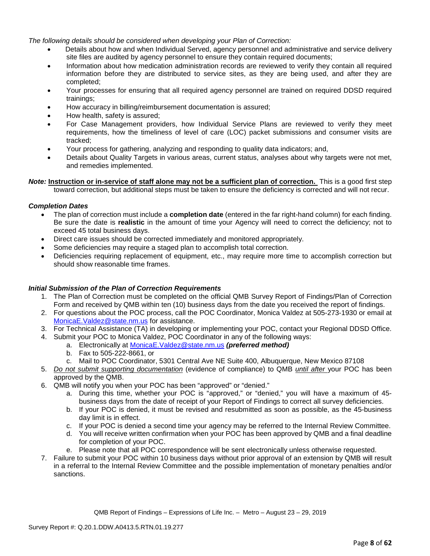*The following details should be considered when developing your Plan of Correction:*

- Details about how and when Individual Served, agency personnel and administrative and service delivery site files are audited by agency personnel to ensure they contain required documents;
- Information about how medication administration records are reviewed to verify they contain all required information before they are distributed to service sites, as they are being used, and after they are completed;
- Your processes for ensuring that all required agency personnel are trained on required DDSD required trainings;
- How accuracy in billing/reimbursement documentation is assured;
- How health, safety is assured;
- For Case Management providers, how Individual Service Plans are reviewed to verify they meet requirements, how the timeliness of level of care (LOC) packet submissions and consumer visits are tracked;
- Your process for gathering, analyzing and responding to quality data indicators; and,
- Details about Quality Targets in various areas, current status, analyses about why targets were not met, and remedies implemented.

*Note:* **Instruction or in-service of staff alone may not be a sufficient plan of correction.** This is a good first step toward correction, but additional steps must be taken to ensure the deficiency is corrected and will not recur.

#### *Completion Dates*

- The plan of correction must include a **completion date** (entered in the far right-hand column) for each finding. Be sure the date is **realistic** in the amount of time your Agency will need to correct the deficiency; not to exceed 45 total business days.
- Direct care issues should be corrected immediately and monitored appropriately.
- Some deficiencies may require a staged plan to accomplish total correction.
- Deficiencies requiring replacement of equipment, etc., may require more time to accomplish correction but should show reasonable time frames.

#### *Initial Submission of the Plan of Correction Requirements*

- 1. The Plan of Correction must be completed on the official QMB Survey Report of Findings/Plan of Correction Form and received by QMB within ten (10) business days from the date you received the report of findings.
- 2. For questions about the POC process, call the POC Coordinator, Monica Valdez at 505-273-1930 or email at [MonicaE.Valdez@state.nm.us](mailto:MonicaE.Valdez@state.nm.us) for assistance.
- 3. For Technical Assistance (TA) in developing or implementing your POC, contact your Regional DDSD Office.
- 4. Submit your POC to Monica Valdez, POC Coordinator in any of the following ways:
	- a. Electronically at [MonicaE.Valdez@state.nm.us](mailto:MonicaE.Valdez@state.nm.us) *(preferred method)*
		- b. Fax to 505-222-8661, or
		- c. Mail to POC Coordinator, 5301 Central Ave NE Suite 400, Albuquerque, New Mexico 87108
- 5. *Do not submit supporting documentation* (evidence of compliance) to QMB *until after* your POC has been approved by the QMB.
- 6. QMB will notify you when your POC has been "approved" or "denied."
	- a. During this time, whether your POC is "approved," or "denied," you will have a maximum of 45 business days from the date of receipt of your Report of Findings to correct all survey deficiencies.
	- b. If your POC is denied, it must be revised and resubmitted as soon as possible, as the 45-business day limit is in effect.
	- c. If your POC is denied a second time your agency may be referred to the Internal Review Committee.
	- d. You will receive written confirmation when your POC has been approved by QMB and a final deadline for completion of your POC.
	- e. Please note that all POC correspondence will be sent electronically unless otherwise requested.
- 7. Failure to submit your POC within 10 business days without prior approval of an extension by QMB will result in a referral to the Internal Review Committee and the possible implementation of monetary penalties and/or sanctions.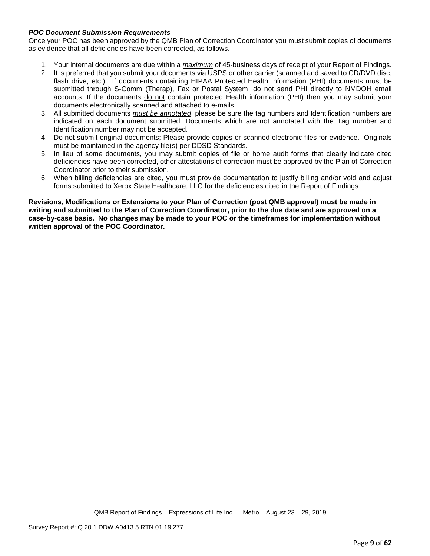## *POC Document Submission Requirements*

Once your POC has been approved by the QMB Plan of Correction Coordinator you must submit copies of documents as evidence that all deficiencies have been corrected, as follows.

- 1. Your internal documents are due within a *maximum* of 45-business days of receipt of your Report of Findings.
- 2. It is preferred that you submit your documents via USPS or other carrier (scanned and saved to CD/DVD disc, flash drive, etc.). If documents containing HIPAA Protected Health Information (PHI) documents must be submitted through S-Comm (Therap), Fax or Postal System, do not send PHI directly to NMDOH email accounts. If the documents do not contain protected Health information (PHI) then you may submit your documents electronically scanned and attached to e-mails.
- 3. All submitted documents *must be annotated*; please be sure the tag numbers and Identification numbers are indicated on each document submitted. Documents which are not annotated with the Tag number and Identification number may not be accepted.
- 4. Do not submit original documents; Please provide copies or scanned electronic files for evidence. Originals must be maintained in the agency file(s) per DDSD Standards.
- 5. In lieu of some documents, you may submit copies of file or home audit forms that clearly indicate cited deficiencies have been corrected, other attestations of correction must be approved by the Plan of Correction Coordinator prior to their submission.
- 6. When billing deficiencies are cited, you must provide documentation to justify billing and/or void and adjust forms submitted to Xerox State Healthcare, LLC for the deficiencies cited in the Report of Findings.

**Revisions, Modifications or Extensions to your Plan of Correction (post QMB approval) must be made in writing and submitted to the Plan of Correction Coordinator, prior to the due date and are approved on a case-by-case basis. No changes may be made to your POC or the timeframes for implementation without written approval of the POC Coordinator.**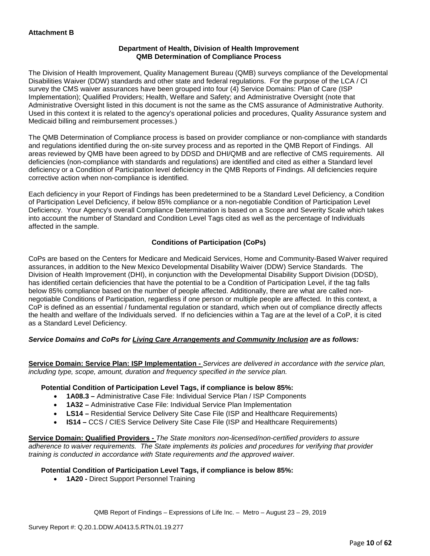### **Department of Health, Division of Health Improvement QMB Determination of Compliance Process**

The Division of Health Improvement, Quality Management Bureau (QMB) surveys compliance of the Developmental Disabilities Waiver (DDW) standards and other state and federal regulations. For the purpose of the LCA / CI survey the CMS waiver assurances have been grouped into four (4) Service Domains: Plan of Care (ISP Implementation); Qualified Providers; Health, Welfare and Safety; and Administrative Oversight (note that Administrative Oversight listed in this document is not the same as the CMS assurance of Administrative Authority. Used in this context it is related to the agency's operational policies and procedures, Quality Assurance system and Medicaid billing and reimbursement processes.)

The QMB Determination of Compliance process is based on provider compliance or non-compliance with standards and regulations identified during the on-site survey process and as reported in the QMB Report of Findings. All areas reviewed by QMB have been agreed to by DDSD and DHI/QMB and are reflective of CMS requirements. All deficiencies (non-compliance with standards and regulations) are identified and cited as either a Standard level deficiency or a Condition of Participation level deficiency in the QMB Reports of Findings. All deficiencies require corrective action when non-compliance is identified.

Each deficiency in your Report of Findings has been predetermined to be a Standard Level Deficiency, a Condition of Participation Level Deficiency, if below 85% compliance or a non-negotiable Condition of Participation Level Deficiency. Your Agency's overall Compliance Determination is based on a Scope and Severity Scale which takes into account the number of Standard and Condition Level Tags cited as well as the percentage of Individuals affected in the sample.

## **Conditions of Participation (CoPs)**

CoPs are based on the Centers for Medicare and Medicaid Services, Home and Community-Based Waiver required assurances, in addition to the New Mexico Developmental Disability Waiver (DDW) Service Standards. The Division of Health Improvement (DHI), in conjunction with the Developmental Disability Support Division (DDSD), has identified certain deficiencies that have the potential to be a Condition of Participation Level, if the tag falls below 85% compliance based on the number of people affected. Additionally, there are what are called nonnegotiable Conditions of Participation, regardless if one person or multiple people are affected. In this context, a CoP is defined as an essential / fundamental regulation or standard, which when out of compliance directly affects the health and welfare of the Individuals served. If no deficiencies within a Tag are at the level of a CoP, it is cited as a Standard Level Deficiency.

## *Service Domains and CoPs for Living Care Arrangements and Community Inclusion are as follows:*

**Service Domain: Service Plan: ISP Implementation -** *Services are delivered in accordance with the service plan, including type, scope, amount, duration and frequency specified in the service plan.*

#### **Potential Condition of Participation Level Tags, if compliance is below 85%:**

- **1A08.3 –** Administrative Case File: Individual Service Plan / ISP Components
- **1A32 –** Administrative Case File: Individual Service Plan Implementation
- **LS14 –** Residential Service Delivery Site Case File (ISP and Healthcare Requirements)
- **IS14 –** CCS / CIES Service Delivery Site Case File (ISP and Healthcare Requirements)

**Service Domain: Qualified Providers -** *The State monitors non-licensed/non-certified providers to assure adherence to waiver requirements. The State implements its policies and procedures for verifying that provider training is conducted in accordance with State requirements and the approved waiver.*

#### **Potential Condition of Participation Level Tags, if compliance is below 85%:**

• **1A20 -** Direct Support Personnel Training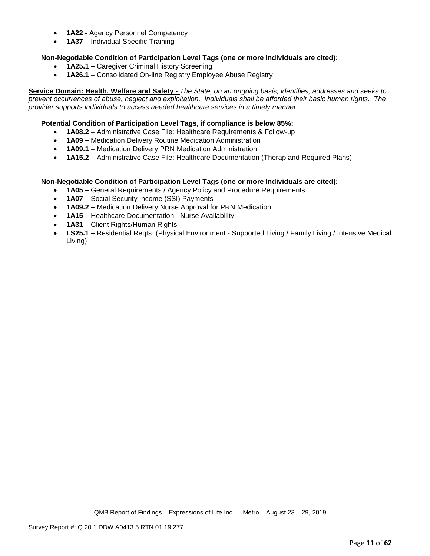- **1A22 -** Agency Personnel Competency
- **1A37 –** Individual Specific Training

## **Non-Negotiable Condition of Participation Level Tags (one or more Individuals are cited):**

- **1A25.1 –** Caregiver Criminal History Screening
- **1A26.1 –** Consolidated On-line Registry Employee Abuse Registry

**Service Domain: Health, Welfare and Safety -** *The State, on an ongoing basis, identifies, addresses and seeks to prevent occurrences of abuse, neglect and exploitation. Individuals shall be afforded their basic human rights. The provider supports individuals to access needed healthcare services in a timely manner.*

### **Potential Condition of Participation Level Tags, if compliance is below 85%:**

- **1A08.2 –** Administrative Case File: Healthcare Requirements & Follow-up
- **1A09 –** Medication Delivery Routine Medication Administration
- **1A09.1 –** Medication Delivery PRN Medication Administration
- **1A15.2 –** Administrative Case File: Healthcare Documentation (Therap and Required Plans)

#### **Non-Negotiable Condition of Participation Level Tags (one or more Individuals are cited):**

- **1A05 –** General Requirements / Agency Policy and Procedure Requirements
- **1A07 –** Social Security Income (SSI) Payments
- **1A09.2 –** Medication Delivery Nurse Approval for PRN Medication
- **1A15 –** Healthcare Documentation Nurse Availability
- **1A31 –** Client Rights/Human Rights
- **LS25.1 –** Residential Reqts. (Physical Environment Supported Living / Family Living / Intensive Medical Living)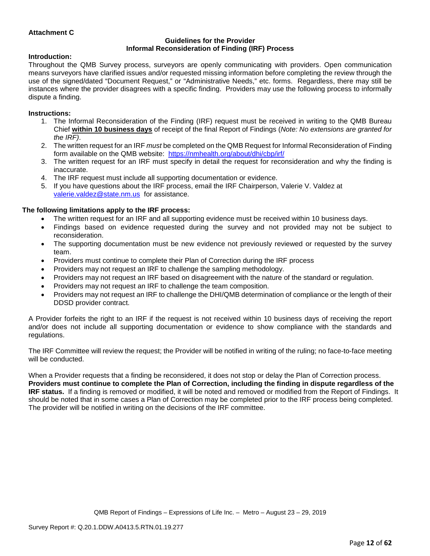## **Attachment C**

#### **Guidelines for the Provider Informal Reconsideration of Finding (IRF) Process**

#### **Introduction:**

Throughout the QMB Survey process, surveyors are openly communicating with providers. Open communication means surveyors have clarified issues and/or requested missing information before completing the review through the use of the signed/dated "Document Request," or "Administrative Needs," etc. forms. Regardless, there may still be instances where the provider disagrees with a specific finding. Providers may use the following process to informally dispute a finding.

### **Instructions:**

- 1. The Informal Reconsideration of the Finding (IRF) request must be received in writing to the QMB Bureau Chief **within 10 business days** of receipt of the final Report of Findings (*Note: No extensions are granted for the IRF)*.
- 2. The written request for an IRF *must* be completed on the QMB Request for Informal Reconsideration of Finding form available on the QMB website: <https://nmhealth.org/about/dhi/cbp/irf/>
- 3. The written request for an IRF must specify in detail the request for reconsideration and why the finding is inaccurate.
- 4. The IRF request must include all supporting documentation or evidence.
- 5. If you have questions about the IRF process, email the IRF Chairperson, Valerie V. Valdez at [valerie.valdez@state.nm.us](mailto:valerie.valdez@state.nm.us) for assistance.

## **The following limitations apply to the IRF process:**

- The written request for an IRF and all supporting evidence must be received within 10 business days.
- Findings based on evidence requested during the survey and not provided may not be subject to reconsideration.
- The supporting documentation must be new evidence not previously reviewed or requested by the survey team.
- Providers must continue to complete their Plan of Correction during the IRF process
- Providers may not request an IRF to challenge the sampling methodology.
- Providers may not request an IRF based on disagreement with the nature of the standard or regulation.
- Providers may not request an IRF to challenge the team composition.
- Providers may not request an IRF to challenge the DHI/QMB determination of compliance or the length of their DDSD provider contract.

A Provider forfeits the right to an IRF if the request is not received within 10 business days of receiving the report and/or does not include all supporting documentation or evidence to show compliance with the standards and regulations.

The IRF Committee will review the request; the Provider will be notified in writing of the ruling; no face-to-face meeting will be conducted.

When a Provider requests that a finding be reconsidered, it does not stop or delay the Plan of Correction process. **Providers must continue to complete the Plan of Correction, including the finding in dispute regardless of the IRF status.** If a finding is removed or modified, it will be noted and removed or modified from the Report of Findings. It should be noted that in some cases a Plan of Correction may be completed prior to the IRF process being completed. The provider will be notified in writing on the decisions of the IRF committee.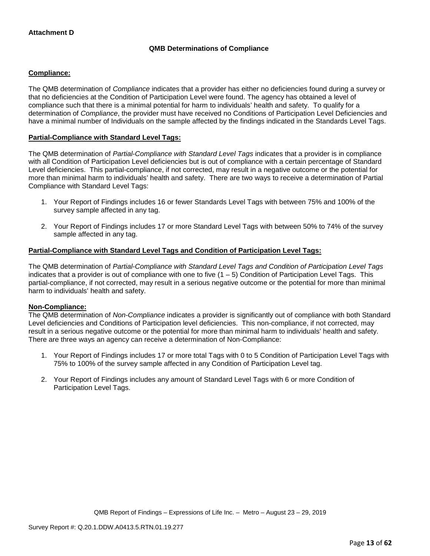## **QMB Determinations of Compliance**

## **Compliance:**

The QMB determination of *Compliance* indicates that a provider has either no deficiencies found during a survey or that no deficiencies at the Condition of Participation Level were found. The agency has obtained a level of compliance such that there is a minimal potential for harm to individuals' health and safety. To qualify for a determination of *Compliance*, the provider must have received no Conditions of Participation Level Deficiencies and have a minimal number of Individuals on the sample affected by the findings indicated in the Standards Level Tags.

## **Partial-Compliance with Standard Level Tags:**

The QMB determination of *Partial-Compliance with Standard Level Tags* indicates that a provider is in compliance with all Condition of Participation Level deficiencies but is out of compliance with a certain percentage of Standard Level deficiencies. This partial-compliance, if not corrected, may result in a negative outcome or the potential for more than minimal harm to individuals' health and safety. There are two ways to receive a determination of Partial Compliance with Standard Level Tags:

- 1. Your Report of Findings includes 16 or fewer Standards Level Tags with between 75% and 100% of the survey sample affected in any tag.
- 2. Your Report of Findings includes 17 or more Standard Level Tags with between 50% to 74% of the survey sample affected in any tag.

#### **Partial-Compliance with Standard Level Tags and Condition of Participation Level Tags:**

The QMB determination of *Partial-Compliance with Standard Level Tags and Condition of Participation Level Tags*  indicates that a provider is out of compliance with one to five  $(1 - 5)$  Condition of Participation Level Tags. This partial-compliance, if not corrected, may result in a serious negative outcome or the potential for more than minimal harm to individuals' health and safety.

#### **Non-Compliance:**

The QMB determination of *Non-Compliance* indicates a provider is significantly out of compliance with both Standard Level deficiencies and Conditions of Participation level deficiencies. This non-compliance, if not corrected, may result in a serious negative outcome or the potential for more than minimal harm to individuals' health and safety. There are three ways an agency can receive a determination of Non-Compliance:

- 1. Your Report of Findings includes 17 or more total Tags with 0 to 5 Condition of Participation Level Tags with 75% to 100% of the survey sample affected in any Condition of Participation Level tag.
- 2. Your Report of Findings includes any amount of Standard Level Tags with 6 or more Condition of Participation Level Tags.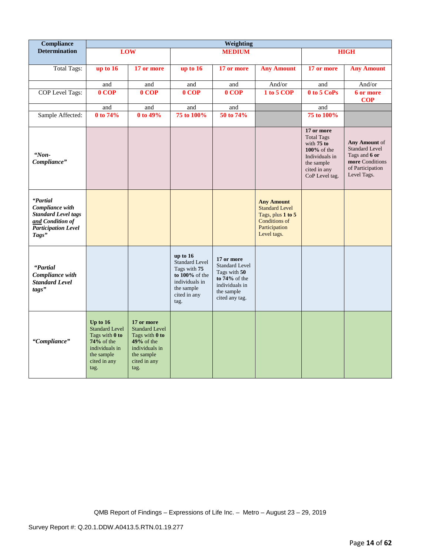| Compliance                                                                                                           |                                                                                                                               |                                                                                                                               |                                                                                                                             | Weighting                                                                                                                 |                                                                                                                         |                                                                                                                                     |                                                                                                               |
|----------------------------------------------------------------------------------------------------------------------|-------------------------------------------------------------------------------------------------------------------------------|-------------------------------------------------------------------------------------------------------------------------------|-----------------------------------------------------------------------------------------------------------------------------|---------------------------------------------------------------------------------------------------------------------------|-------------------------------------------------------------------------------------------------------------------------|-------------------------------------------------------------------------------------------------------------------------------------|---------------------------------------------------------------------------------------------------------------|
| <b>Determination</b>                                                                                                 | LOW                                                                                                                           |                                                                                                                               |                                                                                                                             | <b>MEDIUM</b>                                                                                                             |                                                                                                                         |                                                                                                                                     | <b>HIGH</b>                                                                                                   |
|                                                                                                                      |                                                                                                                               |                                                                                                                               |                                                                                                                             |                                                                                                                           |                                                                                                                         |                                                                                                                                     |                                                                                                               |
| <b>Total Tags:</b>                                                                                                   | up to $16$                                                                                                                    | 17 or more                                                                                                                    | up to $16$                                                                                                                  | 17 or more                                                                                                                | <b>Any Amount</b>                                                                                                       | 17 or more                                                                                                                          | <b>Any Amount</b>                                                                                             |
|                                                                                                                      |                                                                                                                               |                                                                                                                               |                                                                                                                             |                                                                                                                           |                                                                                                                         |                                                                                                                                     |                                                                                                               |
|                                                                                                                      | and                                                                                                                           | and                                                                                                                           | and                                                                                                                         | and                                                                                                                       | And/or                                                                                                                  | and                                                                                                                                 | And/or                                                                                                        |
| <b>COP</b> Level Tags:                                                                                               | $0$ COP                                                                                                                       | $0$ COP                                                                                                                       | 0 COP                                                                                                                       | $0$ COP                                                                                                                   | 1 to 5 COP                                                                                                              | 0 to 5 CoPs                                                                                                                         | 6 or more<br><b>COP</b>                                                                                       |
|                                                                                                                      | and                                                                                                                           | and                                                                                                                           | and                                                                                                                         | and                                                                                                                       |                                                                                                                         | and                                                                                                                                 |                                                                                                               |
| Sample Affected:                                                                                                     | 0 to 74%                                                                                                                      | 0 to 49%                                                                                                                      | 75 to 100%                                                                                                                  | 50 to 74%                                                                                                                 |                                                                                                                         | 75 to 100%                                                                                                                          |                                                                                                               |
| $N$ on-<br>Compliance"                                                                                               |                                                                                                                               |                                                                                                                               |                                                                                                                             |                                                                                                                           |                                                                                                                         | 17 or more<br><b>Total Tags</b><br>with $75$ to<br>$100\%$ of the<br>Individuals in<br>the sample<br>cited in any<br>CoP Level tag. | Any Amount of<br><b>Standard Level</b><br>Tags and 6 or<br>more Conditions<br>of Participation<br>Level Tags. |
| "Partial<br>Compliance with<br><b>Standard Level tags</b><br>and Condition of<br><b>Participation Level</b><br>Tags" |                                                                                                                               |                                                                                                                               |                                                                                                                             |                                                                                                                           | <b>Any Amount</b><br><b>Standard Level</b><br>Tags, plus 1 to 5<br><b>Conditions of</b><br>Participation<br>Level tags. |                                                                                                                                     |                                                                                                               |
| "Partial<br>Compliance with<br><b>Standard Level</b><br>tags"                                                        |                                                                                                                               |                                                                                                                               | up to 16<br><b>Standard Level</b><br>Tags with 75<br>to 100% of the<br>individuals in<br>the sample<br>cited in any<br>tag. | 17 or more<br><b>Standard Level</b><br>Tags with 50<br>to $74\%$ of the<br>individuals in<br>the sample<br>cited any tag. |                                                                                                                         |                                                                                                                                     |                                                                                                               |
| "Compliance"                                                                                                         | Up to $16$<br><b>Standard Level</b><br>Tags with 0 to<br>$74%$ of the<br>individuals in<br>the sample<br>cited in any<br>tag. | 17 or more<br><b>Standard Level</b><br>Tags with 0 to<br>$49%$ of the<br>individuals in<br>the sample<br>cited in any<br>tag. |                                                                                                                             |                                                                                                                           |                                                                                                                         |                                                                                                                                     |                                                                                                               |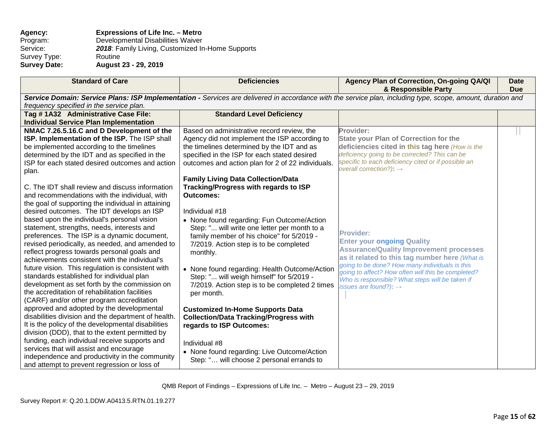## **Agency: Expressions of Life Inc. – Metro** Program: Developmental Disabilities Waiver<br>Service: 2018: Family Living, Customized In 2018: Family Living, Customized In-Home Supports Routine Survey Type:<br>Survey Date: **Survey Date: August 23 - 29, 2019**

| <b>Standard of Care</b>                                                                                                                                     | <b>Deficiencies</b>                                                       | Agency Plan of Correction, On-going QA/QI<br>& Responsible Party                           | <b>Date</b><br><b>Due</b> |
|-------------------------------------------------------------------------------------------------------------------------------------------------------------|---------------------------------------------------------------------------|--------------------------------------------------------------------------------------------|---------------------------|
| Service Domain: Service Plans: ISP Implementation - Services are delivered in accordance with the service plan, including type, scope, amount, duration and |                                                                           |                                                                                            |                           |
| frequency specified in the service plan.                                                                                                                    |                                                                           |                                                                                            |                           |
| Tag #1A32 Administrative Case File:                                                                                                                         | <b>Standard Level Deficiency</b>                                          |                                                                                            |                           |
| <b>Individual Service Plan Implementation</b>                                                                                                               |                                                                           |                                                                                            |                           |
| NMAC 7.26.5.16.C and D Development of the                                                                                                                   | Based on administrative record review, the                                | Provider:                                                                                  |                           |
| ISP. Implementation of the ISP. The ISP shall                                                                                                               | Agency did not implement the ISP according to                             | <b>State your Plan of Correction for the</b>                                               |                           |
| be implemented according to the timelines                                                                                                                   | the timelines determined by the IDT and as                                | deficiencies cited in this tag here (How is the                                            |                           |
| determined by the IDT and as specified in the                                                                                                               | specified in the ISP for each stated desired                              | deficiency going to be corrected? This can be                                              |                           |
| ISP for each stated desired outcomes and action                                                                                                             | outcomes and action plan for 2 of 22 individuals.                         | specific to each deficiency cited or if possible an<br>overall correction?): $\rightarrow$ |                           |
| plan.                                                                                                                                                       |                                                                           |                                                                                            |                           |
|                                                                                                                                                             | <b>Family Living Data Collection/Data</b>                                 |                                                                                            |                           |
| C. The IDT shall review and discuss information                                                                                                             | Tracking/Progress with regards to ISP                                     |                                                                                            |                           |
| and recommendations with the individual, with                                                                                                               | <b>Outcomes:</b>                                                          |                                                                                            |                           |
| the goal of supporting the individual in attaining                                                                                                          |                                                                           |                                                                                            |                           |
| desired outcomes. The IDT develops an ISP                                                                                                                   | Individual #18                                                            |                                                                                            |                           |
| based upon the individual's personal vision                                                                                                                 | • None found regarding: Fun Outcome/Action                                |                                                                                            |                           |
| statement, strengths, needs, interests and                                                                                                                  | Step: " will write one letter per month to a                              | <b>Provider:</b>                                                                           |                           |
| preferences. The ISP is a dynamic document,                                                                                                                 | family member of his choice" for 5/2019 -                                 | <b>Enter your ongoing Quality</b>                                                          |                           |
| revised periodically, as needed, and amended to                                                                                                             | 7/2019. Action step is to be completed                                    | <b>Assurance/Quality Improvement processes</b>                                             |                           |
| reflect progress towards personal goals and                                                                                                                 | monthly.                                                                  | as it related to this tag number here (What is                                             |                           |
| achievements consistent with the individual's                                                                                                               |                                                                           | going to be done? How many individuals is this                                             |                           |
| future vision. This regulation is consistent with                                                                                                           | • None found regarding: Health Outcome/Action                             | going to affect? How often will this be completed?                                         |                           |
| standards established for individual plan                                                                                                                   | Step: " will weigh himself" for 5/2019 -                                  | Who is responsible? What steps will be taken if                                            |                           |
| development as set forth by the commission on<br>the accreditation of rehabilitation facilities                                                             | 7/2019. Action step is to be completed 2 times                            | issues are found?): $\rightarrow$                                                          |                           |
| (CARF) and/or other program accreditation                                                                                                                   | per month.                                                                |                                                                                            |                           |
| approved and adopted by the developmental                                                                                                                   |                                                                           |                                                                                            |                           |
| disabilities division and the department of health.                                                                                                         | <b>Customized In-Home Supports Data</b>                                   |                                                                                            |                           |
| It is the policy of the developmental disabilities                                                                                                          | <b>Collection/Data Tracking/Progress with</b><br>regards to ISP Outcomes: |                                                                                            |                           |
| division (DDD), that to the extent permitted by                                                                                                             |                                                                           |                                                                                            |                           |
| funding, each individual receive supports and                                                                                                               |                                                                           |                                                                                            |                           |
| services that will assist and encourage                                                                                                                     | Individual #8                                                             |                                                                                            |                           |
| independence and productivity in the community                                                                                                              | • None found regarding: Live Outcome/Action                               |                                                                                            |                           |
| and attempt to prevent regression or loss of                                                                                                                | Step: " will choose 2 personal errands to                                 |                                                                                            |                           |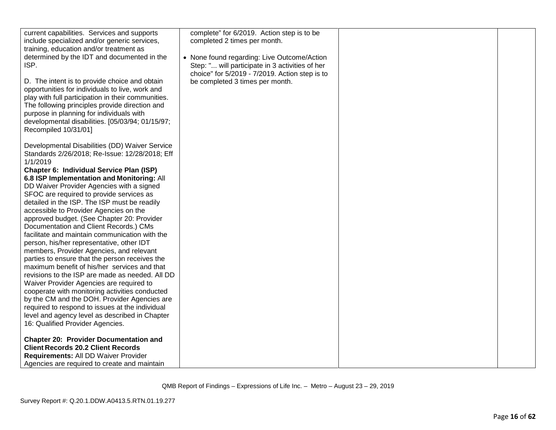| current capabilities. Services and supports        | complete" for 6/2019. Action step is to be      |  |
|----------------------------------------------------|-------------------------------------------------|--|
| include specialized and/or generic services,       | completed 2 times per month.                    |  |
| training, education and/or treatment as            |                                                 |  |
| determined by the IDT and documented in the        | • None found regarding: Live Outcome/Action     |  |
| ISP.                                               | Step: " will participate in 3 activities of her |  |
|                                                    | choice" for 5/2019 - 7/2019. Action step is to  |  |
| D. The intent is to provide choice and obtain      | be completed 3 times per month.                 |  |
| opportunities for individuals to live, work and    |                                                 |  |
| play with full participation in their communities. |                                                 |  |
| The following principles provide direction and     |                                                 |  |
| purpose in planning for individuals with           |                                                 |  |
| developmental disabilities. [05/03/94; 01/15/97;   |                                                 |  |
| Recompiled 10/31/01]                               |                                                 |  |
|                                                    |                                                 |  |
|                                                    |                                                 |  |
| Developmental Disabilities (DD) Waiver Service     |                                                 |  |
| Standards 2/26/2018; Re-Issue: 12/28/2018; Eff     |                                                 |  |
| 1/1/2019                                           |                                                 |  |
| Chapter 6: Individual Service Plan (ISP)           |                                                 |  |
| 6.8 ISP Implementation and Monitoring: All         |                                                 |  |
| DD Waiver Provider Agencies with a signed          |                                                 |  |
| SFOC are required to provide services as           |                                                 |  |
| detailed in the ISP. The ISP must be readily       |                                                 |  |
| accessible to Provider Agencies on the             |                                                 |  |
| approved budget. (See Chapter 20: Provider         |                                                 |  |
| Documentation and Client Records.) CMs             |                                                 |  |
| facilitate and maintain communication with the     |                                                 |  |
| person, his/her representative, other IDT          |                                                 |  |
| members, Provider Agencies, and relevant           |                                                 |  |
| parties to ensure that the person receives the     |                                                 |  |
| maximum benefit of his/her services and that       |                                                 |  |
| revisions to the ISP are made as needed. All DD    |                                                 |  |
| Waiver Provider Agencies are required to           |                                                 |  |
| cooperate with monitoring activities conducted     |                                                 |  |
| by the CM and the DOH. Provider Agencies are       |                                                 |  |
| required to respond to issues at the individual    |                                                 |  |
| level and agency level as described in Chapter     |                                                 |  |
| 16: Qualified Provider Agencies.                   |                                                 |  |
| <b>Chapter 20: Provider Documentation and</b>      |                                                 |  |
| <b>Client Records 20.2 Client Records</b>          |                                                 |  |
| Requirements: All DD Waiver Provider               |                                                 |  |
|                                                    |                                                 |  |
| Agencies are required to create and maintain       |                                                 |  |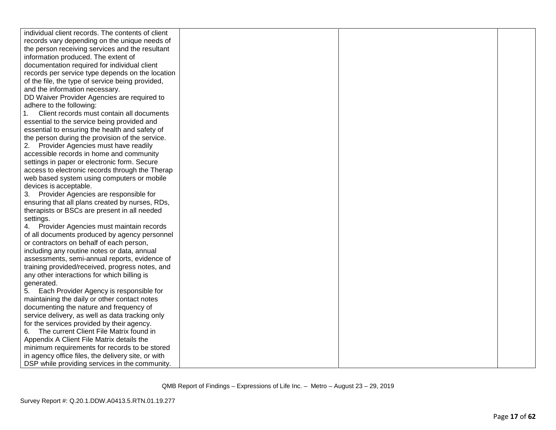| individual client records. The contents of client  |  |  |
|----------------------------------------------------|--|--|
| records vary depending on the unique needs of      |  |  |
| the person receiving services and the resultant    |  |  |
| information produced. The extent of                |  |  |
| documentation required for individual client       |  |  |
| records per service type depends on the location   |  |  |
| of the file, the type of service being provided,   |  |  |
| and the information necessary.                     |  |  |
| DD Waiver Provider Agencies are required to        |  |  |
| adhere to the following:                           |  |  |
| Client records must contain all documents          |  |  |
| essential to the service being provided and        |  |  |
| essential to ensuring the health and safety of     |  |  |
| the person during the provision of the service.    |  |  |
| 2. Provider Agencies must have readily             |  |  |
| accessible records in home and community           |  |  |
| settings in paper or electronic form. Secure       |  |  |
| access to electronic records through the Therap    |  |  |
| web based system using computers or mobile         |  |  |
| devices is acceptable.                             |  |  |
| Provider Agencies are responsible for<br>3.        |  |  |
| ensuring that all plans created by nurses, RDs,    |  |  |
| therapists or BSCs are present in all needed       |  |  |
| settings.                                          |  |  |
| 4. Provider Agencies must maintain records         |  |  |
| of all documents produced by agency personnel      |  |  |
| or contractors on behalf of each person,           |  |  |
| including any routine notes or data, annual        |  |  |
| assessments, semi-annual reports, evidence of      |  |  |
| training provided/received, progress notes, and    |  |  |
| any other interactions for which billing is        |  |  |
| generated.                                         |  |  |
| 5.<br>Each Provider Agency is responsible for      |  |  |
| maintaining the daily or other contact notes       |  |  |
| documenting the nature and frequency of            |  |  |
| service delivery, as well as data tracking only    |  |  |
| for the services provided by their agency.         |  |  |
| 6. The current Client File Matrix found in         |  |  |
| Appendix A Client File Matrix details the          |  |  |
| minimum requirements for records to be stored      |  |  |
| in agency office files, the delivery site, or with |  |  |
| DSP while providing services in the community.     |  |  |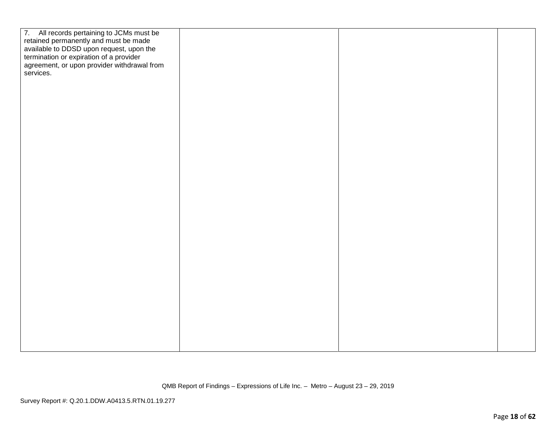| 7. All records pertaining to JCMs must be<br>retained permanently and must be made<br>available to DDSD upon request, upon the<br>termination or expiration of a provider<br>agreement, or upon provider withdrawal from<br>services. |  |  |
|---------------------------------------------------------------------------------------------------------------------------------------------------------------------------------------------------------------------------------------|--|--|
|                                                                                                                                                                                                                                       |  |  |
|                                                                                                                                                                                                                                       |  |  |
|                                                                                                                                                                                                                                       |  |  |
|                                                                                                                                                                                                                                       |  |  |
|                                                                                                                                                                                                                                       |  |  |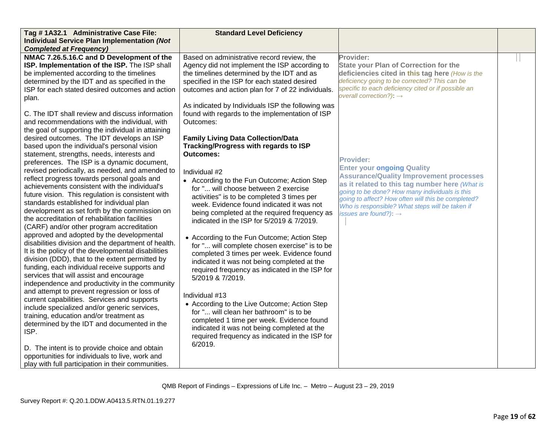| Tag #1A32.1 Administrative Case File:               | <b>Standard Level Deficiency</b>                                                             |                                                     |  |
|-----------------------------------------------------|----------------------------------------------------------------------------------------------|-----------------------------------------------------|--|
| <b>Individual Service Plan Implementation (Not</b>  |                                                                                              |                                                     |  |
| <b>Completed at Frequency)</b>                      |                                                                                              |                                                     |  |
| NMAC 7.26.5.16.C and D Development of the           | Based on administrative record review, the                                                   | Provider:                                           |  |
| ISP. Implementation of the ISP. The ISP shall       | Agency did not implement the ISP according to                                                | <b>State your Plan of Correction for the</b>        |  |
| be implemented according to the timelines           | the timelines determined by the IDT and as                                                   | deficiencies cited in this tag here (How is the     |  |
| determined by the IDT and as specified in the       | specified in the ISP for each stated desired                                                 | deficiency going to be corrected? This can be       |  |
| ISP for each stated desired outcomes and action     | outcomes and action plan for 7 of 22 individuals.                                            | specific to each deficiency cited or if possible an |  |
| plan.                                               |                                                                                              | overall correction?): $\rightarrow$                 |  |
|                                                     | As indicated by Individuals ISP the following was                                            |                                                     |  |
| C. The IDT shall review and discuss information     | found with regards to the implementation of ISP                                              |                                                     |  |
| and recommendations with the individual, with       | Outcomes:                                                                                    |                                                     |  |
| the goal of supporting the individual in attaining  |                                                                                              |                                                     |  |
| desired outcomes. The IDT develops an ISP           | <b>Family Living Data Collection/Data</b>                                                    |                                                     |  |
| based upon the individual's personal vision         | Tracking/Progress with regards to ISP                                                        |                                                     |  |
| statement, strengths, needs, interests and          | <b>Outcomes:</b>                                                                             |                                                     |  |
| preferences. The ISP is a dynamic document,         |                                                                                              | <b>Provider:</b>                                    |  |
| revised periodically, as needed, and amended to     | Individual #2                                                                                | <b>Enter your ongoing Quality</b>                   |  |
| reflect progress towards personal goals and         | • According to the Fun Outcome; Action Step                                                  | <b>Assurance/Quality Improvement processes</b>      |  |
| achievements consistent with the individual's       | for " will choose between 2 exercise                                                         | as it related to this tag number here (What is      |  |
| future vision. This regulation is consistent with   | activities" is to be completed 3 times per                                                   | going to be done? How many individuals is this      |  |
| standards established for individual plan           | week. Evidence found indicated it was not                                                    | going to affect? How often will this be completed?  |  |
| development as set forth by the commission on       | being completed at the required frequency as                                                 | Who is responsible? What steps will be taken if     |  |
| the accreditation of rehabilitation facilities      | indicated in the ISP for 5/2019 & 7/2019.                                                    | issues are found?): $\rightarrow$                   |  |
| (CARF) and/or other program accreditation           |                                                                                              |                                                     |  |
| approved and adopted by the developmental           |                                                                                              |                                                     |  |
| disabilities division and the department of health. | • According to the Fun Outcome; Action Step<br>for " will complete chosen exercise" is to be |                                                     |  |
| It is the policy of the developmental disabilities  | completed 3 times per week. Evidence found                                                   |                                                     |  |
| division (DDD), that to the extent permitted by     |                                                                                              |                                                     |  |
| funding, each individual receive supports and       | indicated it was not being completed at the                                                  |                                                     |  |
| services that will assist and encourage             | required frequency as indicated in the ISP for<br>5/2019 & 7/2019.                           |                                                     |  |
| independence and productivity in the community      |                                                                                              |                                                     |  |
| and attempt to prevent regression or loss of        |                                                                                              |                                                     |  |
| current capabilities. Services and supports         | Individual #13                                                                               |                                                     |  |
| include specialized and/or generic services,        | • According to the Live Outcome; Action Step                                                 |                                                     |  |
| training, education and/or treatment as             | for " will clean her bathroom" is to be                                                      |                                                     |  |
| determined by the IDT and documented in the         | completed 1 time per week. Evidence found                                                    |                                                     |  |
| ISP.                                                | indicated it was not being completed at the                                                  |                                                     |  |
|                                                     | required frequency as indicated in the ISP for                                               |                                                     |  |
| D. The intent is to provide choice and obtain       | 6/2019.                                                                                      |                                                     |  |
| opportunities for individuals to live, work and     |                                                                                              |                                                     |  |
| play with full participation in their communities.  |                                                                                              |                                                     |  |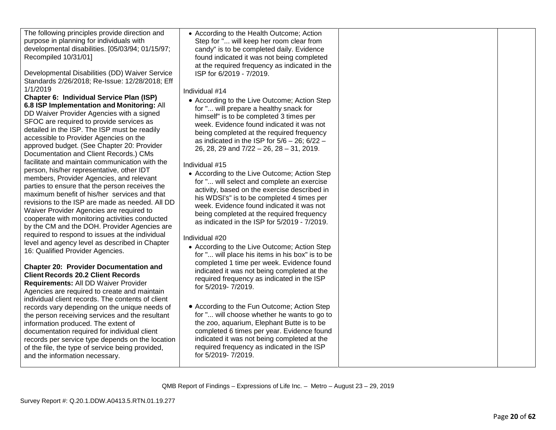The following principles provide direction and purpose in planning for individuals with developmental disabilities. [05/03/94; 01/15/97; Recompiled 10/31/01]

Developmental Disabilities (DD) Waiver Service Standards 2/26/2018; Re -Issue: 12/28/2018; Eff 1/1/2019

**Chapter 6: Individual Service Plan (ISP) 6.8 ISP Implementation and Monitoring:** All DD Waiver Provider Agencies with a signed SFOC are required to provide services as detailed in the ISP. The ISP must be readily accessible to Provider Agencies on the approved budget. (See Chapter 20: Provider Documentation and Client Records.) CMs facilitate and maintain communication with the person, his/her representative, other IDT members, Provider Agencies, and relevant parties to ensure that the person receives the maximum benefit of his/her services and that revisions to the ISP are made as needed. All DD Waiver Provider Agencies are required to cooperate with monitoring activities conducted by the CM and the DOH. Provider Agencies are required to respond to issues at the individual level and agency level as described in Chapter 16: Qualified Provider Agencies .

# **Chapter 20: Provider Documentation and Client Records 20.2 Client Records**

**Requirements:** All DD Waiver Provider Agencies are required to create and maintain individual client records. The contents of client records vary depending on the unique needs of the person receiving services and the resultant information produced. The extent of documentation required for individual client records per service type depends on the location of the file, the type of service being provided, and the information necessary.

• According to the Health Outcome; Action Step for "... will keep her room clear from candy" is to be completed daily. Evidence found indicated it was not being completed at the required frequency as indicated in the ISP for 6/2019 - 7/2019.

Individual #14

• According to the Live Outcome; Action Step for "... will prepare a healthy snack for himself" is to be completed 3 times per week. Evidence found indicated it was not being completed at the required frequency as indicated in the ISP for 5/6 – 26; 6/22 – 26, 28, 29 and 7/22 – 26, 28 – 31, 2019 .

Individual #15

• According to the Live Outcome; Action Step for "... will select and complete an exercise activity, based on the exercise described in his WDSI's" is to be completed 4 times per week. Evidence found indicated it was not being completed at the required frequency as indicated in the ISP for 5/2019 - 7/2019.

Individual #20

- According to the Live Outcome; Action Step for "... will place his items in his box" is to be completed 1 time per week. Evidence found indicated it was not being completed at the required frequency as indicated in the ISP for 5/2019 - 7/2019.
- According to the Fun Outcome; Action Step for "... will choose whether he wants to go to the zoo, aquarium, Elephant Butte is to be completed 6 times per year. Evidence found indicated it was not being completed at the required frequency as indicated in the ISP for 5/2019 - 7/2019.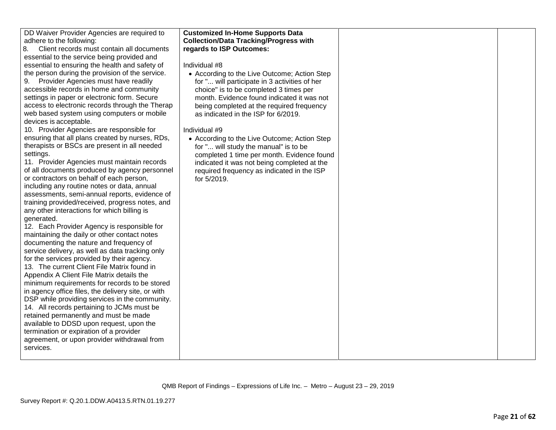| DD Waiver Provider Agencies are required to        | <b>Customized In-Home Supports Data</b>       |  |
|----------------------------------------------------|-----------------------------------------------|--|
| adhere to the following:                           | <b>Collection/Data Tracking/Progress with</b> |  |
| 8.<br>Client records must contain all documents    | regards to ISP Outcomes:                      |  |
| essential to the service being provided and        |                                               |  |
| essential to ensuring the health and safety of     | Individual #8                                 |  |
| the person during the provision of the service.    | • According to the Live Outcome; Action Step  |  |
| Provider Agencies must have readily                | for " will participate in 3 activities of her |  |
| accessible records in home and community           | choice" is to be completed 3 times per        |  |
| settings in paper or electronic form. Secure       | month. Evidence found indicated it was not    |  |
| access to electronic records through the Therap    | being completed at the required frequency     |  |
| web based system using computers or mobile         | as indicated in the ISP for 6/2019.           |  |
| devices is acceptable.                             |                                               |  |
| 10. Provider Agencies are responsible for          | Individual #9                                 |  |
| ensuring that all plans created by nurses, RDs,    | • According to the Live Outcome; Action Step  |  |
| therapists or BSCs are present in all needed       | for " will study the manual" is to be         |  |
| settings.                                          | completed 1 time per month. Evidence found    |  |
| 11. Provider Agencies must maintain records        | indicated it was not being completed at the   |  |
| of all documents produced by agency personnel      | required frequency as indicated in the ISP    |  |
| or contractors on behalf of each person,           | for 5/2019.                                   |  |
| including any routine notes or data, annual        |                                               |  |
| assessments, semi-annual reports, evidence of      |                                               |  |
| training provided/received, progress notes, and    |                                               |  |
| any other interactions for which billing is        |                                               |  |
| generated.                                         |                                               |  |
| 12. Each Provider Agency is responsible for        |                                               |  |
| maintaining the daily or other contact notes       |                                               |  |
| documenting the nature and frequency of            |                                               |  |
| service delivery, as well as data tracking only    |                                               |  |
| for the services provided by their agency.         |                                               |  |
| 13. The current Client File Matrix found in        |                                               |  |
| Appendix A Client File Matrix details the          |                                               |  |
| minimum requirements for records to be stored      |                                               |  |
| in agency office files, the delivery site, or with |                                               |  |
| DSP while providing services in the community.     |                                               |  |
| 14. All records pertaining to JCMs must be         |                                               |  |
| retained permanently and must be made              |                                               |  |
| available to DDSD upon request, upon the           |                                               |  |
| termination or expiration of a provider            |                                               |  |
| agreement, or upon provider withdrawal from        |                                               |  |
| services.                                          |                                               |  |
|                                                    |                                               |  |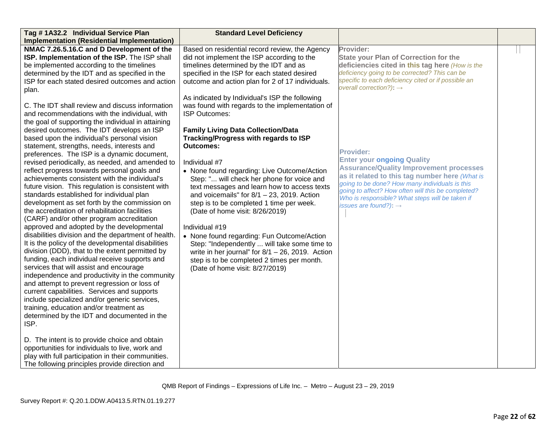| Tag #1A32.2 Individual Service Plan                 | <b>Standard Level Deficiency</b>                    |                                                                                                  |  |
|-----------------------------------------------------|-----------------------------------------------------|--------------------------------------------------------------------------------------------------|--|
| <b>Implementation (Residential Implementation)</b>  |                                                     |                                                                                                  |  |
| NMAC 7.26.5.16.C and D Development of the           | Based on residential record review, the Agency      | Provider:                                                                                        |  |
| ISP. Implementation of the ISP. The ISP shall       | did not implement the ISP according to the          | <b>State your Plan of Correction for the</b>                                                     |  |
| be implemented according to the timelines           | timelines determined by the IDT and as              | deficiencies cited in this tag here (How is the                                                  |  |
| determined by the IDT and as specified in the       | specified in the ISP for each stated desired        | deficiency going to be corrected? This can be                                                    |  |
| ISP for each stated desired outcomes and action     | outcome and action plan for 2 of 17 individuals.    | specific to each deficiency cited or if possible an                                              |  |
| plan.                                               |                                                     | overall correction?): $\rightarrow$                                                              |  |
|                                                     | As indicated by Individual's ISP the following      |                                                                                                  |  |
| C. The IDT shall review and discuss information     | was found with regards to the implementation of     |                                                                                                  |  |
| and recommendations with the individual, with       | <b>ISP Outcomes:</b>                                |                                                                                                  |  |
| the goal of supporting the individual in attaining  |                                                     |                                                                                                  |  |
| desired outcomes. The IDT develops an ISP           | <b>Family Living Data Collection/Data</b>           |                                                                                                  |  |
| based upon the individual's personal vision         | Tracking/Progress with regards to ISP               |                                                                                                  |  |
| statement, strengths, needs, interests and          | <b>Outcomes:</b>                                    |                                                                                                  |  |
| preferences. The ISP is a dynamic document,         |                                                     | <b>Provider:</b>                                                                                 |  |
| revised periodically, as needed, and amended to     | Individual #7                                       | <b>Enter your ongoing Quality</b>                                                                |  |
| reflect progress towards personal goals and         | • None found regarding: Live Outcome/Action         | <b>Assurance/Quality Improvement processes</b>                                                   |  |
| achievements consistent with the individual's       | Step: " will check her phone for voice and          | as it related to this tag number here (What is<br>going to be done? How many individuals is this |  |
| future vision. This regulation is consistent with   | text messages and learn how to access texts         | going to affect? How often will this be completed?                                               |  |
| standards established for individual plan           | and voicemails" for $8/1 - 23$ , 2019. Action       | Who is responsible? What steps will be taken if                                                  |  |
| development as set forth by the commission on       | step is to be completed 1 time per week.            | issues are found?): $\rightarrow$                                                                |  |
| the accreditation of rehabilitation facilities      | (Date of home visit: 8/26/2019)                     |                                                                                                  |  |
| (CARF) and/or other program accreditation           |                                                     |                                                                                                  |  |
| approved and adopted by the developmental           | Individual #19                                      |                                                                                                  |  |
| disabilities division and the department of health. | • None found regarding: Fun Outcome/Action          |                                                                                                  |  |
| It is the policy of the developmental disabilities  | Step: "Independently  will take some time to        |                                                                                                  |  |
| division (DDD), that to the extent permitted by     | write in her journal" for $8/1 - 26$ , 2019. Action |                                                                                                  |  |
| funding, each individual receive supports and       | step is to be completed 2 times per month.          |                                                                                                  |  |
| services that will assist and encourage             | (Date of home visit: 8/27/2019)                     |                                                                                                  |  |
| independence and productivity in the community      |                                                     |                                                                                                  |  |
| and attempt to prevent regression or loss of        |                                                     |                                                                                                  |  |
| current capabilities. Services and supports         |                                                     |                                                                                                  |  |
| include specialized and/or generic services,        |                                                     |                                                                                                  |  |
| training, education and/or treatment as             |                                                     |                                                                                                  |  |
| determined by the IDT and documented in the         |                                                     |                                                                                                  |  |
| ISP.                                                |                                                     |                                                                                                  |  |
|                                                     |                                                     |                                                                                                  |  |
| D. The intent is to provide choice and obtain       |                                                     |                                                                                                  |  |
| opportunities for individuals to live, work and     |                                                     |                                                                                                  |  |
| play with full participation in their communities.  |                                                     |                                                                                                  |  |
| The following principles provide direction and      |                                                     |                                                                                                  |  |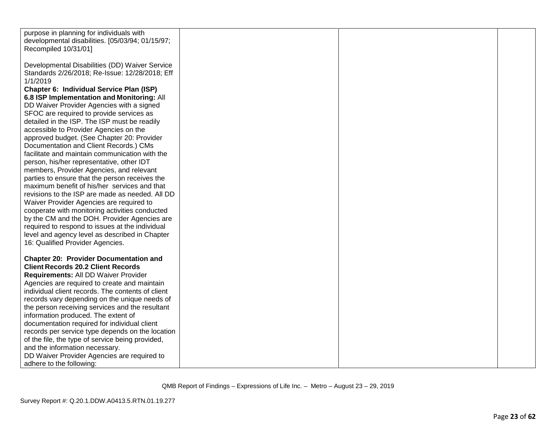| purpose in planning for individuals with          |  |  |
|---------------------------------------------------|--|--|
| developmental disabilities. [05/03/94; 01/15/97;  |  |  |
| Recompiled 10/31/01]                              |  |  |
|                                                   |  |  |
|                                                   |  |  |
| Developmental Disabilities (DD) Waiver Service    |  |  |
| Standards 2/26/2018; Re-Issue: 12/28/2018; Eff    |  |  |
| 1/1/2019                                          |  |  |
| Chapter 6: Individual Service Plan (ISP)          |  |  |
| 6.8 ISP Implementation and Monitoring: All        |  |  |
|                                                   |  |  |
| DD Waiver Provider Agencies with a signed         |  |  |
| SFOC are required to provide services as          |  |  |
| detailed in the ISP. The ISP must be readily      |  |  |
| accessible to Provider Agencies on the            |  |  |
| approved budget. (See Chapter 20: Provider        |  |  |
| Documentation and Client Records.) CMs            |  |  |
| facilitate and maintain communication with the    |  |  |
| person, his/her representative, other IDT         |  |  |
|                                                   |  |  |
| members, Provider Agencies, and relevant          |  |  |
| parties to ensure that the person receives the    |  |  |
| maximum benefit of his/her services and that      |  |  |
| revisions to the ISP are made as needed. All DD   |  |  |
| Waiver Provider Agencies are required to          |  |  |
| cooperate with monitoring activities conducted    |  |  |
| by the CM and the DOH. Provider Agencies are      |  |  |
| required to respond to issues at the individual   |  |  |
|                                                   |  |  |
| level and agency level as described in Chapter    |  |  |
| 16: Qualified Provider Agencies.                  |  |  |
|                                                   |  |  |
| <b>Chapter 20: Provider Documentation and</b>     |  |  |
| <b>Client Records 20.2 Client Records</b>         |  |  |
| Requirements: All DD Waiver Provider              |  |  |
| Agencies are required to create and maintain      |  |  |
| individual client records. The contents of client |  |  |
|                                                   |  |  |
| records vary depending on the unique needs of     |  |  |
| the person receiving services and the resultant   |  |  |
| information produced. The extent of               |  |  |
| documentation required for individual client      |  |  |
| records per service type depends on the location  |  |  |
| of the file, the type of service being provided,  |  |  |
| and the information necessary.                    |  |  |
| DD Waiver Provider Agencies are required to       |  |  |
|                                                   |  |  |
| adhere to the following:                          |  |  |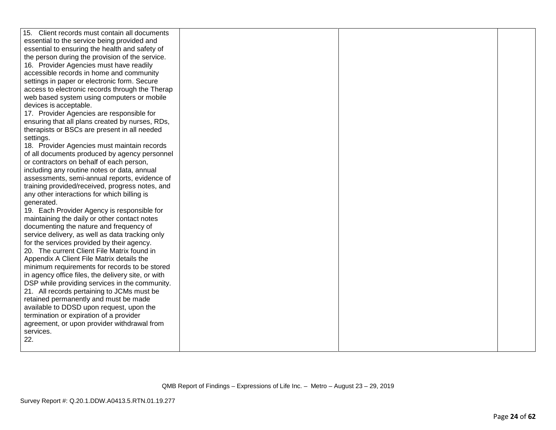| 15. Client records must contain all documents      |  |  |
|----------------------------------------------------|--|--|
| essential to the service being provided and        |  |  |
| essential to ensuring the health and safety of     |  |  |
| the person during the provision of the service.    |  |  |
| 16. Provider Agencies must have readily            |  |  |
| accessible records in home and community           |  |  |
| settings in paper or electronic form. Secure       |  |  |
| access to electronic records through the Therap    |  |  |
| web based system using computers or mobile         |  |  |
| devices is acceptable.                             |  |  |
| 17. Provider Agencies are responsible for          |  |  |
| ensuring that all plans created by nurses, RDs,    |  |  |
| therapists or BSCs are present in all needed       |  |  |
| settings.                                          |  |  |
| 18. Provider Agencies must maintain records        |  |  |
| of all documents produced by agency personnel      |  |  |
| or contractors on behalf of each person,           |  |  |
| including any routine notes or data, annual        |  |  |
| assessments, semi-annual reports, evidence of      |  |  |
| training provided/received, progress notes, and    |  |  |
| any other interactions for which billing is        |  |  |
| generated.                                         |  |  |
| 19. Each Provider Agency is responsible for        |  |  |
| maintaining the daily or other contact notes       |  |  |
| documenting the nature and frequency of            |  |  |
| service delivery, as well as data tracking only    |  |  |
| for the services provided by their agency.         |  |  |
| 20. The current Client File Matrix found in        |  |  |
| Appendix A Client File Matrix details the          |  |  |
| minimum requirements for records to be stored      |  |  |
| in agency office files, the delivery site, or with |  |  |
| DSP while providing services in the community.     |  |  |
| 21. All records pertaining to JCMs must be         |  |  |
| retained permanently and must be made              |  |  |
| available to DDSD upon request, upon the           |  |  |
| termination or expiration of a provider            |  |  |
| agreement, or upon provider withdrawal from        |  |  |
| services.<br>22.                                   |  |  |
|                                                    |  |  |
|                                                    |  |  |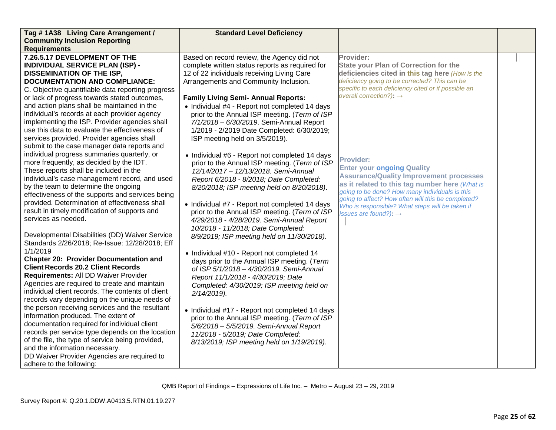| Tag #1A38 Living Care Arrangement /               | <b>Standard Level Deficiency</b>                |                                                                                                      |  |
|---------------------------------------------------|-------------------------------------------------|------------------------------------------------------------------------------------------------------|--|
| <b>Community Inclusion Reporting</b>              |                                                 |                                                                                                      |  |
| <b>Requirements</b>                               |                                                 |                                                                                                      |  |
| 7.26.5.17 DEVELOPMENT OF THE                      | Based on record review, the Agency did not      | Provider:                                                                                            |  |
| <b>INDIVIDUAL SERVICE PLAN (ISP) -</b>            | complete written status reports as required for | <b>State your Plan of Correction for the</b>                                                         |  |
| <b>DISSEMINATION OF THE ISP,</b>                  | 12 of 22 individuals receiving Living Care      | deficiencies cited in this tag here (How is the                                                      |  |
| <b>DOCUMENTATION AND COMPLIANCE:</b>              | Arrangements and Community Inclusion.           | deficiency going to be corrected? This can be                                                        |  |
| C. Objective quantifiable data reporting progress |                                                 | specific to each deficiency cited or if possible an<br>overall correction?): $\rightarrow$           |  |
| or lack of progress towards stated outcomes,      | <b>Family Living Semi- Annual Reports:</b>      |                                                                                                      |  |
| and action plans shall be maintained in the       | • Individual #4 - Report not completed 14 days  |                                                                                                      |  |
| individual's records at each provider agency      | prior to the Annual ISP meeting. (Term of ISP   |                                                                                                      |  |
| implementing the ISP. Provider agencies shall     | 7/1/2018 - 6/30/2019. Semi-Annual Report        |                                                                                                      |  |
| use this data to evaluate the effectiveness of    | 1/2019 - 2/2019 Date Completed: 6/30/2019;      |                                                                                                      |  |
| services provided. Provider agencies shall        | ISP meeting held on 3/5/2019).                  |                                                                                                      |  |
| submit to the case manager data reports and       |                                                 |                                                                                                      |  |
| individual progress summaries quarterly, or       | • Individual #6 - Report not completed 14 days  |                                                                                                      |  |
| more frequently, as decided by the IDT.           | prior to the Annual ISP meeting. (Term of ISP   | <b>Provider:</b>                                                                                     |  |
| These reports shall be included in the            | 12/14/2017 - 12/13/2018. Semi-Annual            | <b>Enter your ongoing Quality</b>                                                                    |  |
| individual's case management record, and used     | Report 6/2018 - 8/2018; Date Completed:         | <b>Assurance/Quality Improvement processes</b>                                                       |  |
| by the team to determine the ongoing              | 8/20/2018; ISP meeting held on 8/20/2018).      | as it related to this tag number here (What is                                                       |  |
| effectiveness of the supports and services being  |                                                 | going to be done? How many individuals is this<br>going to affect? How often will this be completed? |  |
| provided. Determination of effectiveness shall    | • Individual #7 - Report not completed 14 days  | Who is responsible? What steps will be taken if                                                      |  |
| result in timely modification of supports and     | prior to the Annual ISP meeting. (Term of ISP   | issues are found?): $\rightarrow$                                                                    |  |
| services as needed.                               | 4/29/2018 - 4/28/2019. Semi-Annual Report       |                                                                                                      |  |
|                                                   | 10/2018 - 11/2018; Date Completed:              |                                                                                                      |  |
| Developmental Disabilities (DD) Waiver Service    | 8/9/2019; ISP meeting held on 11/30/2018).      |                                                                                                      |  |
| Standards 2/26/2018; Re-Issue: 12/28/2018; Eff    |                                                 |                                                                                                      |  |
| 1/1/2019                                          | • Individual #10 - Report not completed 14      |                                                                                                      |  |
| <b>Chapter 20: Provider Documentation and</b>     | days prior to the Annual ISP meeting. (Term     |                                                                                                      |  |
| <b>Client Records 20.2 Client Records</b>         | of ISP 5/1/2018 - 4/30/2019. Semi-Annual        |                                                                                                      |  |
| Requirements: All DD Waiver Provider              | Report 11/1/2018 - 4/30/2019; Date              |                                                                                                      |  |
| Agencies are required to create and maintain      | Completed: 4/30/2019; ISP meeting held on       |                                                                                                      |  |
| individual client records. The contents of client | $2/14/2019$ ).                                  |                                                                                                      |  |
| records vary depending on the unique needs of     |                                                 |                                                                                                      |  |
| the person receiving services and the resultant   | • Individual #17 - Report not completed 14 days |                                                                                                      |  |
| information produced. The extent of               | prior to the Annual ISP meeting. (Term of ISP   |                                                                                                      |  |
| documentation required for individual client      | 5/6/2018 - 5/5/2019. Semi-Annual Report         |                                                                                                      |  |
| records per service type depends on the location  | 11/2018 - 5/2019; Date Completed:               |                                                                                                      |  |
| of the file, the type of service being provided,  | 8/13/2019; ISP meeting held on 1/19/2019).      |                                                                                                      |  |
| and the information necessary.                    |                                                 |                                                                                                      |  |
| DD Waiver Provider Agencies are required to       |                                                 |                                                                                                      |  |
| adhere to the following:                          |                                                 |                                                                                                      |  |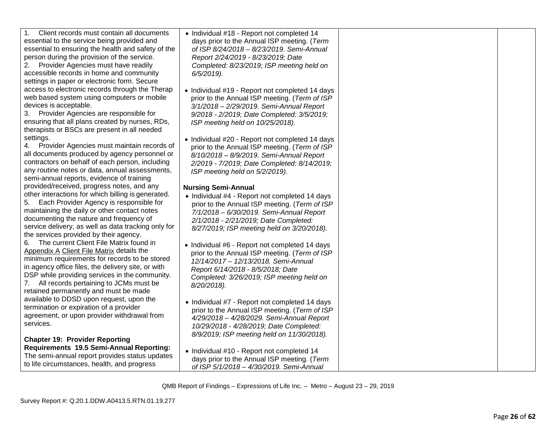| Client records must contain all documents<br>1.<br>essential to the service being provided and<br>essential to ensuring the health and safety of the<br>person during the provision of the service.<br>Provider Agencies must have readily<br>accessible records in home and community<br>settings in paper or electronic form. Secure        | • Individual #18 - Report not completed 14<br>days prior to the Annual ISP meeting. (Term<br>of ISP 8/24/2018 - 8/23/2019. Semi-Annual<br>Report 2/24/2019 - 8/23/2019; Date<br>Completed: 8/23/2019; ISP meeting held on<br>$6/5/2019$ ).                       |  |
|-----------------------------------------------------------------------------------------------------------------------------------------------------------------------------------------------------------------------------------------------------------------------------------------------------------------------------------------------|------------------------------------------------------------------------------------------------------------------------------------------------------------------------------------------------------------------------------------------------------------------|--|
| access to electronic records through the Therap<br>web based system using computers or mobile<br>devices is acceptable.<br>3. Provider Agencies are responsible for<br>ensuring that all plans created by nurses, RDs,<br>therapists or BSCs are present in all needed                                                                        | • Individual #19 - Report not completed 14 days<br>prior to the Annual ISP meeting. (Term of ISP<br>3/1/2018 - 2/29/2019. Semi-Annual Report<br>9/2018 - 2/2019; Date Completed: 3/5/2019;<br>ISP meeting held on 10/25/2018).                                   |  |
| settings.<br>Provider Agencies must maintain records of<br>4.<br>all documents produced by agency personnel or<br>contractors on behalf of each person, including<br>any routine notes or data, annual assessments,<br>semi-annual reports, evidence of training                                                                              | • Individual #20 - Report not completed 14 days<br>prior to the Annual ISP meeting. (Term of ISP<br>8/10/2018 - 8/9/2019. Semi-Annual Report<br>2/2019 - 7/2019; Date Completed: 8/14/2019;<br>ISP meeting held on 5/2/2019).                                    |  |
| provided/received, progress notes, and any<br>other interactions for which billing is generated.<br>Each Provider Agency is responsible for<br>5.<br>maintaining the daily or other contact notes<br>documenting the nature and frequency of<br>service delivery, as well as data tracking only for<br>the services provided by their agency. | <b>Nursing Semi-Annual</b><br>• Individual #4 - Report not completed 14 days<br>prior to the Annual ISP meeting. (Term of ISP<br>7/1/2018 - 6/30/2019. Semi-Annual Report<br>2/1/2018 - 2/21/2019; Date Completed:<br>8/27/2019; ISP meeting held on 3/20/2018). |  |
| The current Client File Matrix found in<br>6.<br>Appendix A Client File Matrix details the<br>minimum requirements for records to be stored<br>in agency office files, the delivery site, or with<br>DSP while providing services in the community.<br>7. All records pertaining to JCMs must be<br>retained permanently and must be made     | • Individual #6 - Report not completed 14 days<br>prior to the Annual ISP meeting. (Term of ISP<br>12/14/2017 - 12/13/2018. Semi-Annual<br>Report 6/14/2018 - 8/5/2018; Date<br>Completed: 3/26/2019; ISP meeting held on<br>8/20/2018).                         |  |
| available to DDSD upon request, upon the<br>termination or expiration of a provider<br>agreement, or upon provider withdrawal from<br>services.                                                                                                                                                                                               | • Individual #7 - Report not completed 14 days<br>prior to the Annual ISP meeting. (Term of ISP<br>4/29/2018 - 4/28/2029. Semi-Annual Report<br>10/29/2018 - 4/28/2019; Date Completed:<br>8/9/2019; ISP meeting held on 11/30/2018).                            |  |
| <b>Chapter 19: Provider Reporting</b><br>Requirements 19.5 Semi-Annual Reporting:<br>The semi-annual report provides status updates<br>to life circumstances, health, and progress                                                                                                                                                            | • Individual #10 - Report not completed 14<br>days prior to the Annual ISP meeting. (Term<br>of ISP 5/1/2018 - 4/30/2019. Semi-Annual                                                                                                                            |  |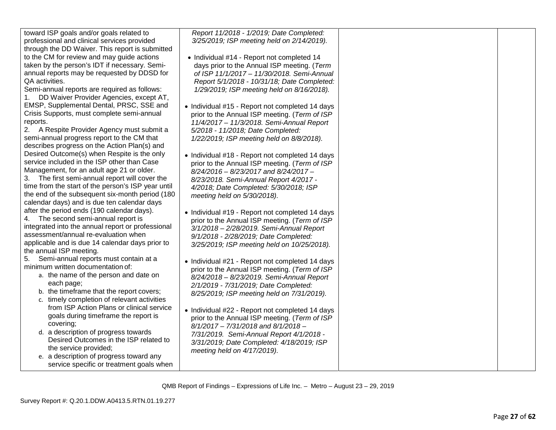| toward ISP goals and/or goals related to        |
|-------------------------------------------------|
| professional and clinical services provided     |
| through the DD Waiver. This report is submitted |
| to the CM for review and may guide actions      |
| taken by the person's IDT if necessary. Semi-   |
| annual reports may be requested by DDSD for     |
| QA activities.                                  |
|                                                 |

Semi -annual reports are required as follows : 1. DD Waiver Provider Agencies, except AT, EMSP, Supplemental Dental, PRSC, SSE and Crisis Supports, must complete semi -annual reports.

2. A Respite Provider Agency must submit a semi -annual progress report to the CM that describes progress on the Action Plan(s) and Desired Outcome(s) when Respite is the only service included in the ISP other than Case Management, for an adult age 21 or older.

3. The first semi -annual report will cover the time from the start of the person's ISP year until the end of the subsequent six -month period (180 calendar days) and is due ten calendar days after the period ends (190 calendar days).

4. The second semi -annual report is integrated into the annual report or professional assessment/annual re -evaluation when applicable and is due 14 calendar days prior to the annual ISP meeting.

5. Semi -annual reports must contain at a minimum written documentation of:

- a. the name of the person and date on each page;
- b. the timeframe that the report covers;
- c. timely completion of relevant activities from ISP Action Plans or clinical service goals during timeframe the report is covering;
- d. a description of progress towards Desired Outcomes in the ISP related to the service provided;
- e. a description of progress toward any service specific or treatment goals when

*Report 11/2018 - 1/2019; Date Completed: 3/25/2019; ISP meeting held on 2/14/2019).*

- Individual #14 Report not completed 14 days prior to the Annual ISP meeting. (*Term of ISP 11/1/2017 – 11/30/2018. Semi -Annual Report 5/1/2018 - 10/31/18; Date Completed: 1/29/2019; ISP meeting held on 8/16/2018).*
- Individual #15 Report not completed 14 days prior to the Annual ISP meeting. (*Term of ISP 11/4/2017 – 11/3/2018. Semi -Annual Report 5/2018 - 11/2018; Date Completed: 1/22/2019; ISP meeting held on 8/8/2018).*
- Individual #18 Report not completed 14 days prior to the Annual ISP meeting. (*Term of ISP 8/24/2016 – 8/23/2017 and 8/24/2017 – 8/23/2018. Semi -Annual Report 4/2017 - 4/2018; Date Completed: 5/30/2018; ISP meeting held on 5/30/2018).*
- Individual #19 Report not completed 14 days prior to the Annual ISP meeting. (*Term of ISP 3/1/2018 – 2/28/2019. Semi -Annual Report 9/1/2018 - 2/28/2019; Date Completed: 3/25/2019; ISP meeting held on 10/25/2018).*
- Individual #21 Report not completed 14 days prior to the Annual ISP meeting. (*Term of ISP 8/24/2018 – 8/23/2019. Semi -Annual Report 2/1/2019 - 7/31/2019; Date Completed: 8/25/2019; ISP meeting held on 7/31/2019).*
- Individual #22 Report not completed 14 days prior to the Annual ISP meeting. (*Term of ISP 8/1/2017 – 7/31/2018 and 8/1/2018 – 7/31/2019. Semi -Annual Report 4/1/2018 - 3/31/2019; Date Completed: 4/18/2019; ISP meeting held on 4/17/2019).*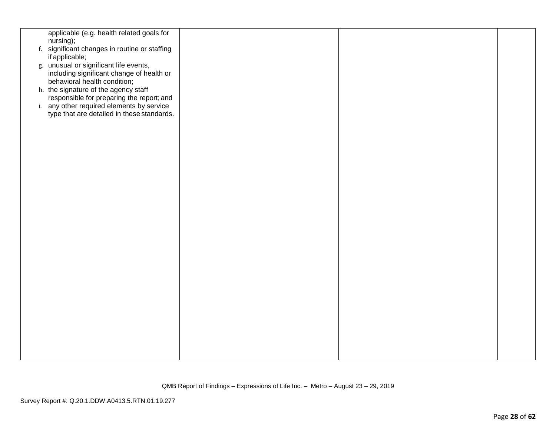| applicable (e.g. health related goals for                                 |  |  |
|---------------------------------------------------------------------------|--|--|
| nursing);                                                                 |  |  |
| f. significant changes in routine or staffing<br>if applicable;           |  |  |
| g. unusual or significant life events,                                    |  |  |
| including significant change of health or<br>behavioral health condition; |  |  |
| h. the signature of the agency staff                                      |  |  |
| responsible for preparing the report; and                                 |  |  |
| i. any other required elements by service                                 |  |  |
| type that are detailed in these standards.                                |  |  |
|                                                                           |  |  |
|                                                                           |  |  |
|                                                                           |  |  |
|                                                                           |  |  |
|                                                                           |  |  |
|                                                                           |  |  |
|                                                                           |  |  |
|                                                                           |  |  |
|                                                                           |  |  |
|                                                                           |  |  |
|                                                                           |  |  |
|                                                                           |  |  |
|                                                                           |  |  |
|                                                                           |  |  |
|                                                                           |  |  |
|                                                                           |  |  |
|                                                                           |  |  |
|                                                                           |  |  |
|                                                                           |  |  |
|                                                                           |  |  |
|                                                                           |  |  |
|                                                                           |  |  |
|                                                                           |  |  |
|                                                                           |  |  |
|                                                                           |  |  |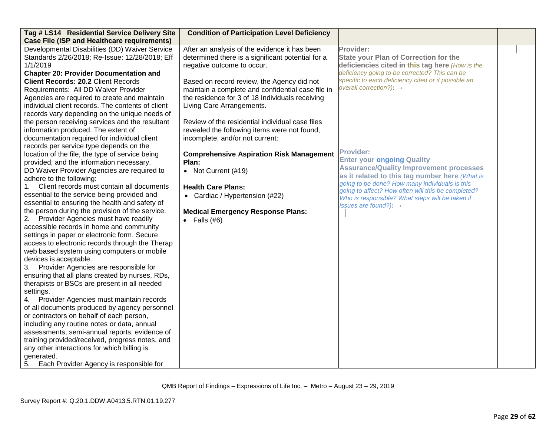| Tag # LS14 Residential Service Delivery Site                                                         | <b>Condition of Participation Level Deficiency</b> |                                                                                                       |  |
|------------------------------------------------------------------------------------------------------|----------------------------------------------------|-------------------------------------------------------------------------------------------------------|--|
| <b>Case File (ISP and Healthcare requirements)</b><br>Developmental Disabilities (DD) Waiver Service | After an analysis of the evidence it has been      | Provider:                                                                                             |  |
| Standards 2/26/2018; Re-Issue: 12/28/2018; Eff                                                       | determined there is a significant potential for a  | <b>State your Plan of Correction for the</b>                                                          |  |
| 1/1/2019                                                                                             | negative outcome to occur.                         | deficiencies cited in this tag here (How is the                                                       |  |
| <b>Chapter 20: Provider Documentation and</b>                                                        |                                                    | deficiency going to be corrected? This can be                                                         |  |
| <b>Client Records: 20.2 Client Records</b>                                                           | Based on record review, the Agency did not         | specific to each deficiency cited or if possible an                                                   |  |
| Requirements: All DD Waiver Provider                                                                 | maintain a complete and confidential case file in  | overall correction?): $\rightarrow$                                                                   |  |
| Agencies are required to create and maintain                                                         | the residence for 3 of 18 Individuals receiving    |                                                                                                       |  |
| individual client records. The contents of client                                                    | Living Care Arrangements.                          |                                                                                                       |  |
| records vary depending on the unique needs of                                                        |                                                    |                                                                                                       |  |
| the person receiving services and the resultant                                                      | Review of the residential individual case files    |                                                                                                       |  |
| information produced. The extent of                                                                  | revealed the following items were not found,       |                                                                                                       |  |
| documentation required for individual client                                                         | incomplete, and/or not current:                    |                                                                                                       |  |
| records per service type depends on the                                                              |                                                    |                                                                                                       |  |
| location of the file, the type of service being                                                      | <b>Comprehensive Aspiration Risk Management</b>    | <b>Provider:</b>                                                                                      |  |
| provided, and the information necessary.                                                             | Plan:                                              | <b>Enter your ongoing Quality</b>                                                                     |  |
| DD Waiver Provider Agencies are required to                                                          | • Not Current (#19)                                | <b>Assurance/Quality Improvement processes</b>                                                        |  |
| adhere to the following:                                                                             |                                                    | as it related to this tag number here (What is                                                        |  |
| Client records must contain all documents<br>1.                                                      | <b>Health Care Plans:</b>                          | going to be done? How many individuals is this                                                        |  |
| essential to the service being provided and                                                          | • Cardiac / Hypertension (#22)                     | going to affect? How often will this be completed?<br>Who is responsible? What steps will be taken if |  |
| essential to ensuring the health and safety of                                                       |                                                    | issues are found?): $\rightarrow$                                                                     |  |
| the person during the provision of the service.                                                      | <b>Medical Emergency Response Plans:</b>           |                                                                                                       |  |
| 2.<br>Provider Agencies must have readily                                                            | Falls $(\#6)$<br>$\bullet$                         |                                                                                                       |  |
| accessible records in home and community                                                             |                                                    |                                                                                                       |  |
| settings in paper or electronic form. Secure                                                         |                                                    |                                                                                                       |  |
| access to electronic records through the Therap                                                      |                                                    |                                                                                                       |  |
| web based system using computers or mobile                                                           |                                                    |                                                                                                       |  |
| devices is acceptable.                                                                               |                                                    |                                                                                                       |  |
| Provider Agencies are responsible for<br>3.                                                          |                                                    |                                                                                                       |  |
| ensuring that all plans created by nurses, RDs,                                                      |                                                    |                                                                                                       |  |
| therapists or BSCs are present in all needed                                                         |                                                    |                                                                                                       |  |
| settings.                                                                                            |                                                    |                                                                                                       |  |
| 4. Provider Agencies must maintain records<br>of all documents produced by agency personnel          |                                                    |                                                                                                       |  |
| or contractors on behalf of each person,                                                             |                                                    |                                                                                                       |  |
| including any routine notes or data, annual                                                          |                                                    |                                                                                                       |  |
| assessments, semi-annual reports, evidence of                                                        |                                                    |                                                                                                       |  |
| training provided/received, progress notes, and                                                      |                                                    |                                                                                                       |  |
| any other interactions for which billing is                                                          |                                                    |                                                                                                       |  |
| generated.                                                                                           |                                                    |                                                                                                       |  |
| Each Provider Agency is responsible for<br>5.                                                        |                                                    |                                                                                                       |  |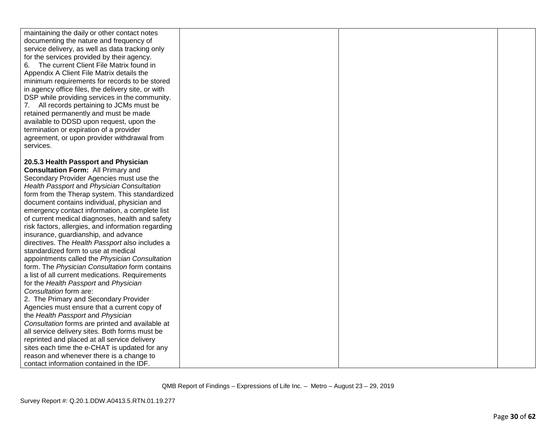| maintaining the daily or other contact notes<br>documenting the nature and frequency of<br>service delivery, as well as data tracking only<br>for the services provided by their agency.<br>The current Client File Matrix found in<br>6.<br>Appendix A Client File Matrix details the<br>minimum requirements for records to be stored<br>in agency office files, the delivery site, or with<br>DSP while providing services in the community.<br>7. All records pertaining to JCMs must be<br>retained permanently and must be made |  |  |
|---------------------------------------------------------------------------------------------------------------------------------------------------------------------------------------------------------------------------------------------------------------------------------------------------------------------------------------------------------------------------------------------------------------------------------------------------------------------------------------------------------------------------------------|--|--|
| available to DDSD upon request, upon the                                                                                                                                                                                                                                                                                                                                                                                                                                                                                              |  |  |
| termination or expiration of a provider                                                                                                                                                                                                                                                                                                                                                                                                                                                                                               |  |  |
| agreement, or upon provider withdrawal from                                                                                                                                                                                                                                                                                                                                                                                                                                                                                           |  |  |
| services.                                                                                                                                                                                                                                                                                                                                                                                                                                                                                                                             |  |  |
|                                                                                                                                                                                                                                                                                                                                                                                                                                                                                                                                       |  |  |
| 20.5.3 Health Passport and Physician                                                                                                                                                                                                                                                                                                                                                                                                                                                                                                  |  |  |
| <b>Consultation Form: All Primary and</b>                                                                                                                                                                                                                                                                                                                                                                                                                                                                                             |  |  |
| Secondary Provider Agencies must use the                                                                                                                                                                                                                                                                                                                                                                                                                                                                                              |  |  |
| Health Passport and Physician Consultation<br>form from the Therap system. This standardized                                                                                                                                                                                                                                                                                                                                                                                                                                          |  |  |
| document contains individual, physician and                                                                                                                                                                                                                                                                                                                                                                                                                                                                                           |  |  |
| emergency contact information, a complete list                                                                                                                                                                                                                                                                                                                                                                                                                                                                                        |  |  |
| of current medical diagnoses, health and safety                                                                                                                                                                                                                                                                                                                                                                                                                                                                                       |  |  |
| risk factors, allergies, and information regarding                                                                                                                                                                                                                                                                                                                                                                                                                                                                                    |  |  |
| insurance, guardianship, and advance                                                                                                                                                                                                                                                                                                                                                                                                                                                                                                  |  |  |
| directives. The Health Passport also includes a                                                                                                                                                                                                                                                                                                                                                                                                                                                                                       |  |  |
| standardized form to use at medical                                                                                                                                                                                                                                                                                                                                                                                                                                                                                                   |  |  |
| appointments called the Physician Consultation                                                                                                                                                                                                                                                                                                                                                                                                                                                                                        |  |  |
| form. The Physician Consultation form contains                                                                                                                                                                                                                                                                                                                                                                                                                                                                                        |  |  |
| a list of all current medications. Requirements                                                                                                                                                                                                                                                                                                                                                                                                                                                                                       |  |  |
| for the Health Passport and Physician                                                                                                                                                                                                                                                                                                                                                                                                                                                                                                 |  |  |
| Consultation form are:                                                                                                                                                                                                                                                                                                                                                                                                                                                                                                                |  |  |
| 2. The Primary and Secondary Provider                                                                                                                                                                                                                                                                                                                                                                                                                                                                                                 |  |  |
| Agencies must ensure that a current copy of                                                                                                                                                                                                                                                                                                                                                                                                                                                                                           |  |  |
| the Health Passport and Physician                                                                                                                                                                                                                                                                                                                                                                                                                                                                                                     |  |  |
| Consultation forms are printed and available at                                                                                                                                                                                                                                                                                                                                                                                                                                                                                       |  |  |
| all service delivery sites. Both forms must be                                                                                                                                                                                                                                                                                                                                                                                                                                                                                        |  |  |
| reprinted and placed at all service delivery                                                                                                                                                                                                                                                                                                                                                                                                                                                                                          |  |  |
| sites each time the e-CHAT is updated for any                                                                                                                                                                                                                                                                                                                                                                                                                                                                                         |  |  |
| reason and whenever there is a change to                                                                                                                                                                                                                                                                                                                                                                                                                                                                                              |  |  |
| contact information contained in the IDF.                                                                                                                                                                                                                                                                                                                                                                                                                                                                                             |  |  |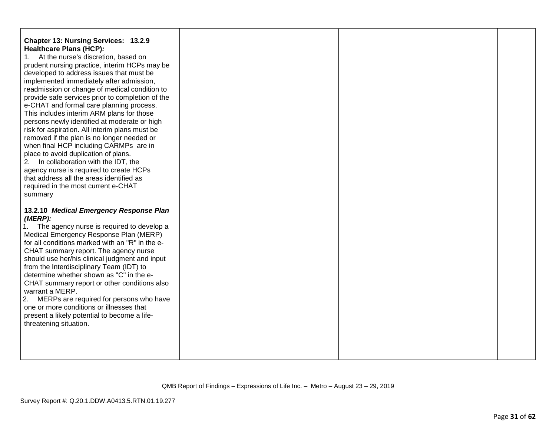## **Chapter 13: Nursing Services: 13.2.9 Healthcare Plans (HCP)***:*

1. At the nurse's discretion, based on prudent nursing practice, interim HCPs may be developed to address issues that must be implemented immediately after admission, readmission or change of medical condition to provide safe services prior to completion of the e-CHAT and formal care planning process. This includes interim ARM plans for those persons newly identified at moderate or high risk for aspiration. All interim plans must be removed if the plan is no longer needed or when final HCP including CARMPs are in place to avoid duplication of plans.

2. In collaboration with the IDT, the agency nurse is required to create HCPs that address all the areas identified as required in the most current e-CHAT summary

### **13.2.10** *Medical Emergency Response Plan (MERP):*

1. The agency nurse is required to develop a Medical Emergency Response Plan (MERP) for all conditions marked with an "R" in the e-CHAT summary report. The agency nurse should use her/his clinical judgment and input from the Interdisciplinary Team (IDT) to determine whether shown as "C" in the e-CHAT summary report or other conditions also warrant a MERP.

2. MERPs are required for persons who have one or more conditions or illnesses that present a likely potential to become a lifethreatening situation.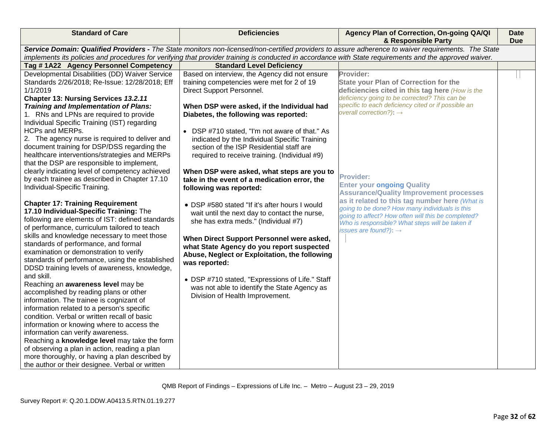| <b>Standard of Care</b>                                                                                                                             | <b>Deficiencies</b>                                                                                                                                     | Agency Plan of Correction, On-going QA/QI<br>& Responsible Party | <b>Date</b><br><b>Due</b> |
|-----------------------------------------------------------------------------------------------------------------------------------------------------|---------------------------------------------------------------------------------------------------------------------------------------------------------|------------------------------------------------------------------|---------------------------|
| Service Domain: Qualified Providers - The State monitors non-licensed/non-certified providers to assure adherence to waiver requirements. The State |                                                                                                                                                         |                                                                  |                           |
|                                                                                                                                                     | implements its policies and procedures for verifying that provider training is conducted in accordance with State requirements and the approved waiver. |                                                                  |                           |
| Tag #1A22 Agency Personnel Competency                                                                                                               | <b>Standard Level Deficiency</b>                                                                                                                        |                                                                  |                           |
| Developmental Disabilities (DD) Waiver Service                                                                                                      | Based on interview, the Agency did not ensure                                                                                                           | Provider:                                                        |                           |
| Standards 2/26/2018; Re-Issue: 12/28/2018; Eff                                                                                                      | training competencies were met for 2 of 19                                                                                                              | <b>State your Plan of Correction for the</b>                     |                           |
| 1/1/2019                                                                                                                                            | Direct Support Personnel.                                                                                                                               | deficiencies cited in this tag here (How is the                  |                           |
| Chapter 13: Nursing Services 13.2.11                                                                                                                |                                                                                                                                                         | deficiency going to be corrected? This can be                    |                           |
| Training and Implementation of Plans:                                                                                                               | When DSP were asked, if the Individual had                                                                                                              | specific to each deficiency cited or if possible an              |                           |
| 1. RNs and LPNs are required to provide                                                                                                             | Diabetes, the following was reported:                                                                                                                   | overall correction?): $\rightarrow$                              |                           |
| Individual Specific Training (IST) regarding                                                                                                        |                                                                                                                                                         |                                                                  |                           |
| <b>HCPs and MERPs.</b>                                                                                                                              | • DSP #710 stated, "I'm not aware of that." As                                                                                                          |                                                                  |                           |
| 2. The agency nurse is required to deliver and                                                                                                      | indicated by the Individual Specific Training                                                                                                           |                                                                  |                           |
| document training for DSP/DSS regarding the                                                                                                         | section of the ISP Residential staff are                                                                                                                |                                                                  |                           |
| healthcare interventions/strategies and MERPs                                                                                                       | required to receive training. (Individual #9)                                                                                                           |                                                                  |                           |
| that the DSP are responsible to implement,                                                                                                          |                                                                                                                                                         |                                                                  |                           |
| clearly indicating level of competency achieved                                                                                                     | When DSP were asked, what steps are you to                                                                                                              |                                                                  |                           |
| by each trainee as described in Chapter 17.10                                                                                                       | take in the event of a medication error, the                                                                                                            | <b>Provider:</b>                                                 |                           |
| Individual-Specific Training.                                                                                                                       | following was reported:                                                                                                                                 | <b>Enter your ongoing Quality</b>                                |                           |
|                                                                                                                                                     |                                                                                                                                                         | <b>Assurance/Quality Improvement processes</b>                   |                           |
| <b>Chapter 17: Training Requirement</b>                                                                                                             | • DSP #580 stated "If it's after hours I would                                                                                                          | as it related to this tag number here (What is                   |                           |
| 17.10 Individual-Specific Training: The                                                                                                             | wait until the next day to contact the nurse,                                                                                                           | going to be done? How many individuals is this                   |                           |
| following are elements of IST: defined standards                                                                                                    | she has extra meds." (Individual #7)                                                                                                                    | going to affect? How often will this be completed?               |                           |
| of performance, curriculum tailored to teach                                                                                                        |                                                                                                                                                         | Who is responsible? What steps will be taken if                  |                           |
| skills and knowledge necessary to meet those                                                                                                        |                                                                                                                                                         | issues are found?): $\rightarrow$                                |                           |
| standards of performance, and formal                                                                                                                | When Direct Support Personnel were asked,                                                                                                               |                                                                  |                           |
| examination or demonstration to verify                                                                                                              | what State Agency do you report suspected                                                                                                               |                                                                  |                           |
| standards of performance, using the established                                                                                                     | Abuse, Neglect or Exploitation, the following                                                                                                           |                                                                  |                           |
| DDSD training levels of awareness, knowledge,                                                                                                       | was reported:                                                                                                                                           |                                                                  |                           |
| and skill.                                                                                                                                          |                                                                                                                                                         |                                                                  |                           |
| Reaching an awareness level may be                                                                                                                  | • DSP #710 stated, "Expressions of Life." Staff                                                                                                         |                                                                  |                           |
| accomplished by reading plans or other                                                                                                              | was not able to identify the State Agency as                                                                                                            |                                                                  |                           |
| information. The trainee is cognizant of                                                                                                            | Division of Health Improvement.                                                                                                                         |                                                                  |                           |
| information related to a person's specific                                                                                                          |                                                                                                                                                         |                                                                  |                           |
| condition. Verbal or written recall of basic                                                                                                        |                                                                                                                                                         |                                                                  |                           |
| information or knowing where to access the                                                                                                          |                                                                                                                                                         |                                                                  |                           |
| information can verify awareness.                                                                                                                   |                                                                                                                                                         |                                                                  |                           |
| Reaching a knowledge level may take the form                                                                                                        |                                                                                                                                                         |                                                                  |                           |
| of observing a plan in action, reading a plan                                                                                                       |                                                                                                                                                         |                                                                  |                           |
| more thoroughly, or having a plan described by                                                                                                      |                                                                                                                                                         |                                                                  |                           |
| the author or their designee. Verbal or written                                                                                                     |                                                                                                                                                         |                                                                  |                           |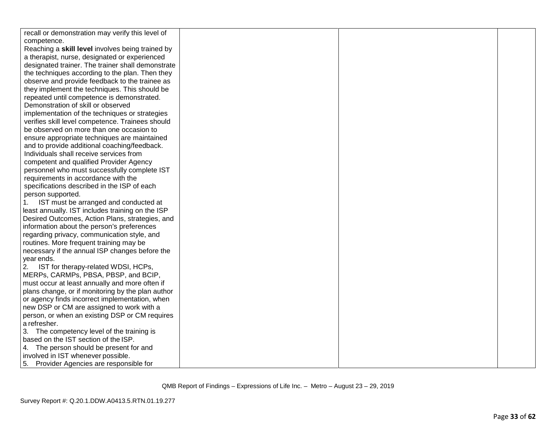| recall or demonstration may verify this level of  |  |  |
|---------------------------------------------------|--|--|
| competence.                                       |  |  |
| Reaching a skill level involves being trained by  |  |  |
| a therapist, nurse, designated or experienced     |  |  |
| designated trainer. The trainer shall demonstrate |  |  |
| the techniques according to the plan. Then they   |  |  |
| observe and provide feedback to the trainee as    |  |  |
| they implement the techniques. This should be     |  |  |
| repeated until competence is demonstrated.        |  |  |
| Demonstration of skill or observed                |  |  |
| implementation of the techniques or strategies    |  |  |
| verifies skill level competence. Trainees should  |  |  |
| be observed on more than one occasion to          |  |  |
| ensure appropriate techniques are maintained      |  |  |
| and to provide additional coaching/feedback.      |  |  |
| Individuals shall receive services from           |  |  |
| competent and qualified Provider Agency           |  |  |
| personnel who must successfully complete IST      |  |  |
| requirements in accordance with the               |  |  |
| specifications described in the ISP of each       |  |  |
| person supported.                                 |  |  |
| IST must be arranged and conducted at<br>1.       |  |  |
| least annually. IST includes training on the ISP  |  |  |
| Desired Outcomes, Action Plans, strategies, and   |  |  |
| information about the person's preferences        |  |  |
| regarding privacy, communication style, and       |  |  |
| routines. More frequent training may be           |  |  |
| necessary if the annual ISP changes before the    |  |  |
| year ends.                                        |  |  |
| 2.<br>IST for therapy-related WDSI, HCPs,         |  |  |
| MERPs, CARMPs, PBSA, PBSP, and BCIP,              |  |  |
| must occur at least annually and more often if    |  |  |
| plans change, or if monitoring by the plan author |  |  |
| or agency finds incorrect implementation, when    |  |  |
| new DSP or CM are assigned to work with a         |  |  |
| person, or when an existing DSP or CM requires    |  |  |
| a refresher.                                      |  |  |
| 3. The competency level of the training is        |  |  |
| based on the IST section of the ISP.              |  |  |
| 4. The person should be present for and           |  |  |
| involved in IST whenever possible.                |  |  |
| 5. Provider Agencies are responsible for          |  |  |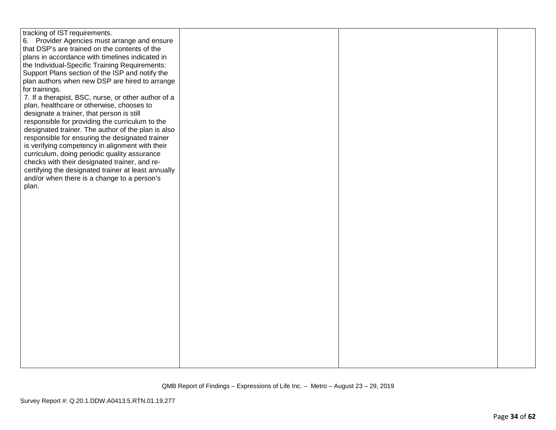| tracking of IST requirements.                       |  |  |
|-----------------------------------------------------|--|--|
| 6. Provider Agencies must arrange and ensure        |  |  |
| that DSP's are trained on the contents of the       |  |  |
| plans in accordance with timelines indicated in     |  |  |
| the Individual-Specific Training Requirements:      |  |  |
| Support Plans section of the ISP and notify the     |  |  |
| plan authors when new DSP are hired to arrange      |  |  |
| for trainings.                                      |  |  |
| 7. If a therapist, BSC, nurse, or other author of a |  |  |
| plan, healthcare or otherwise, chooses to           |  |  |
| designate a trainer, that person is still           |  |  |
| responsible for providing the curriculum to the     |  |  |
| designated trainer. The author of the plan is also  |  |  |
| responsible for ensuring the designated trainer     |  |  |
|                                                     |  |  |
| is verifying competency in alignment with their     |  |  |
| curriculum, doing periodic quality assurance        |  |  |
| checks with their designated trainer, and re-       |  |  |
| certifying the designated trainer at least annually |  |  |
| and/or when there is a change to a person's         |  |  |
| plan.                                               |  |  |
|                                                     |  |  |
|                                                     |  |  |
|                                                     |  |  |
|                                                     |  |  |
|                                                     |  |  |
|                                                     |  |  |
|                                                     |  |  |
|                                                     |  |  |
|                                                     |  |  |
|                                                     |  |  |
|                                                     |  |  |
|                                                     |  |  |
|                                                     |  |  |
|                                                     |  |  |
|                                                     |  |  |
|                                                     |  |  |
|                                                     |  |  |
|                                                     |  |  |
|                                                     |  |  |
|                                                     |  |  |
|                                                     |  |  |
|                                                     |  |  |
|                                                     |  |  |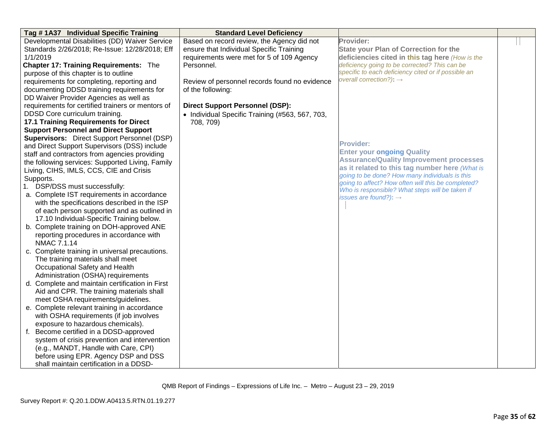| Tag # 1A37 Individual Specific Training                | <b>Standard Level Deficiency</b>                |                                                                                                      |  |
|--------------------------------------------------------|-------------------------------------------------|------------------------------------------------------------------------------------------------------|--|
| Developmental Disabilities (DD) Waiver Service         | Based on record review, the Agency did not      | Provider:                                                                                            |  |
| Standards 2/26/2018; Re-Issue: 12/28/2018; Eff         | ensure that Individual Specific Training        | <b>State your Plan of Correction for the</b>                                                         |  |
| 1/1/2019                                               | requirements were met for 5 of 109 Agency       | deficiencies cited in this tag here (How is the                                                      |  |
| Chapter 17: Training Requirements: The                 | Personnel.                                      | deficiency going to be corrected? This can be                                                        |  |
| purpose of this chapter is to outline                  |                                                 | specific to each deficiency cited or if possible an                                                  |  |
| requirements for completing, reporting and             | Review of personnel records found no evidence   | overall correction?): $\rightarrow$                                                                  |  |
| documenting DDSD training requirements for             | of the following:                               |                                                                                                      |  |
| DD Waiver Provider Agencies as well as                 |                                                 |                                                                                                      |  |
| requirements for certified trainers or mentors of      | <b>Direct Support Personnel (DSP):</b>          |                                                                                                      |  |
| DDSD Core curriculum training.                         | • Individual Specific Training (#563, 567, 703, |                                                                                                      |  |
| <b>17.1 Training Requirements for Direct</b>           | 708, 709)                                       |                                                                                                      |  |
| <b>Support Personnel and Direct Support</b>            |                                                 |                                                                                                      |  |
| <b>Supervisors:</b> Direct Support Personnel (DSP)     |                                                 |                                                                                                      |  |
| and Direct Support Supervisors (DSS) include           |                                                 | <b>Provider:</b>                                                                                     |  |
| staff and contractors from agencies providing          |                                                 | <b>Enter your ongoing Quality</b>                                                                    |  |
| the following services: Supported Living, Family       |                                                 | <b>Assurance/Quality Improvement processes</b>                                                       |  |
| Living, CIHS, IMLS, CCS, CIE and Crisis                |                                                 | as it related to this tag number here (What is                                                       |  |
| Supports.                                              |                                                 | going to be done? How many individuals is this<br>going to affect? How often will this be completed? |  |
| 1. DSP/DSS must successfully:                          |                                                 | Who is responsible? What steps will be taken if                                                      |  |
| a. Complete IST requirements in accordance             |                                                 | issues are found?): $\rightarrow$                                                                    |  |
| with the specifications described in the ISP           |                                                 |                                                                                                      |  |
| of each person supported and as outlined in            |                                                 |                                                                                                      |  |
| 17.10 Individual-Specific Training below.              |                                                 |                                                                                                      |  |
| b. Complete training on DOH-approved ANE               |                                                 |                                                                                                      |  |
| reporting procedures in accordance with<br>NMAC 7.1.14 |                                                 |                                                                                                      |  |
| c. Complete training in universal precautions.         |                                                 |                                                                                                      |  |
| The training materials shall meet                      |                                                 |                                                                                                      |  |
| Occupational Safety and Health                         |                                                 |                                                                                                      |  |
| Administration (OSHA) requirements                     |                                                 |                                                                                                      |  |
| d. Complete and maintain certification in First        |                                                 |                                                                                                      |  |
| Aid and CPR. The training materials shall              |                                                 |                                                                                                      |  |
| meet OSHA requirements/guidelines.                     |                                                 |                                                                                                      |  |
| e. Complete relevant training in accordance            |                                                 |                                                                                                      |  |
| with OSHA requirements (if job involves                |                                                 |                                                                                                      |  |
| exposure to hazardous chemicals).                      |                                                 |                                                                                                      |  |
| f. Become certified in a DDSD-approved                 |                                                 |                                                                                                      |  |
| system of crisis prevention and intervention           |                                                 |                                                                                                      |  |
| (e.g., MANDT, Handle with Care, CPI)                   |                                                 |                                                                                                      |  |
| before using EPR. Agency DSP and DSS                   |                                                 |                                                                                                      |  |
| shall maintain certification in a DDSD-                |                                                 |                                                                                                      |  |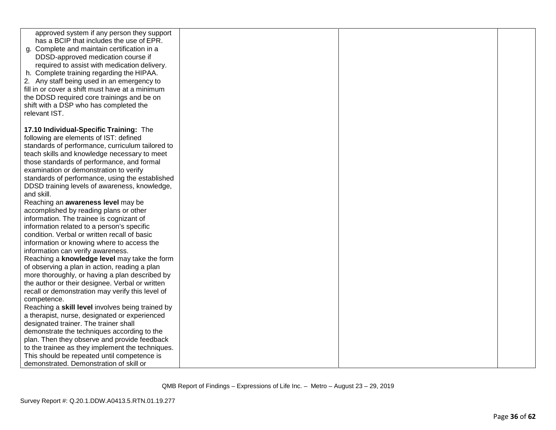| approved system if any person they support<br>has a BCIP that includes the use of EPR. |  |  |
|----------------------------------------------------------------------------------------|--|--|
| g. Complete and maintain certification in a                                            |  |  |
|                                                                                        |  |  |
| DDSD-approved medication course if                                                     |  |  |
| required to assist with medication delivery.                                           |  |  |
| h. Complete training regarding the HIPAA.                                              |  |  |
| 2. Any staff being used in an emergency to                                             |  |  |
| fill in or cover a shift must have at a minimum                                        |  |  |
| the DDSD required core trainings and be on                                             |  |  |
| shift with a DSP who has completed the                                                 |  |  |
| relevant IST.                                                                          |  |  |
| 17.10 Individual-Specific Training: The                                                |  |  |
| following are elements of IST: defined                                                 |  |  |
| standards of performance, curriculum tailored to                                       |  |  |
| teach skills and knowledge necessary to meet                                           |  |  |
| those standards of performance, and formal                                             |  |  |
| examination or demonstration to verify                                                 |  |  |
| standards of performance, using the established                                        |  |  |
| DDSD training levels of awareness, knowledge,                                          |  |  |
| and skill.                                                                             |  |  |
| Reaching an awareness level may be                                                     |  |  |
| accomplished by reading plans or other                                                 |  |  |
| information. The trainee is cognizant of                                               |  |  |
| information related to a person's specific                                             |  |  |
| condition. Verbal or written recall of basic                                           |  |  |
| information or knowing where to access the                                             |  |  |
| information can verify awareness.                                                      |  |  |
| Reaching a knowledge level may take the form                                           |  |  |
| of observing a plan in action, reading a plan                                          |  |  |
| more thoroughly, or having a plan described by                                         |  |  |
| the author or their designee. Verbal or written                                        |  |  |
| recall or demonstration may verify this level of                                       |  |  |
| competence.                                                                            |  |  |
| Reaching a skill level involves being trained by                                       |  |  |
| a therapist, nurse, designated or experienced                                          |  |  |
| designated trainer. The trainer shall                                                  |  |  |
| demonstrate the techniques according to the                                            |  |  |
| plan. Then they observe and provide feedback                                           |  |  |
| to the trainee as they implement the techniques.                                       |  |  |
| This should be repeated until competence is                                            |  |  |
| demonstrated. Demonstration of skill or                                                |  |  |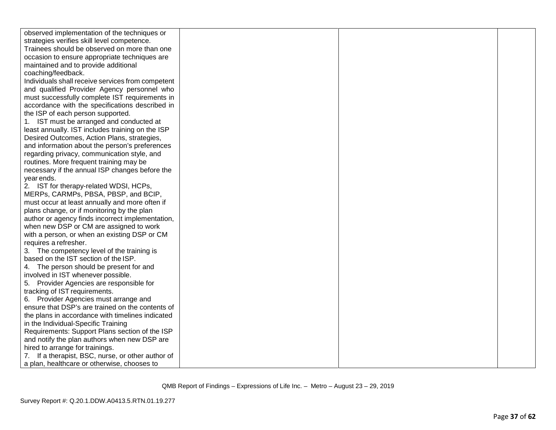| observed implementation of the techniques or      |  |  |
|---------------------------------------------------|--|--|
| strategies verifies skill level competence.       |  |  |
| Trainees should be observed on more than one      |  |  |
| occasion to ensure appropriate techniques are     |  |  |
| maintained and to provide additional              |  |  |
| coaching/feedback.                                |  |  |
| Individuals shall receive services from competent |  |  |
| and qualified Provider Agency personnel who       |  |  |
| must successfully complete IST requirements in    |  |  |
| accordance with the specifications described in   |  |  |
| the ISP of each person supported.                 |  |  |
| 1. IST must be arranged and conducted at          |  |  |
| least annually. IST includes training on the ISP  |  |  |
| Desired Outcomes, Action Plans, strategies,       |  |  |
| and information about the person's preferences    |  |  |
| regarding privacy, communication style, and       |  |  |
| routines. More frequent training may be           |  |  |
| necessary if the annual ISP changes before the    |  |  |
| year ends.                                        |  |  |
| 2. IST for therapy-related WDSI, HCPs,            |  |  |
| MERPs, CARMPs, PBSA, PBSP, and BCIP,              |  |  |
| must occur at least annually and more often if    |  |  |
| plans change, or if monitoring by the plan        |  |  |
| author or agency finds incorrect implementation,  |  |  |
| when new DSP or CM are assigned to work           |  |  |
| with a person, or when an existing DSP or CM      |  |  |
| requires a refresher.                             |  |  |
| 3. The competency level of the training is        |  |  |
| based on the IST section of the ISP.              |  |  |
| 4. The person should be present for and           |  |  |
| involved in IST whenever possible.                |  |  |
| 5. Provider Agencies are responsible for          |  |  |
| tracking of IST requirements.                     |  |  |
| 6. Provider Agencies must arrange and             |  |  |
| ensure that DSP's are trained on the contents of  |  |  |
| the plans in accordance with timelines indicated  |  |  |
| in the Individual-Specific Training               |  |  |
| Requirements: Support Plans section of the ISP    |  |  |
| and notify the plan authors when new DSP are      |  |  |
| hired to arrange for trainings.                   |  |  |
| 7. If a therapist, BSC, nurse, or other author of |  |  |
| a plan, healthcare or otherwise, chooses to       |  |  |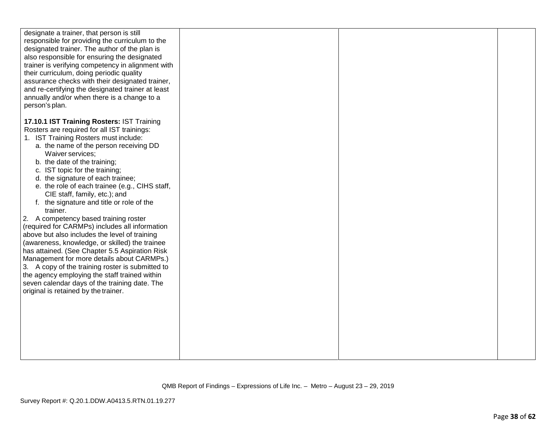| designate a trainer, that person is still<br>responsible for providing the curriculum to the<br>designated trainer. The author of the plan is<br>also responsible for ensuring the designated<br>trainer is verifying competency in alignment with<br>their curriculum, doing periodic quality<br>assurance checks with their designated trainer,<br>and re-certifying the designated trainer at least<br>annually and/or when there is a change to a<br>person's plan. |  |  |
|-------------------------------------------------------------------------------------------------------------------------------------------------------------------------------------------------------------------------------------------------------------------------------------------------------------------------------------------------------------------------------------------------------------------------------------------------------------------------|--|--|
| 17.10.1 IST Training Rosters: IST Training                                                                                                                                                                                                                                                                                                                                                                                                                              |  |  |
| Rosters are required for all IST trainings:                                                                                                                                                                                                                                                                                                                                                                                                                             |  |  |
| 1. IST Training Rosters must include:                                                                                                                                                                                                                                                                                                                                                                                                                                   |  |  |
| a. the name of the person receiving DD                                                                                                                                                                                                                                                                                                                                                                                                                                  |  |  |
| Waiver services;                                                                                                                                                                                                                                                                                                                                                                                                                                                        |  |  |
| b. the date of the training;                                                                                                                                                                                                                                                                                                                                                                                                                                            |  |  |
| c. IST topic for the training;                                                                                                                                                                                                                                                                                                                                                                                                                                          |  |  |
| d. the signature of each trainee;                                                                                                                                                                                                                                                                                                                                                                                                                                       |  |  |
| e. the role of each trainee (e.g., CIHS staff,                                                                                                                                                                                                                                                                                                                                                                                                                          |  |  |
| CIE staff, family, etc.); and                                                                                                                                                                                                                                                                                                                                                                                                                                           |  |  |
| f. the signature and title or role of the                                                                                                                                                                                                                                                                                                                                                                                                                               |  |  |
| trainer.                                                                                                                                                                                                                                                                                                                                                                                                                                                                |  |  |
| 2. A competency based training roster                                                                                                                                                                                                                                                                                                                                                                                                                                   |  |  |
| (required for CARMPs) includes all information<br>above but also includes the level of training                                                                                                                                                                                                                                                                                                                                                                         |  |  |
| (awareness, knowledge, or skilled) the trainee                                                                                                                                                                                                                                                                                                                                                                                                                          |  |  |
| has attained. (See Chapter 5.5 Aspiration Risk                                                                                                                                                                                                                                                                                                                                                                                                                          |  |  |
| Management for more details about CARMPs.)                                                                                                                                                                                                                                                                                                                                                                                                                              |  |  |
| 3. A copy of the training roster is submitted to                                                                                                                                                                                                                                                                                                                                                                                                                        |  |  |
| the agency employing the staff trained within                                                                                                                                                                                                                                                                                                                                                                                                                           |  |  |
| seven calendar days of the training date. The                                                                                                                                                                                                                                                                                                                                                                                                                           |  |  |
| original is retained by the trainer.                                                                                                                                                                                                                                                                                                                                                                                                                                    |  |  |
|                                                                                                                                                                                                                                                                                                                                                                                                                                                                         |  |  |
|                                                                                                                                                                                                                                                                                                                                                                                                                                                                         |  |  |
|                                                                                                                                                                                                                                                                                                                                                                                                                                                                         |  |  |
|                                                                                                                                                                                                                                                                                                                                                                                                                                                                         |  |  |
|                                                                                                                                                                                                                                                                                                                                                                                                                                                                         |  |  |
|                                                                                                                                                                                                                                                                                                                                                                                                                                                                         |  |  |
|                                                                                                                                                                                                                                                                                                                                                                                                                                                                         |  |  |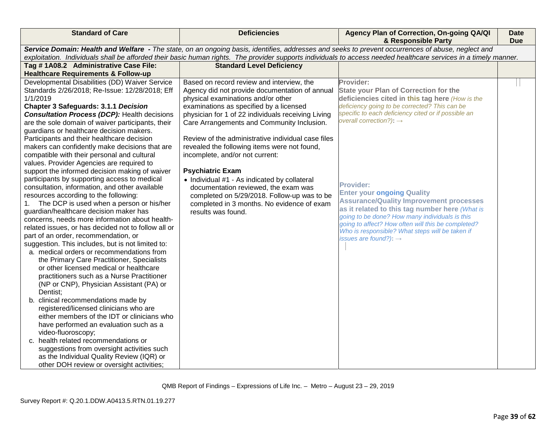| <b>Standard of Care</b>                                                                                                                                                                                                                                                                                                                                                                                                                                                                                                                                                                                                                                                                                                                                                                                                                                                                                                                                                                                                                                                                                                                                                                                                                                                                                                                                                                                                                                                                            | <b>Deficiencies</b>                                                                                                                                                                                                                                                                                                                                                                                                                                                                                                                                                                                                                                             | Agency Plan of Correction, On-going QA/QI<br>& Responsible Party                                                                                                                                                                                                                                                                                                                                                                                                                                                                                                                                                         | Date<br><b>Due</b> |
|----------------------------------------------------------------------------------------------------------------------------------------------------------------------------------------------------------------------------------------------------------------------------------------------------------------------------------------------------------------------------------------------------------------------------------------------------------------------------------------------------------------------------------------------------------------------------------------------------------------------------------------------------------------------------------------------------------------------------------------------------------------------------------------------------------------------------------------------------------------------------------------------------------------------------------------------------------------------------------------------------------------------------------------------------------------------------------------------------------------------------------------------------------------------------------------------------------------------------------------------------------------------------------------------------------------------------------------------------------------------------------------------------------------------------------------------------------------------------------------------------|-----------------------------------------------------------------------------------------------------------------------------------------------------------------------------------------------------------------------------------------------------------------------------------------------------------------------------------------------------------------------------------------------------------------------------------------------------------------------------------------------------------------------------------------------------------------------------------------------------------------------------------------------------------------|--------------------------------------------------------------------------------------------------------------------------------------------------------------------------------------------------------------------------------------------------------------------------------------------------------------------------------------------------------------------------------------------------------------------------------------------------------------------------------------------------------------------------------------------------------------------------------------------------------------------------|--------------------|
|                                                                                                                                                                                                                                                                                                                                                                                                                                                                                                                                                                                                                                                                                                                                                                                                                                                                                                                                                                                                                                                                                                                                                                                                                                                                                                                                                                                                                                                                                                    | Service Domain: Health and Welfare - The state, on an ongoing basis, identifies, addresses and seeks to prevent occurrences of abuse, neglect and                                                                                                                                                                                                                                                                                                                                                                                                                                                                                                               | exploitation. Individuals shall be afforded their basic human rights. The provider supports individuals to access needed healthcare services in a timely manner.                                                                                                                                                                                                                                                                                                                                                                                                                                                         |                    |
| Tag #1A08.2 Administrative Case File:                                                                                                                                                                                                                                                                                                                                                                                                                                                                                                                                                                                                                                                                                                                                                                                                                                                                                                                                                                                                                                                                                                                                                                                                                                                                                                                                                                                                                                                              | <b>Standard Level Deficiency</b>                                                                                                                                                                                                                                                                                                                                                                                                                                                                                                                                                                                                                                |                                                                                                                                                                                                                                                                                                                                                                                                                                                                                                                                                                                                                          |                    |
| <b>Healthcare Requirements &amp; Follow-up</b>                                                                                                                                                                                                                                                                                                                                                                                                                                                                                                                                                                                                                                                                                                                                                                                                                                                                                                                                                                                                                                                                                                                                                                                                                                                                                                                                                                                                                                                     |                                                                                                                                                                                                                                                                                                                                                                                                                                                                                                                                                                                                                                                                 |                                                                                                                                                                                                                                                                                                                                                                                                                                                                                                                                                                                                                          |                    |
| Developmental Disabilities (DD) Waiver Service<br>Standards 2/26/2018; Re-Issue: 12/28/2018; Eff<br>1/1/2019<br><b>Chapter 3 Safeguards: 3.1.1 Decision</b><br><b>Consultation Process (DCP): Health decisions</b><br>are the sole domain of waiver participants, their<br>guardians or healthcare decision makers.<br>Participants and their healthcare decision<br>makers can confidently make decisions that are<br>compatible with their personal and cultural<br>values. Provider Agencies are required to<br>support the informed decision making of waiver<br>participants by supporting access to medical<br>consultation, information, and other available<br>resources according to the following:<br>The DCP is used when a person or his/her<br>1.<br>guardian/healthcare decision maker has<br>concerns, needs more information about health-<br>related issues, or has decided not to follow all or<br>part of an order, recommendation, or<br>suggestion. This includes, but is not limited to:<br>a. medical orders or recommendations from<br>the Primary Care Practitioner, Specialists<br>or other licensed medical or healthcare<br>practitioners such as a Nurse Practitioner<br>(NP or CNP), Physician Assistant (PA) or<br>Dentist;<br>b. clinical recommendations made by<br>registered/licensed clinicians who are<br>either members of the IDT or clinicians who<br>have performed an evaluation such as a<br>video-fluoroscopy;<br>c. health related recommendations or | Based on record review and interview, the<br>Agency did not provide documentation of annual<br>physical examinations and/or other<br>examinations as specified by a licensed<br>physician for 1 of 22 individuals receiving Living<br>Care Arrangements and Community Inclusion.<br>Review of the administrative individual case files<br>revealed the following items were not found,<br>incomplete, and/or not current:<br><b>Psychiatric Exam</b><br>• Individual #1 - As indicated by collateral<br>documentation reviewed, the exam was<br>completed on 5/29/2018. Follow-up was to be<br>completed in 3 months. No evidence of exam<br>results was found. | Provider:<br><b>State your Plan of Correction for the</b><br>deficiencies cited in this tag here (How is the<br>deficiency going to be corrected? This can be<br>specific to each deficiency cited or if possible an<br>overall correction?): $\rightarrow$<br><b>Provider:</b><br><b>Enter your ongoing Quality</b><br><b>Assurance/Quality Improvement processes</b><br>as it related to this tag number here (What is<br>going to be done? How many individuals is this<br>going to affect? How often will this be completed?<br>Who is responsible? What steps will be taken if<br>issues are found?): $\rightarrow$ |                    |
| suggestions from oversight activities such<br>as the Individual Quality Review (IQR) or                                                                                                                                                                                                                                                                                                                                                                                                                                                                                                                                                                                                                                                                                                                                                                                                                                                                                                                                                                                                                                                                                                                                                                                                                                                                                                                                                                                                            |                                                                                                                                                                                                                                                                                                                                                                                                                                                                                                                                                                                                                                                                 |                                                                                                                                                                                                                                                                                                                                                                                                                                                                                                                                                                                                                          |                    |
| other DOH review or oversight activities;                                                                                                                                                                                                                                                                                                                                                                                                                                                                                                                                                                                                                                                                                                                                                                                                                                                                                                                                                                                                                                                                                                                                                                                                                                                                                                                                                                                                                                                          |                                                                                                                                                                                                                                                                                                                                                                                                                                                                                                                                                                                                                                                                 |                                                                                                                                                                                                                                                                                                                                                                                                                                                                                                                                                                                                                          |                    |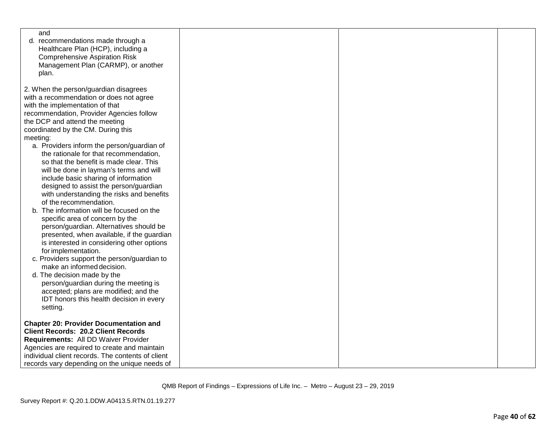| and                                               |  |  |
|---------------------------------------------------|--|--|
| recommendations made through a<br>d.              |  |  |
| Healthcare Plan (HCP), including a                |  |  |
| <b>Comprehensive Aspiration Risk</b>              |  |  |
| Management Plan (CARMP), or another               |  |  |
| plan.                                             |  |  |
|                                                   |  |  |
| 2. When the person/guardian disagrees             |  |  |
| with a recommendation or does not agree           |  |  |
| with the implementation of that                   |  |  |
|                                                   |  |  |
| recommendation, Provider Agencies follow          |  |  |
| the DCP and attend the meeting                    |  |  |
| coordinated by the CM. During this                |  |  |
| meeting:                                          |  |  |
| a. Providers inform the person/guardian of        |  |  |
| the rationale for that recommendation,            |  |  |
| so that the benefit is made clear. This           |  |  |
| will be done in layman's terms and will           |  |  |
| include basic sharing of information              |  |  |
| designed to assist the person/guardian            |  |  |
| with understanding the risks and benefits         |  |  |
| of the recommendation.                            |  |  |
| b. The information will be focused on the         |  |  |
| specific area of concern by the                   |  |  |
| person/guardian. Alternatives should be           |  |  |
| presented, when available, if the guardian        |  |  |
| is interested in considering other options        |  |  |
| for implementation.                               |  |  |
| c. Providers support the person/guardian to       |  |  |
| make an informed decision.                        |  |  |
| d. The decision made by the                       |  |  |
| person/guardian during the meeting is             |  |  |
| accepted; plans are modified; and the             |  |  |
| IDT honors this health decision in every          |  |  |
|                                                   |  |  |
| setting.                                          |  |  |
| <b>Chapter 20: Provider Documentation and</b>     |  |  |
| <b>Client Records: 20.2 Client Records</b>        |  |  |
|                                                   |  |  |
| Requirements: All DD Waiver Provider              |  |  |
| Agencies are required to create and maintain      |  |  |
| individual client records. The contents of client |  |  |
| records vary depending on the unique needs of     |  |  |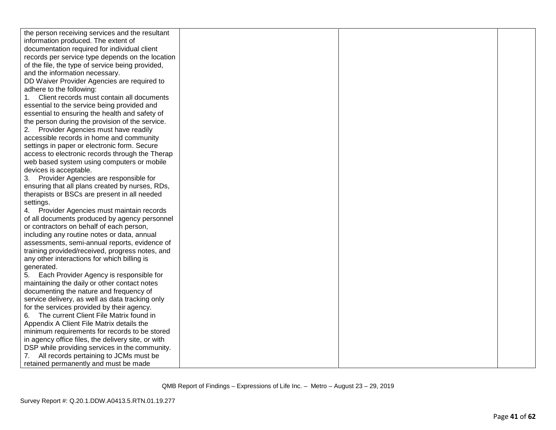| the person receiving services and the resultant    |  |  |
|----------------------------------------------------|--|--|
| information produced. The extent of                |  |  |
| documentation required for individual client       |  |  |
| records per service type depends on the location   |  |  |
| of the file, the type of service being provided,   |  |  |
| and the information necessary.                     |  |  |
| DD Waiver Provider Agencies are required to        |  |  |
| adhere to the following:                           |  |  |
| Client records must contain all documents          |  |  |
| essential to the service being provided and        |  |  |
| essential to ensuring the health and safety of     |  |  |
| the person during the provision of the service.    |  |  |
| Provider Agencies must have readily                |  |  |
| accessible records in home and community           |  |  |
| settings in paper or electronic form. Secure       |  |  |
| access to electronic records through the Therap    |  |  |
| web based system using computers or mobile         |  |  |
| devices is acceptable.                             |  |  |
| 3. Provider Agencies are responsible for           |  |  |
| ensuring that all plans created by nurses, RDs,    |  |  |
| therapists or BSCs are present in all needed       |  |  |
| settings.                                          |  |  |
| 4. Provider Agencies must maintain records         |  |  |
| of all documents produced by agency personnel      |  |  |
| or contractors on behalf of each person,           |  |  |
| including any routine notes or data, annual        |  |  |
| assessments, semi-annual reports, evidence of      |  |  |
| training provided/received, progress notes, and    |  |  |
| any other interactions for which billing is        |  |  |
| generated.                                         |  |  |
| Each Provider Agency is responsible for<br>5.      |  |  |
| maintaining the daily or other contact notes       |  |  |
| documenting the nature and frequency of            |  |  |
| service delivery, as well as data tracking only    |  |  |
| for the services provided by their agency.         |  |  |
| The current Client File Matrix found in<br>6.      |  |  |
| Appendix A Client File Matrix details the          |  |  |
| minimum requirements for records to be stored      |  |  |
| in agency office files, the delivery site, or with |  |  |
| DSP while providing services in the community.     |  |  |
| All records pertaining to JCMs must be             |  |  |
| retained permanently and must be made              |  |  |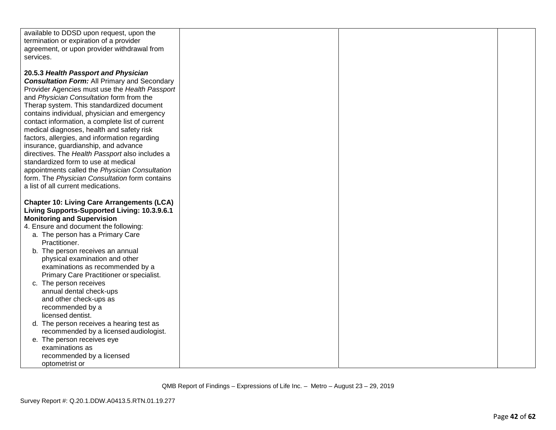| available to DDSD upon request, upon the            |  |  |
|-----------------------------------------------------|--|--|
| termination or expiration of a provider             |  |  |
| agreement, or upon provider withdrawal from         |  |  |
| services.                                           |  |  |
|                                                     |  |  |
| 20.5.3 Health Passport and Physician                |  |  |
| <b>Consultation Form: All Primary and Secondary</b> |  |  |
| Provider Agencies must use the Health Passport      |  |  |
| and Physician Consultation form from the            |  |  |
| Therap system. This standardized document           |  |  |
| contains individual, physician and emergency        |  |  |
| contact information, a complete list of current     |  |  |
| medical diagnoses, health and safety risk           |  |  |
| factors, allergies, and information regarding       |  |  |
| insurance, guardianship, and advance                |  |  |
| directives. The Health Passport also includes a     |  |  |
| standardized form to use at medical                 |  |  |
| appointments called the Physician Consultation      |  |  |
| form. The Physician Consultation form contains      |  |  |
| a list of all current medications.                  |  |  |
|                                                     |  |  |
| <b>Chapter 10: Living Care Arrangements (LCA)</b>   |  |  |
| Living Supports-Supported Living: 10.3.9.6.1        |  |  |
| <b>Monitoring and Supervision</b>                   |  |  |
| 4. Ensure and document the following:               |  |  |
| a. The person has a Primary Care                    |  |  |
| Practitioner.                                       |  |  |
| b. The person receives an annual                    |  |  |
| physical examination and other                      |  |  |
| examinations as recommended by a                    |  |  |
| Primary Care Practitioner or specialist.            |  |  |
| c. The person receives                              |  |  |
| annual dental check-ups                             |  |  |
| and other check-ups as                              |  |  |
| recommended by a                                    |  |  |
| licensed dentist.                                   |  |  |
| d. The person receives a hearing test as            |  |  |
| recommended by a licensed audiologist.              |  |  |
| e. The person receives eye                          |  |  |
| examinations as                                     |  |  |
| recommended by a licensed                           |  |  |
| optometrist or                                      |  |  |
|                                                     |  |  |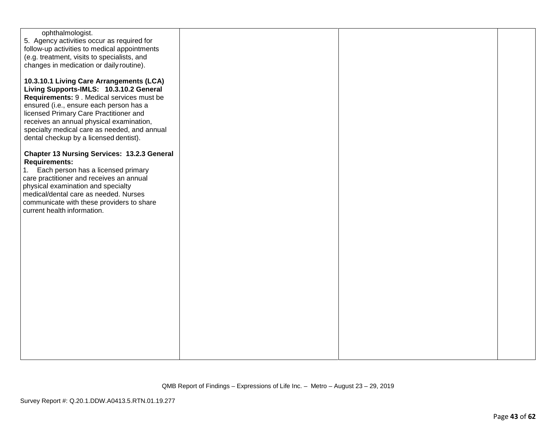| 5. Agency activities occur as required for<br>follow-up activities to medical appointments<br>(e.g. treatment, visits to specialists, and<br>changes in medication or daily routine).<br>10.3.10.1 Living Care Arrangements (LCA)<br>Living Supports-IMLS: 10.3.10.2 General<br>Requirements: 9 . Medical services must be<br>ensured (i.e., ensure each person has a<br>licensed Primary Care Practitioner and<br>receives an annual physical examination,<br>specialty medical care as needed, and annual<br>dental checkup by a licensed dentist).<br><b>Chapter 13 Nursing Services: 13.2.3 General</b><br><b>Requirements:</b><br>Each person has a licensed primary<br>1.<br>care practitioner and receives an annual<br>physical examination and specialty<br>medical/dental care as needed. Nurses<br>communicate with these providers to share<br>current health information. |                  |  |  |
|----------------------------------------------------------------------------------------------------------------------------------------------------------------------------------------------------------------------------------------------------------------------------------------------------------------------------------------------------------------------------------------------------------------------------------------------------------------------------------------------------------------------------------------------------------------------------------------------------------------------------------------------------------------------------------------------------------------------------------------------------------------------------------------------------------------------------------------------------------------------------------------|------------------|--|--|
|                                                                                                                                                                                                                                                                                                                                                                                                                                                                                                                                                                                                                                                                                                                                                                                                                                                                                        | ophthalmologist. |  |  |
|                                                                                                                                                                                                                                                                                                                                                                                                                                                                                                                                                                                                                                                                                                                                                                                                                                                                                        |                  |  |  |
|                                                                                                                                                                                                                                                                                                                                                                                                                                                                                                                                                                                                                                                                                                                                                                                                                                                                                        |                  |  |  |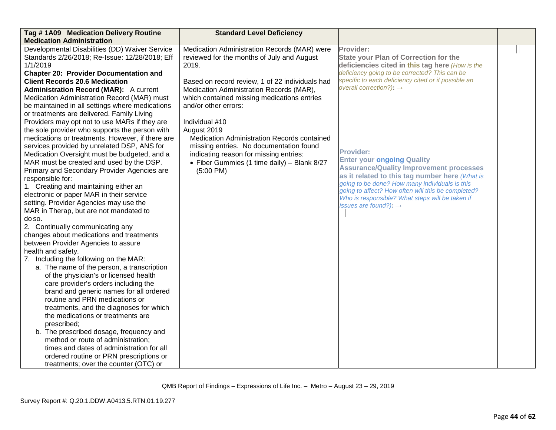| Tag #1A09 Medication Delivery Routine<br><b>Medication Administration</b>                                                                                                                                                                                                                                                                                                                                                                                                                                                                                                                                                                                                                                                                                                                                                                                                                                                | <b>Standard Level Deficiency</b>                                                                                                                                                                                                                                          |                                                                                                                                                                                                                                                                                                                                                           |  |
|--------------------------------------------------------------------------------------------------------------------------------------------------------------------------------------------------------------------------------------------------------------------------------------------------------------------------------------------------------------------------------------------------------------------------------------------------------------------------------------------------------------------------------------------------------------------------------------------------------------------------------------------------------------------------------------------------------------------------------------------------------------------------------------------------------------------------------------------------------------------------------------------------------------------------|---------------------------------------------------------------------------------------------------------------------------------------------------------------------------------------------------------------------------------------------------------------------------|-----------------------------------------------------------------------------------------------------------------------------------------------------------------------------------------------------------------------------------------------------------------------------------------------------------------------------------------------------------|--|
| Developmental Disabilities (DD) Waiver Service<br>Standards 2/26/2018; Re-Issue: 12/28/2018; Eff<br>1/1/2019<br><b>Chapter 20: Provider Documentation and</b><br><b>Client Records 20.6 Medication</b><br><b>Administration Record (MAR):</b> A current<br>Medication Administration Record (MAR) must<br>be maintained in all settings where medications                                                                                                                                                                                                                                                                                                                                                                                                                                                                                                                                                                | Medication Administration Records (MAR) were<br>reviewed for the months of July and August<br>2019.<br>Based on record review, 1 of 22 individuals had<br>Medication Administration Records (MAR),<br>which contained missing medications entries<br>and/or other errors: | Provider:<br><b>State your Plan of Correction for the</b><br>deficiencies cited in this tag here (How is the<br>deficiency going to be corrected? This can be<br>specific to each deficiency cited or if possible an<br>overall correction?): $\rightarrow$                                                                                               |  |
| or treatments are delivered. Family Living<br>Providers may opt not to use MARs if they are<br>the sole provider who supports the person with<br>medications or treatments. However, if there are<br>services provided by unrelated DSP, ANS for<br>Medication Oversight must be budgeted, and a<br>MAR must be created and used by the DSP.<br>Primary and Secondary Provider Agencies are<br>responsible for:<br>1. Creating and maintaining either an<br>electronic or paper MAR in their service<br>setting. Provider Agencies may use the<br>MAR in Therap, but are not mandated to<br>do so.<br>2. Continually communicating any<br>changes about medications and treatments<br>between Provider Agencies to assure<br>health and safety.<br>7. Including the following on the MAR:<br>a. The name of the person, a transcription<br>of the physician's or licensed health<br>care provider's orders including the | Individual #10<br>August 2019<br>Medication Administration Records contained<br>missing entries. No documentation found<br>indicating reason for missing entries:<br>• Fiber Gummies (1 time daily) - Blank 8/27<br>$(5:00 \text{ PM})$                                   | <b>Provider:</b><br><b>Enter your ongoing Quality</b><br><b>Assurance/Quality Improvement processes</b><br>as it related to this tag number here (What is<br>going to be done? How many individuals is this<br>going to affect? How often will this be completed?<br>Who is responsible? What steps will be taken if<br>issues are found?): $\rightarrow$ |  |
| brand and generic names for all ordered<br>routine and PRN medications or<br>treatments, and the diagnoses for which<br>the medications or treatments are<br>prescribed;<br>b. The prescribed dosage, frequency and<br>method or route of administration;<br>times and dates of administration for all<br>ordered routine or PRN prescriptions or<br>treatments; over the counter (OTC) or                                                                                                                                                                                                                                                                                                                                                                                                                                                                                                                               |                                                                                                                                                                                                                                                                           |                                                                                                                                                                                                                                                                                                                                                           |  |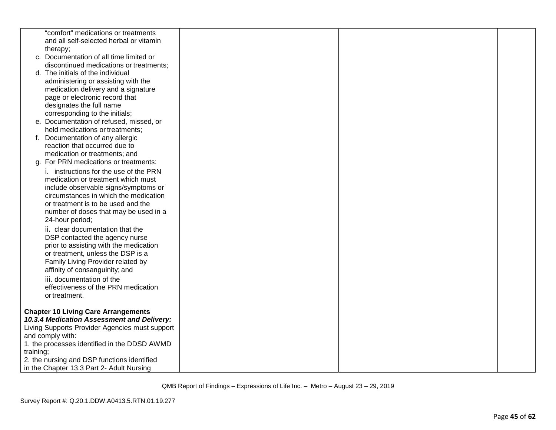| "comfort" medications or treatments                                 |  |  |
|---------------------------------------------------------------------|--|--|
| and all self-selected herbal or vitamin                             |  |  |
| therapy;<br>c. Documentation of all time limited or                 |  |  |
| discontinued medications or treatments;                             |  |  |
| d. The initials of the individual                                   |  |  |
| administering or assisting with the                                 |  |  |
| medication delivery and a signature                                 |  |  |
| page or electronic record that                                      |  |  |
| designates the full name                                            |  |  |
| corresponding to the initials;                                      |  |  |
| e. Documentation of refused, missed, or                             |  |  |
| held medications or treatments;                                     |  |  |
| Documentation of any allergic<br>f.                                 |  |  |
| reaction that occurred due to                                       |  |  |
| medication or treatments; and<br>For PRN medications or treatments: |  |  |
| q.<br>i. instructions for the use of the PRN                        |  |  |
| medication or treatment which must                                  |  |  |
| include observable signs/symptoms or                                |  |  |
| circumstances in which the medication                               |  |  |
| or treatment is to be used and the                                  |  |  |
| number of doses that may be used in a                               |  |  |
| 24-hour period;                                                     |  |  |
| ii. clear documentation that the                                    |  |  |
| DSP contacted the agency nurse                                      |  |  |
| prior to assisting with the medication                              |  |  |
| or treatment, unless the DSP is a                                   |  |  |
| Family Living Provider related by                                   |  |  |
| affinity of consanguinity; and                                      |  |  |
| iii. documentation of the<br>effectiveness of the PRN medication    |  |  |
| or treatment.                                                       |  |  |
|                                                                     |  |  |
| <b>Chapter 10 Living Care Arrangements</b>                          |  |  |
| 10.3.4 Medication Assessment and Delivery:                          |  |  |
| Living Supports Provider Agencies must support                      |  |  |
| and comply with:                                                    |  |  |
| 1. the processes identified in the DDSD AWMD                        |  |  |
| training;<br>2. the nursing and DSP functions identified            |  |  |
| in the Chapter 13.3 Part 2- Adult Nursing                           |  |  |
|                                                                     |  |  |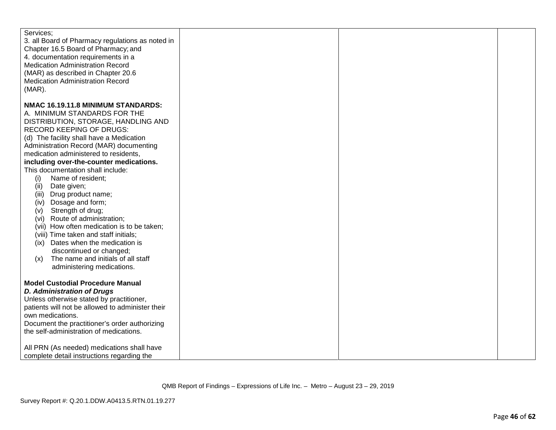| Services;<br>3. all Board of Pharmacy regulations as noted in<br>Chapter 16.5 Board of Pharmacy; and<br>4. documentation requirements in a<br><b>Medication Administration Record</b><br>(MAR) as described in Chapter 20.6<br><b>Medication Administration Record</b><br>$(MAR)$ . |  |  |
|-------------------------------------------------------------------------------------------------------------------------------------------------------------------------------------------------------------------------------------------------------------------------------------|--|--|
|                                                                                                                                                                                                                                                                                     |  |  |
| NMAC 16.19.11.8 MINIMUM STANDARDS:                                                                                                                                                                                                                                                  |  |  |
| A. MINIMUM STANDARDS FOR THE                                                                                                                                                                                                                                                        |  |  |
| DISTRIBUTION, STORAGE, HANDLING AND                                                                                                                                                                                                                                                 |  |  |
| RECORD KEEPING OF DRUGS:                                                                                                                                                                                                                                                            |  |  |
| (d) The facility shall have a Medication                                                                                                                                                                                                                                            |  |  |
| Administration Record (MAR) documenting                                                                                                                                                                                                                                             |  |  |
| medication administered to residents,                                                                                                                                                                                                                                               |  |  |
| including over-the-counter medications.                                                                                                                                                                                                                                             |  |  |
| This documentation shall include:                                                                                                                                                                                                                                                   |  |  |
| Name of resident;<br>(i)                                                                                                                                                                                                                                                            |  |  |
| (ii)<br>Date given;                                                                                                                                                                                                                                                                 |  |  |
| Drug product name;<br>(iii)                                                                                                                                                                                                                                                         |  |  |
| Dosage and form;<br>(iv)                                                                                                                                                                                                                                                            |  |  |
| Strength of drug;<br>(v)                                                                                                                                                                                                                                                            |  |  |
| Route of administration;<br>(vi)                                                                                                                                                                                                                                                    |  |  |
|                                                                                                                                                                                                                                                                                     |  |  |
| (vii) How often medication is to be taken;                                                                                                                                                                                                                                          |  |  |
| (viii) Time taken and staff initials;                                                                                                                                                                                                                                               |  |  |
| Dates when the medication is<br>(ix)                                                                                                                                                                                                                                                |  |  |
| discontinued or changed;                                                                                                                                                                                                                                                            |  |  |
| The name and initials of all staff<br>(x)                                                                                                                                                                                                                                           |  |  |
| administering medications.                                                                                                                                                                                                                                                          |  |  |
|                                                                                                                                                                                                                                                                                     |  |  |
| <b>Model Custodial Procedure Manual</b>                                                                                                                                                                                                                                             |  |  |
| <b>D. Administration of Drugs</b>                                                                                                                                                                                                                                                   |  |  |
| Unless otherwise stated by practitioner,                                                                                                                                                                                                                                            |  |  |
| patients will not be allowed to administer their                                                                                                                                                                                                                                    |  |  |
| own medications.                                                                                                                                                                                                                                                                    |  |  |
| Document the practitioner's order authorizing                                                                                                                                                                                                                                       |  |  |
| the self-administration of medications.                                                                                                                                                                                                                                             |  |  |
|                                                                                                                                                                                                                                                                                     |  |  |
| All PRN (As needed) medications shall have                                                                                                                                                                                                                                          |  |  |
| complete detail instructions regarding the                                                                                                                                                                                                                                          |  |  |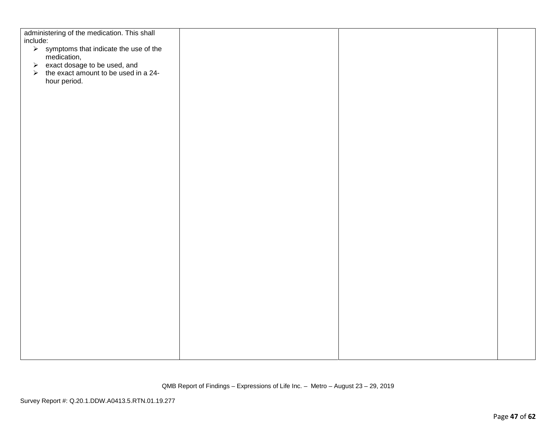| administering of the medication. This shall<br>include:                  |  |  |
|--------------------------------------------------------------------------|--|--|
|                                                                          |  |  |
| $\triangleright$ symptoms that indicate the use of the                   |  |  |
| medication,                                                              |  |  |
| → exact dosage to be used, and<br>→ the exact amount to be used in a 24- |  |  |
| hour period.                                                             |  |  |
|                                                                          |  |  |
|                                                                          |  |  |
|                                                                          |  |  |
|                                                                          |  |  |
|                                                                          |  |  |
|                                                                          |  |  |
|                                                                          |  |  |
|                                                                          |  |  |
|                                                                          |  |  |
|                                                                          |  |  |
|                                                                          |  |  |
|                                                                          |  |  |
|                                                                          |  |  |
|                                                                          |  |  |
|                                                                          |  |  |
|                                                                          |  |  |
|                                                                          |  |  |
|                                                                          |  |  |
|                                                                          |  |  |
|                                                                          |  |  |
|                                                                          |  |  |
|                                                                          |  |  |
|                                                                          |  |  |
|                                                                          |  |  |
|                                                                          |  |  |
|                                                                          |  |  |
|                                                                          |  |  |
|                                                                          |  |  |
|                                                                          |  |  |
|                                                                          |  |  |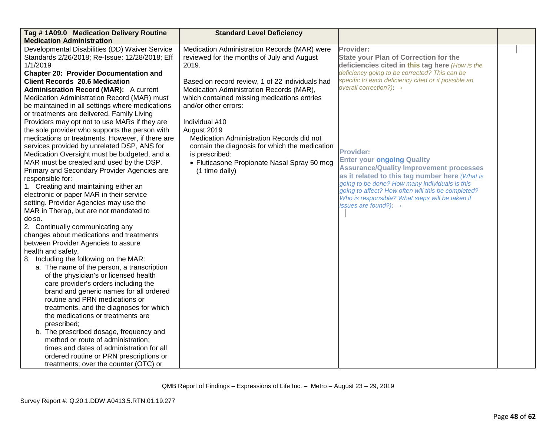| Tag #1A09.0 Medication Delivery Routine<br><b>Medication Administration</b>                                                                                                                                                                                                                                                                                                                                                                                                                                                                                                                                                                                                                                                                                                                                                                                                                                                                                                                                                                                                                                                                                                                                                                                                                                                                                                                                                                                                                                                                                                                     | <b>Standard Level Deficiency</b>                                                                                                                                                                                                                                                                                                                                                                                                                                                             |                                                                                                                                                                                                                                                                                                                                                                                                                                                                                                                                                                                                                          |  |
|-------------------------------------------------------------------------------------------------------------------------------------------------------------------------------------------------------------------------------------------------------------------------------------------------------------------------------------------------------------------------------------------------------------------------------------------------------------------------------------------------------------------------------------------------------------------------------------------------------------------------------------------------------------------------------------------------------------------------------------------------------------------------------------------------------------------------------------------------------------------------------------------------------------------------------------------------------------------------------------------------------------------------------------------------------------------------------------------------------------------------------------------------------------------------------------------------------------------------------------------------------------------------------------------------------------------------------------------------------------------------------------------------------------------------------------------------------------------------------------------------------------------------------------------------------------------------------------------------|----------------------------------------------------------------------------------------------------------------------------------------------------------------------------------------------------------------------------------------------------------------------------------------------------------------------------------------------------------------------------------------------------------------------------------------------------------------------------------------------|--------------------------------------------------------------------------------------------------------------------------------------------------------------------------------------------------------------------------------------------------------------------------------------------------------------------------------------------------------------------------------------------------------------------------------------------------------------------------------------------------------------------------------------------------------------------------------------------------------------------------|--|
| Developmental Disabilities (DD) Waiver Service<br>Standards 2/26/2018; Re-Issue: 12/28/2018; Eff<br>1/1/2019<br><b>Chapter 20: Provider Documentation and</b><br><b>Client Records 20.6 Medication</b><br><b>Administration Record (MAR):</b> A current<br>Medication Administration Record (MAR) must<br>be maintained in all settings where medications<br>or treatments are delivered. Family Living<br>Providers may opt not to use MARs if they are<br>the sole provider who supports the person with<br>medications or treatments. However, if there are<br>services provided by unrelated DSP, ANS for<br>Medication Oversight must be budgeted, and a<br>MAR must be created and used by the DSP.<br>Primary and Secondary Provider Agencies are<br>responsible for:<br>1. Creating and maintaining either an<br>electronic or paper MAR in their service<br>setting. Provider Agencies may use the<br>MAR in Therap, but are not mandated to<br>do so.<br>2. Continually communicating any<br>changes about medications and treatments<br>between Provider Agencies to assure<br>health and safety.<br>8. Including the following on the MAR:<br>a. The name of the person, a transcription<br>of the physician's or licensed health<br>care provider's orders including the<br>brand and generic names for all ordered<br>routine and PRN medications or<br>treatments, and the diagnoses for which<br>the medications or treatments are<br>prescribed;<br>b. The prescribed dosage, frequency and<br>method or route of administration;<br>times and dates of administration for all | Medication Administration Records (MAR) were<br>reviewed for the months of July and August<br>2019.<br>Based on record review, 1 of 22 individuals had<br>Medication Administration Records (MAR),<br>which contained missing medications entries<br>and/or other errors:<br>Individual #10<br>August 2019<br>Medication Administration Records did not<br>contain the diagnosis for which the medication<br>is prescribed:<br>• Fluticasone Propionate Nasal Spray 50 mcg<br>(1 time daily) | Provider:<br><b>State your Plan of Correction for the</b><br>deficiencies cited in this tag here (How is the<br>deficiency going to be corrected? This can be<br>specific to each deficiency cited or if possible an<br>overall correction?): $\rightarrow$<br><b>Provider:</b><br><b>Enter your ongoing Quality</b><br><b>Assurance/Quality Improvement processes</b><br>as it related to this tag number here (What is<br>going to be done? How many individuals is this<br>going to affect? How often will this be completed?<br>Who is responsible? What steps will be taken if<br>issues are found?): $\rightarrow$ |  |
| ordered routine or PRN prescriptions or<br>treatments; over the counter (OTC) or                                                                                                                                                                                                                                                                                                                                                                                                                                                                                                                                                                                                                                                                                                                                                                                                                                                                                                                                                                                                                                                                                                                                                                                                                                                                                                                                                                                                                                                                                                                |                                                                                                                                                                                                                                                                                                                                                                                                                                                                                              |                                                                                                                                                                                                                                                                                                                                                                                                                                                                                                                                                                                                                          |  |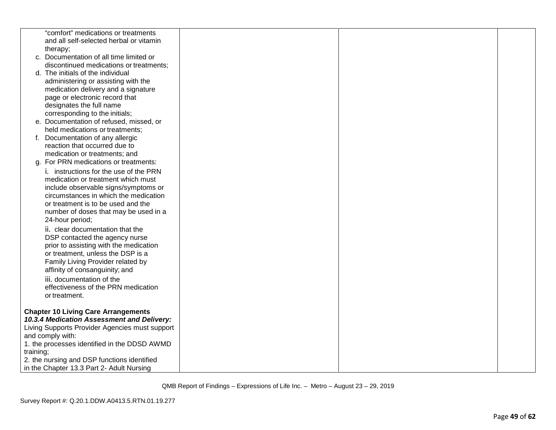|           | "comfort" medications or treatments<br>and all self-selected herbal or vitamin           |  |  |
|-----------|------------------------------------------------------------------------------------------|--|--|
|           | therapy;                                                                                 |  |  |
|           | c. Documentation of all time limited or                                                  |  |  |
|           | discontinued medications or treatments;                                                  |  |  |
|           | d. The initials of the individual                                                        |  |  |
|           | administering or assisting with the                                                      |  |  |
|           | medication delivery and a signature                                                      |  |  |
|           | page or electronic record that                                                           |  |  |
|           | designates the full name                                                                 |  |  |
|           | corresponding to the initials;<br>e. Documentation of refused, missed, or                |  |  |
|           | held medications or treatments;                                                          |  |  |
|           | f. Documentation of any allergic                                                         |  |  |
|           | reaction that occurred due to                                                            |  |  |
|           | medication or treatments; and                                                            |  |  |
|           | g. For PRN medications or treatments:                                                    |  |  |
|           | i. instructions for the use of the PRN                                                   |  |  |
|           | medication or treatment which must                                                       |  |  |
|           | include observable signs/symptoms or<br>circumstances in which the medication            |  |  |
|           | or treatment is to be used and the                                                       |  |  |
|           | number of doses that may be used in a                                                    |  |  |
|           | 24-hour period;                                                                          |  |  |
|           | ii. clear documentation that the                                                         |  |  |
|           | DSP contacted the agency nurse                                                           |  |  |
|           | prior to assisting with the medication                                                   |  |  |
|           | or treatment, unless the DSP is a<br>Family Living Provider related by                   |  |  |
|           | affinity of consanguinity; and                                                           |  |  |
|           | iii. documentation of the                                                                |  |  |
|           | effectiveness of the PRN medication                                                      |  |  |
|           | or treatment.                                                                            |  |  |
|           |                                                                                          |  |  |
|           | <b>Chapter 10 Living Care Arrangements</b><br>10.3.4 Medication Assessment and Delivery: |  |  |
|           | Living Supports Provider Agencies must support                                           |  |  |
|           | and comply with:                                                                         |  |  |
|           | 1. the processes identified in the DDSD AWMD                                             |  |  |
| training; |                                                                                          |  |  |
|           | 2. the nursing and DSP functions identified                                              |  |  |
|           | in the Chapter 13.3 Part 2- Adult Nursing                                                |  |  |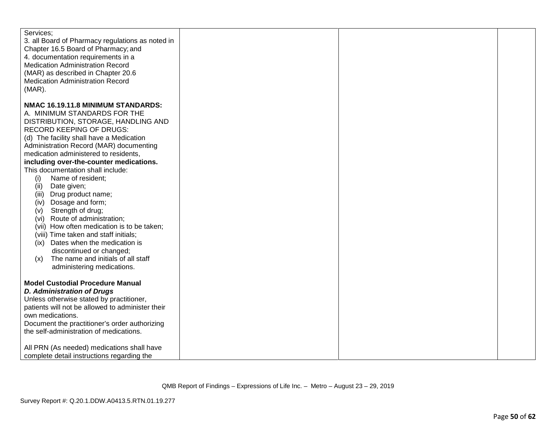| Services;<br>3. all Board of Pharmacy regulations as noted in<br>Chapter 16.5 Board of Pharmacy; and<br>4. documentation requirements in a<br><b>Medication Administration Record</b><br>(MAR) as described in Chapter 20.6<br><b>Medication Administration Record</b><br>$(MAR)$ . |  |  |
|-------------------------------------------------------------------------------------------------------------------------------------------------------------------------------------------------------------------------------------------------------------------------------------|--|--|
|                                                                                                                                                                                                                                                                                     |  |  |
| NMAC 16.19.11.8 MINIMUM STANDARDS:                                                                                                                                                                                                                                                  |  |  |
| A. MINIMUM STANDARDS FOR THE                                                                                                                                                                                                                                                        |  |  |
| DISTRIBUTION, STORAGE, HANDLING AND                                                                                                                                                                                                                                                 |  |  |
| RECORD KEEPING OF DRUGS:                                                                                                                                                                                                                                                            |  |  |
| (d) The facility shall have a Medication                                                                                                                                                                                                                                            |  |  |
| Administration Record (MAR) documenting                                                                                                                                                                                                                                             |  |  |
| medication administered to residents,                                                                                                                                                                                                                                               |  |  |
| including over-the-counter medications.                                                                                                                                                                                                                                             |  |  |
| This documentation shall include:                                                                                                                                                                                                                                                   |  |  |
| Name of resident;                                                                                                                                                                                                                                                                   |  |  |
| (i)                                                                                                                                                                                                                                                                                 |  |  |
| (ii)<br>Date given;                                                                                                                                                                                                                                                                 |  |  |
| Drug product name;<br>(iii)                                                                                                                                                                                                                                                         |  |  |
| Dosage and form;<br>(iv)                                                                                                                                                                                                                                                            |  |  |
| Strength of drug;<br>(v)                                                                                                                                                                                                                                                            |  |  |
| Route of administration;<br>(vi)                                                                                                                                                                                                                                                    |  |  |
| (vii) How often medication is to be taken;                                                                                                                                                                                                                                          |  |  |
| (viii) Time taken and staff initials;                                                                                                                                                                                                                                               |  |  |
| Dates when the medication is<br>(ix)                                                                                                                                                                                                                                                |  |  |
| discontinued or changed;                                                                                                                                                                                                                                                            |  |  |
| The name and initials of all staff<br>(x)                                                                                                                                                                                                                                           |  |  |
| administering medications.                                                                                                                                                                                                                                                          |  |  |
|                                                                                                                                                                                                                                                                                     |  |  |
| <b>Model Custodial Procedure Manual</b>                                                                                                                                                                                                                                             |  |  |
| <b>D. Administration of Drugs</b>                                                                                                                                                                                                                                                   |  |  |
| Unless otherwise stated by practitioner,                                                                                                                                                                                                                                            |  |  |
| patients will not be allowed to administer their                                                                                                                                                                                                                                    |  |  |
| own medications.                                                                                                                                                                                                                                                                    |  |  |
| Document the practitioner's order authorizing                                                                                                                                                                                                                                       |  |  |
|                                                                                                                                                                                                                                                                                     |  |  |
| the self-administration of medications.                                                                                                                                                                                                                                             |  |  |
|                                                                                                                                                                                                                                                                                     |  |  |
| All PRN (As needed) medications shall have                                                                                                                                                                                                                                          |  |  |
| complete detail instructions regarding the                                                                                                                                                                                                                                          |  |  |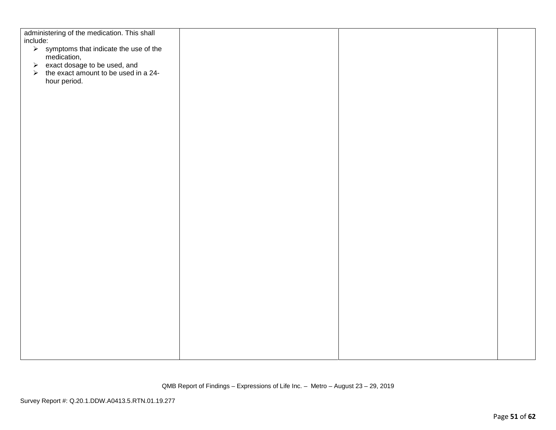| administering of the medication. This shall<br>include:                  |  |  |
|--------------------------------------------------------------------------|--|--|
| $\triangleright$ symptoms that indicate the use of the                   |  |  |
| medication,                                                              |  |  |
| → exact dosage to be used, and<br>→ the exact amount to be used in a 24- |  |  |
| hour period.                                                             |  |  |
|                                                                          |  |  |
|                                                                          |  |  |
|                                                                          |  |  |
|                                                                          |  |  |
|                                                                          |  |  |
|                                                                          |  |  |
|                                                                          |  |  |
|                                                                          |  |  |
|                                                                          |  |  |
|                                                                          |  |  |
|                                                                          |  |  |
|                                                                          |  |  |
|                                                                          |  |  |
|                                                                          |  |  |
|                                                                          |  |  |
|                                                                          |  |  |
|                                                                          |  |  |
|                                                                          |  |  |
|                                                                          |  |  |
|                                                                          |  |  |
|                                                                          |  |  |
|                                                                          |  |  |
|                                                                          |  |  |
|                                                                          |  |  |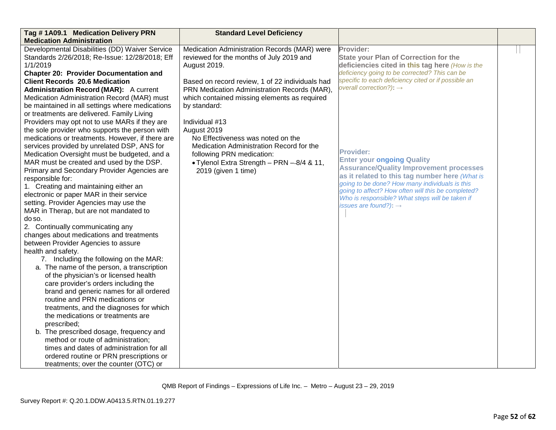| Tag #1A09.1 Medication Delivery PRN              | <b>Standard Level Deficiency</b>                |                                                                                                      |  |
|--------------------------------------------------|-------------------------------------------------|------------------------------------------------------------------------------------------------------|--|
| <b>Medication Administration</b>                 |                                                 |                                                                                                      |  |
| Developmental Disabilities (DD) Waiver Service   | Medication Administration Records (MAR) were    | Provider:                                                                                            |  |
| Standards 2/26/2018; Re-Issue: 12/28/2018; Eff   | reviewed for the months of July 2019 and        | <b>State your Plan of Correction for the</b>                                                         |  |
| 1/1/2019                                         | August 2019.                                    | deficiencies cited in this tag here (How is the                                                      |  |
| <b>Chapter 20: Provider Documentation and</b>    |                                                 | deficiency going to be corrected? This can be                                                        |  |
| <b>Client Records 20.6 Medication</b>            | Based on record review, 1 of 22 individuals had | specific to each deficiency cited or if possible an                                                  |  |
| <b>Administration Record (MAR):</b> A current    | PRN Medication Administration Records (MAR),    | overall correction?): $\rightarrow$                                                                  |  |
| Medication Administration Record (MAR) must      | which contained missing elements as required    |                                                                                                      |  |
| be maintained in all settings where medications  | by standard:                                    |                                                                                                      |  |
| or treatments are delivered. Family Living       |                                                 |                                                                                                      |  |
| Providers may opt not to use MARs if they are    | Individual #13                                  |                                                                                                      |  |
| the sole provider who supports the person with   | August 2019                                     |                                                                                                      |  |
| medications or treatments. However, if there are | No Effectiveness was noted on the               |                                                                                                      |  |
| services provided by unrelated DSP, ANS for      | Medication Administration Record for the        |                                                                                                      |  |
| Medication Oversight must be budgeted, and a     | following PRN medication:                       | <b>Provider:</b>                                                                                     |  |
| MAR must be created and used by the DSP.         | • Tylenol Extra Strength - PRN -8/4 & 11,       | <b>Enter your ongoing Quality</b>                                                                    |  |
| Primary and Secondary Provider Agencies are      | 2019 (given 1 time)                             | <b>Assurance/Quality Improvement processes</b>                                                       |  |
| responsible for:                                 |                                                 | as it related to this tag number here (What is                                                       |  |
| 1. Creating and maintaining either an            |                                                 | going to be done? How many individuals is this<br>going to affect? How often will this be completed? |  |
| electronic or paper MAR in their service         |                                                 | Who is responsible? What steps will be taken if                                                      |  |
| setting. Provider Agencies may use the           |                                                 | issues are found?): $\rightarrow$                                                                    |  |
| MAR in Therap, but are not mandated to           |                                                 |                                                                                                      |  |
| do so.                                           |                                                 |                                                                                                      |  |
| 2. Continually communicating any                 |                                                 |                                                                                                      |  |
| changes about medications and treatments         |                                                 |                                                                                                      |  |
| between Provider Agencies to assure              |                                                 |                                                                                                      |  |
| health and safety.                               |                                                 |                                                                                                      |  |
| 7. Including the following on the MAR:           |                                                 |                                                                                                      |  |
| a. The name of the person, a transcription       |                                                 |                                                                                                      |  |
| of the physician's or licensed health            |                                                 |                                                                                                      |  |
| care provider's orders including the             |                                                 |                                                                                                      |  |
| brand and generic names for all ordered          |                                                 |                                                                                                      |  |
| routine and PRN medications or                   |                                                 |                                                                                                      |  |
| treatments, and the diagnoses for which          |                                                 |                                                                                                      |  |
| the medications or treatments are                |                                                 |                                                                                                      |  |
| prescribed:                                      |                                                 |                                                                                                      |  |
| b. The prescribed dosage, frequency and          |                                                 |                                                                                                      |  |
| method or route of administration;               |                                                 |                                                                                                      |  |
| times and dates of administration for all        |                                                 |                                                                                                      |  |
| ordered routine or PRN prescriptions or          |                                                 |                                                                                                      |  |
| treatments; over the counter (OTC) or            |                                                 |                                                                                                      |  |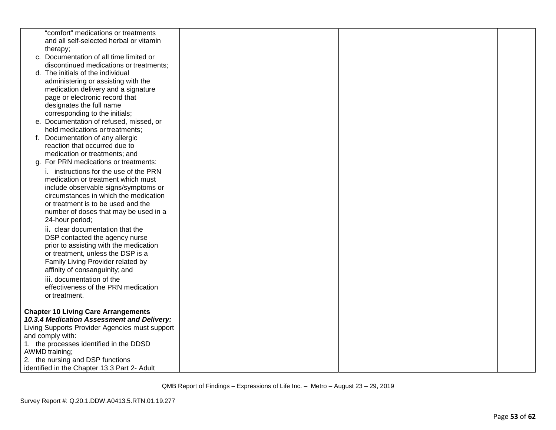|    | "comfort" medications or treatments                                           |  |  |
|----|-------------------------------------------------------------------------------|--|--|
|    | and all self-selected herbal or vitamin<br>therapy;                           |  |  |
|    | c. Documentation of all time limited or                                       |  |  |
|    | discontinued medications or treatments;                                       |  |  |
|    | d. The initials of the individual                                             |  |  |
|    | administering or assisting with the                                           |  |  |
|    | medication delivery and a signature                                           |  |  |
|    | page or electronic record that                                                |  |  |
|    | designates the full name                                                      |  |  |
|    | corresponding to the initials;                                                |  |  |
|    | e. Documentation of refused, missed, or                                       |  |  |
|    | held medications or treatments;                                               |  |  |
| f. | Documentation of any allergic                                                 |  |  |
|    | reaction that occurred due to                                                 |  |  |
|    | medication or treatments; and                                                 |  |  |
| q. | For PRN medications or treatments:                                            |  |  |
|    | i. instructions for the use of the PRN                                        |  |  |
|    | medication or treatment which must                                            |  |  |
|    | include observable signs/symptoms or<br>circumstances in which the medication |  |  |
|    | or treatment is to be used and the                                            |  |  |
|    | number of doses that may be used in a                                         |  |  |
|    | 24-hour period;                                                               |  |  |
|    | ii. clear documentation that the                                              |  |  |
|    | DSP contacted the agency nurse                                                |  |  |
|    | prior to assisting with the medication                                        |  |  |
|    | or treatment, unless the DSP is a                                             |  |  |
|    | Family Living Provider related by                                             |  |  |
|    | affinity of consanguinity; and                                                |  |  |
|    | iii. documentation of the                                                     |  |  |
|    | effectiveness of the PRN medication                                           |  |  |
|    | or treatment.                                                                 |  |  |
|    | <b>Chapter 10 Living Care Arrangements</b>                                    |  |  |
|    | 10.3.4 Medication Assessment and Delivery:                                    |  |  |
|    | Living Supports Provider Agencies must support                                |  |  |
|    | and comply with:                                                              |  |  |
|    | 1. the processes identified in the DDSD                                       |  |  |
|    | AWMD training;                                                                |  |  |
|    | 2. the nursing and DSP functions                                              |  |  |
|    | identified in the Chapter 13.3 Part 2- Adult                                  |  |  |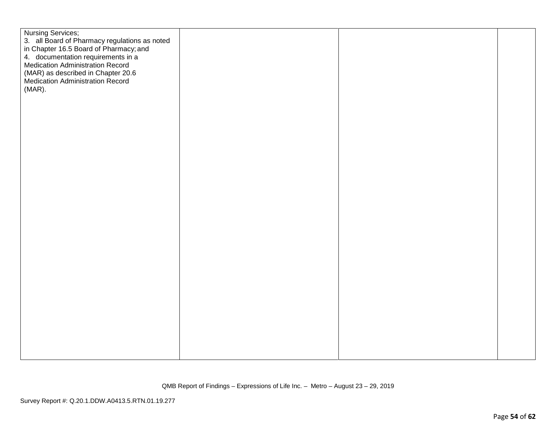| Nursing Services;<br>3. all Board of Pharmacy regulations as noted<br>in Chapter 16.5 Board of Pharmacy; and<br>4. documentation requirements in a<br>Medication Administration Record<br>(MAR) as described in Chapter 20.6<br>Medication Administration Record<br>(MAR). |  |  |
|----------------------------------------------------------------------------------------------------------------------------------------------------------------------------------------------------------------------------------------------------------------------------|--|--|
|                                                                                                                                                                                                                                                                            |  |  |
|                                                                                                                                                                                                                                                                            |  |  |
|                                                                                                                                                                                                                                                                            |  |  |
|                                                                                                                                                                                                                                                                            |  |  |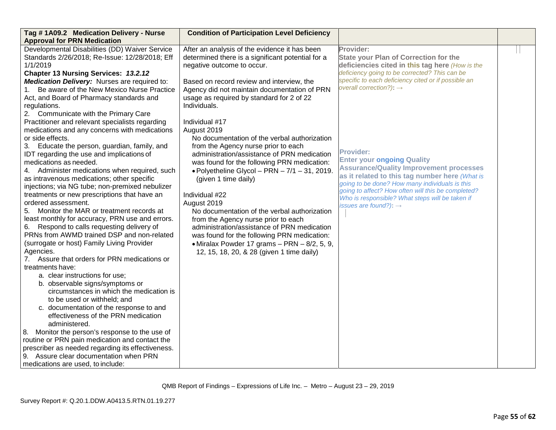| Tag #1A09.2 Medication Delivery - Nurse<br><b>Approval for PRN Medication</b>                                                                                                                                                                                                                                                                                                                                                                                                                                                                                                                                                                                                                                                                                                                                                                                                                                                                                                                                                                                                                                                                                                                                                                                                                                                                                                                                                                                                  | <b>Condition of Participation Level Deficiency</b>                                                                                                                                                                                                                                                                                                                                                                                                                                                                                                                                                                                                                                                                                                                                                                                                                                                                           |                                                                                                                                                                                                                                                                                                                                                                                                                                                                                                                                                                                                                          |  |
|--------------------------------------------------------------------------------------------------------------------------------------------------------------------------------------------------------------------------------------------------------------------------------------------------------------------------------------------------------------------------------------------------------------------------------------------------------------------------------------------------------------------------------------------------------------------------------------------------------------------------------------------------------------------------------------------------------------------------------------------------------------------------------------------------------------------------------------------------------------------------------------------------------------------------------------------------------------------------------------------------------------------------------------------------------------------------------------------------------------------------------------------------------------------------------------------------------------------------------------------------------------------------------------------------------------------------------------------------------------------------------------------------------------------------------------------------------------------------------|------------------------------------------------------------------------------------------------------------------------------------------------------------------------------------------------------------------------------------------------------------------------------------------------------------------------------------------------------------------------------------------------------------------------------------------------------------------------------------------------------------------------------------------------------------------------------------------------------------------------------------------------------------------------------------------------------------------------------------------------------------------------------------------------------------------------------------------------------------------------------------------------------------------------------|--------------------------------------------------------------------------------------------------------------------------------------------------------------------------------------------------------------------------------------------------------------------------------------------------------------------------------------------------------------------------------------------------------------------------------------------------------------------------------------------------------------------------------------------------------------------------------------------------------------------------|--|
| Developmental Disabilities (DD) Waiver Service<br>Standards 2/26/2018; Re-Issue: 12/28/2018; Eff<br>1/1/2019<br>Chapter 13 Nursing Services: 13.2.12<br><b>Medication Delivery:</b> Nurses are required to:<br>1. Be aware of the New Mexico Nurse Practice<br>Act, and Board of Pharmacy standards and<br>regulations.<br>2. Communicate with the Primary Care<br>Practitioner and relevant specialists regarding<br>medications and any concerns with medications<br>or side effects.<br>Educate the person, guardian, family, and<br>3.<br>IDT regarding the use and implications of<br>medications as needed.<br>4. Administer medications when required, such<br>as intravenous medications; other specific<br>injections; via NG tube; non-premixed nebulizer<br>treatments or new prescriptions that have an<br>ordered assessment.<br>Monitor the MAR or treatment records at<br>5.<br>least monthly for accuracy, PRN use and errors.<br>6. Respond to calls requesting delivery of<br>PRNs from AWMD trained DSP and non-related<br>(surrogate or host) Family Living Provider<br>Agencies.<br>7. Assure that orders for PRN medications or<br>treatments have:<br>a. clear instructions for use;<br>b. observable signs/symptoms or<br>circumstances in which the medication is<br>to be used or withheld; and<br>c. documentation of the response to and<br>effectiveness of the PRN medication<br>administered.<br>8. Monitor the person's response to the use of | After an analysis of the evidence it has been<br>determined there is a significant potential for a<br>negative outcome to occur.<br>Based on record review and interview, the<br>Agency did not maintain documentation of PRN<br>usage as required by standard for 2 of 22<br>Individuals.<br>Individual #17<br>August 2019<br>No documentation of the verbal authorization<br>from the Agency nurse prior to each<br>administration/assistance of PRN medication<br>was found for the following PRN medication:<br>$\bullet$ Polyetheline Glycol - PRN - 7/1 - 31, 2019.<br>(given 1 time daily)<br>Individual #22<br>August 2019<br>No documentation of the verbal authorization<br>from the Agency nurse prior to each<br>administration/assistance of PRN medication<br>was found for the following PRN medication:<br>$\bullet$ Miralax Powder 17 grams - PRN - 8/2, 5, 9,<br>12, 15, 18, 20, & 28 (given 1 time daily) | Provider:<br><b>State your Plan of Correction for the</b><br>deficiencies cited in this tag here (How is the<br>deficiency going to be corrected? This can be<br>specific to each deficiency cited or if possible an<br>overall correction?): $\rightarrow$<br><b>Provider:</b><br><b>Enter your ongoing Quality</b><br><b>Assurance/Quality Improvement processes</b><br>as it related to this tag number here (What is<br>going to be done? How many individuals is this<br>going to affect? How often will this be completed?<br>Who is responsible? What steps will be taken if<br>issues are found?): $\rightarrow$ |  |
| routine or PRN pain medication and contact the<br>prescriber as needed regarding its effectiveness.<br>9. Assure clear documentation when PRN<br>medications are used, to include:                                                                                                                                                                                                                                                                                                                                                                                                                                                                                                                                                                                                                                                                                                                                                                                                                                                                                                                                                                                                                                                                                                                                                                                                                                                                                             |                                                                                                                                                                                                                                                                                                                                                                                                                                                                                                                                                                                                                                                                                                                                                                                                                                                                                                                              |                                                                                                                                                                                                                                                                                                                                                                                                                                                                                                                                                                                                                          |  |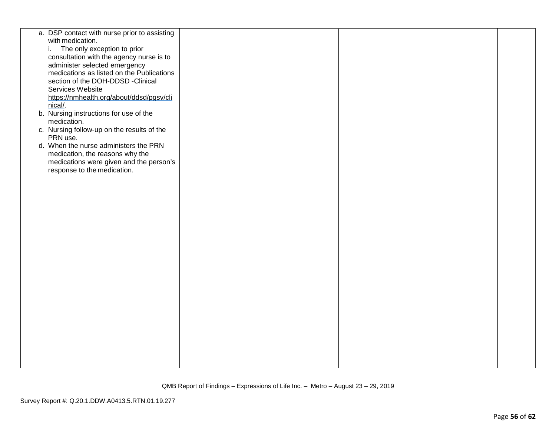| a. DSP contact with nurse prior to assisting |  |  |
|----------------------------------------------|--|--|
| with medication.                             |  |  |
| The only exception to prior<br>i.            |  |  |
| consultation with the agency nurse is to     |  |  |
|                                              |  |  |
| administer selected emergency                |  |  |
| medications as listed on the Publications    |  |  |
| section of the DOH-DDSD -Clinical            |  |  |
| Services Website                             |  |  |
| https://nmhealth.org/about/ddsd/pgsv/cli     |  |  |
| nical/.                                      |  |  |
| b. Nursing instructions for use of the       |  |  |
| medication.                                  |  |  |
| c. Nursing follow-up on the results of the   |  |  |
| PRN use.                                     |  |  |
| d. When the nurse administers the PRN        |  |  |
| medication, the reasons why the              |  |  |
| medications were given and the person's      |  |  |
| response to the medication.                  |  |  |
|                                              |  |  |
|                                              |  |  |
|                                              |  |  |
|                                              |  |  |
|                                              |  |  |
|                                              |  |  |
|                                              |  |  |
|                                              |  |  |
|                                              |  |  |
|                                              |  |  |
|                                              |  |  |
|                                              |  |  |
|                                              |  |  |
|                                              |  |  |
|                                              |  |  |
|                                              |  |  |
|                                              |  |  |
|                                              |  |  |
|                                              |  |  |
|                                              |  |  |
|                                              |  |  |
|                                              |  |  |
|                                              |  |  |
|                                              |  |  |
|                                              |  |  |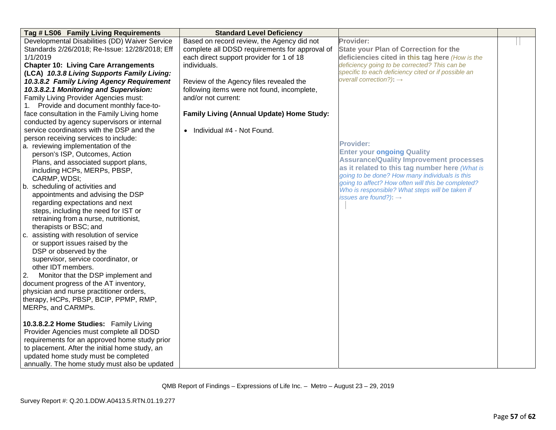| Tag # LS06 Family Living Requirements          | <b>Standard Level Deficiency</b>               |                                                                                      |  |
|------------------------------------------------|------------------------------------------------|--------------------------------------------------------------------------------------|--|
| Developmental Disabilities (DD) Waiver Service | Based on record review, the Agency did not     | Provider:                                                                            |  |
| Standards 2/26/2018; Re-Issue: 12/28/2018; Eff | complete all DDSD requirements for approval of | <b>State your Plan of Correction for the</b>                                         |  |
| 1/1/2019                                       | each direct support provider for 1 of 18       | deficiencies cited in this tag here (How is the                                      |  |
| <b>Chapter 10: Living Care Arrangements</b>    | individuals.                                   | deficiency going to be corrected? This can be                                        |  |
| (LCA) 10.3.8 Living Supports Family Living:    |                                                | specific to each deficiency cited or if possible an                                  |  |
| 10.3.8.2 Family Living Agency Requirement      | Review of the Agency files revealed the        | overall correction?): $\rightarrow$                                                  |  |
| 10.3.8.2.1 Monitoring and Supervision:         | following items were not found, incomplete,    |                                                                                      |  |
| Family Living Provider Agencies must:          | and/or not current:                            |                                                                                      |  |
| 1. Provide and document monthly face-to-       |                                                |                                                                                      |  |
| face consultation in the Family Living home    | Family Living (Annual Update) Home Study:      |                                                                                      |  |
| conducted by agency supervisors or internal    |                                                |                                                                                      |  |
| service coordinators with the DSP and the      | • Individual #4 - Not Found.                   |                                                                                      |  |
| person receiving services to include:          |                                                |                                                                                      |  |
| a. reviewing implementation of the             |                                                | <b>Provider:</b>                                                                     |  |
| person's ISP, Outcomes, Action                 |                                                | <b>Enter your ongoing Quality</b>                                                    |  |
| Plans, and associated support plans,           |                                                | <b>Assurance/Quality Improvement processes</b>                                       |  |
| including HCPs, MERPs, PBSP,                   |                                                | as it related to this tag number here (What is                                       |  |
| CARMP, WDSI;                                   |                                                | going to be done? How many individuals is this                                       |  |
| b. scheduling of activities and                |                                                | going to affect? How often will this be completed?                                   |  |
| appointments and advising the DSP              |                                                | Who is responsible? What steps will be taken if<br>issues are found?): $\rightarrow$ |  |
| regarding expectations and next                |                                                |                                                                                      |  |
| steps, including the need for IST or           |                                                |                                                                                      |  |
| retraining from a nurse, nutritionist,         |                                                |                                                                                      |  |
| therapists or BSC; and                         |                                                |                                                                                      |  |
| assisting with resolution of service<br>C.     |                                                |                                                                                      |  |
| or support issues raised by the                |                                                |                                                                                      |  |
| DSP or observed by the                         |                                                |                                                                                      |  |
| supervisor, service coordinator, or            |                                                |                                                                                      |  |
| other IDT members.                             |                                                |                                                                                      |  |
| Monitor that the DSP implement and<br>2.       |                                                |                                                                                      |  |
| document progress of the AT inventory,         |                                                |                                                                                      |  |
| physician and nurse practitioner orders,       |                                                |                                                                                      |  |
| therapy, HCPs, PBSP, BCIP, PPMP, RMP,          |                                                |                                                                                      |  |
| MERPs, and CARMPs.                             |                                                |                                                                                      |  |
|                                                |                                                |                                                                                      |  |
| 10.3.8.2.2 Home Studies: Family Living         |                                                |                                                                                      |  |
| Provider Agencies must complete all DDSD       |                                                |                                                                                      |  |
| requirements for an approved home study prior  |                                                |                                                                                      |  |
| to placement. After the initial home study, an |                                                |                                                                                      |  |
| updated home study must be completed           |                                                |                                                                                      |  |
| annually. The home study must also be updated  |                                                |                                                                                      |  |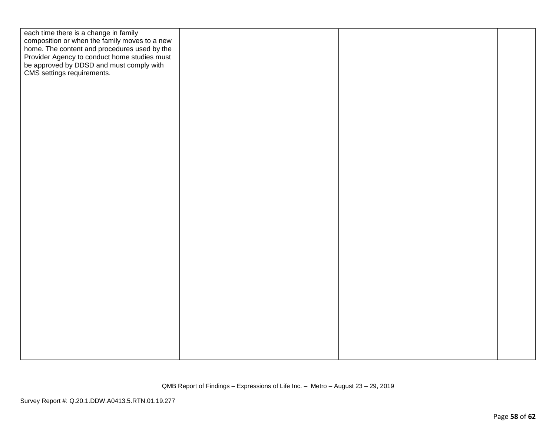| each time there is a change in family<br>composition or when the family moves to a new<br>home. The content and procedures used by the<br>Provider Agency to conduct home studies must<br>be approved by DDSD and must comply with<br>CMS settings requirements. |  |  |
|------------------------------------------------------------------------------------------------------------------------------------------------------------------------------------------------------------------------------------------------------------------|--|--|
|                                                                                                                                                                                                                                                                  |  |  |
|                                                                                                                                                                                                                                                                  |  |  |
|                                                                                                                                                                                                                                                                  |  |  |
|                                                                                                                                                                                                                                                                  |  |  |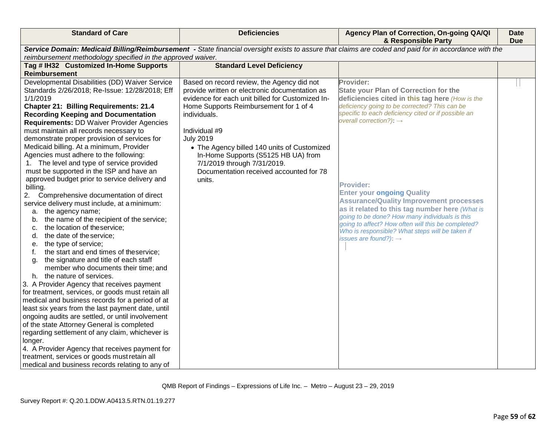| <b>Standard of Care</b>                                                                                                                               | <b>Deficiencies</b>                                                                                        | Agency Plan of Correction, On-going QA/QI<br>& Responsible Party                                                                                        | <b>Date</b><br><b>Due</b> |
|-------------------------------------------------------------------------------------------------------------------------------------------------------|------------------------------------------------------------------------------------------------------------|---------------------------------------------------------------------------------------------------------------------------------------------------------|---------------------------|
| Service Domain: Medicaid Billing/Reimbursement - State financial oversight exists to assure that claims are coded and paid for in accordance with the |                                                                                                            |                                                                                                                                                         |                           |
| reimbursement methodology specified in the approved waiver.                                                                                           |                                                                                                            |                                                                                                                                                         |                           |
| Tag # IH32 Customized In-Home Supports<br><b>Reimbursement</b>                                                                                        | <b>Standard Level Deficiency</b>                                                                           |                                                                                                                                                         |                           |
| Developmental Disabilities (DD) Waiver Service<br>Standards 2/26/2018; Re-Issue: 12/28/2018; Eff                                                      | Based on record review, the Agency did not<br>provide written or electronic documentation as               | Provider:<br><b>State your Plan of Correction for the</b>                                                                                               |                           |
| 1/1/2019<br><b>Chapter 21: Billing Requirements: 21.4</b><br><b>Recording Keeping and Documentation</b>                                               | evidence for each unit billed for Customized In-<br>Home Supports Reimbursement for 1 of 4<br>individuals. | deficiencies cited in this tag here (How is the<br>deficiency going to be corrected? This can be<br>specific to each deficiency cited or if possible an |                           |
| <b>Requirements: DD Waiver Provider Agencies</b>                                                                                                      |                                                                                                            | overall correction?): $\rightarrow$                                                                                                                     |                           |
| must maintain all records necessary to<br>demonstrate proper provision of services for                                                                | Individual #9<br><b>July 2019</b>                                                                          |                                                                                                                                                         |                           |
| Medicaid billing. At a minimum, Provider                                                                                                              | • The Agency billed 140 units of Customized                                                                |                                                                                                                                                         |                           |
| Agencies must adhere to the following:<br>1. The level and type of service provided                                                                   | In-Home Supports (S5125 HB UA) from<br>7/1/2019 through 7/31/2019.                                         |                                                                                                                                                         |                           |
| must be supported in the ISP and have an                                                                                                              | Documentation received accounted for 78                                                                    |                                                                                                                                                         |                           |
| approved budget prior to service delivery and                                                                                                         | units.                                                                                                     | <b>Provider:</b>                                                                                                                                        |                           |
| billing.<br>2. Comprehensive documentation of direct                                                                                                  |                                                                                                            | <b>Enter your ongoing Quality</b>                                                                                                                       |                           |
| service delivery must include, at a minimum:                                                                                                          |                                                                                                            | <b>Assurance/Quality Improvement processes</b><br>as it related to this tag number here (What is                                                        |                           |
| a. the agency name;<br>the name of the recipient of the service;<br>b.                                                                                |                                                                                                            | going to be done? How many individuals is this                                                                                                          |                           |
| the location of theservice;<br>c.                                                                                                                     |                                                                                                            | going to affect? How often will this be completed?<br>Who is responsible? What steps will be taken if                                                   |                           |
| the date of the service;<br>d.                                                                                                                        |                                                                                                            | issues are found?): $\rightarrow$                                                                                                                       |                           |
| the type of service;<br>е.                                                                                                                            |                                                                                                            |                                                                                                                                                         |                           |
| the start and end times of theservice;<br>the signature and title of each staff<br>g.                                                                 |                                                                                                            |                                                                                                                                                         |                           |
| member who documents their time; and                                                                                                                  |                                                                                                            |                                                                                                                                                         |                           |
| the nature of services.<br>h.                                                                                                                         |                                                                                                            |                                                                                                                                                         |                           |
| 3. A Provider Agency that receives payment                                                                                                            |                                                                                                            |                                                                                                                                                         |                           |
| for treatment, services, or goods must retain all<br>medical and business records for a period of at                                                  |                                                                                                            |                                                                                                                                                         |                           |
| least six years from the last payment date, until                                                                                                     |                                                                                                            |                                                                                                                                                         |                           |
| ongoing audits are settled, or until involvement                                                                                                      |                                                                                                            |                                                                                                                                                         |                           |
| of the state Attorney General is completed                                                                                                            |                                                                                                            |                                                                                                                                                         |                           |
| regarding settlement of any claim, whichever is                                                                                                       |                                                                                                            |                                                                                                                                                         |                           |
| longer.                                                                                                                                               |                                                                                                            |                                                                                                                                                         |                           |
| 4. A Provider Agency that receives payment for                                                                                                        |                                                                                                            |                                                                                                                                                         |                           |
| treatment, services or goods must retain all<br>medical and business records relating to any of                                                       |                                                                                                            |                                                                                                                                                         |                           |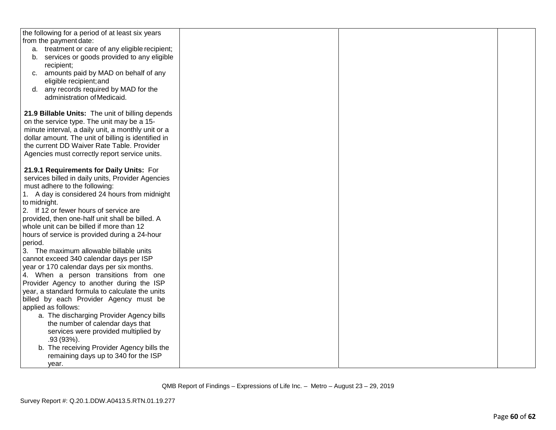| the following for a period of at least six years                                   |  |  |
|------------------------------------------------------------------------------------|--|--|
| from the payment date:                                                             |  |  |
| a. treatment or care of any eligible recipient;                                    |  |  |
| b. services or goods provided to any eligible                                      |  |  |
| recipient;                                                                         |  |  |
| c. amounts paid by MAD on behalf of any                                            |  |  |
| eligible recipient; and                                                            |  |  |
| d. any records required by MAD for the                                             |  |  |
| administration of Medicaid.                                                        |  |  |
|                                                                                    |  |  |
| 21.9 Billable Units: The unit of billing depends                                   |  |  |
| on the service type. The unit may be a 15-                                         |  |  |
| minute interval, a daily unit, a monthly unit or a                                 |  |  |
| dollar amount. The unit of billing is identified in                                |  |  |
| the current DD Waiver Rate Table. Provider                                         |  |  |
| Agencies must correctly report service units.                                      |  |  |
| 21.9.1 Requirements for Daily Units: For                                           |  |  |
|                                                                                    |  |  |
| services billed in daily units, Provider Agencies<br>must adhere to the following: |  |  |
| 1. A day is considered 24 hours from midnight                                      |  |  |
| to midnight.                                                                       |  |  |
| 2. If 12 or fewer hours of service are                                             |  |  |
| provided, then one-half unit shall be billed. A                                    |  |  |
| whole unit can be billed if more than 12                                           |  |  |
| hours of service is provided during a 24-hour                                      |  |  |
| period.                                                                            |  |  |
| 3. The maximum allowable billable units                                            |  |  |
| cannot exceed 340 calendar days per ISP                                            |  |  |
| year or 170 calendar days per six months.                                          |  |  |
| 4. When a person transitions from one                                              |  |  |
| Provider Agency to another during the ISP                                          |  |  |
| year, a standard formula to calculate the units                                    |  |  |
| billed by each Provider Agency must be                                             |  |  |
| applied as follows:                                                                |  |  |
| a. The discharging Provider Agency bills                                           |  |  |
| the number of calendar days that                                                   |  |  |
| services were provided multiplied by                                               |  |  |
| $.93(93%)$ .                                                                       |  |  |
| b. The receiving Provider Agency bills the                                         |  |  |
| remaining days up to 340 for the ISP                                               |  |  |
| year.                                                                              |  |  |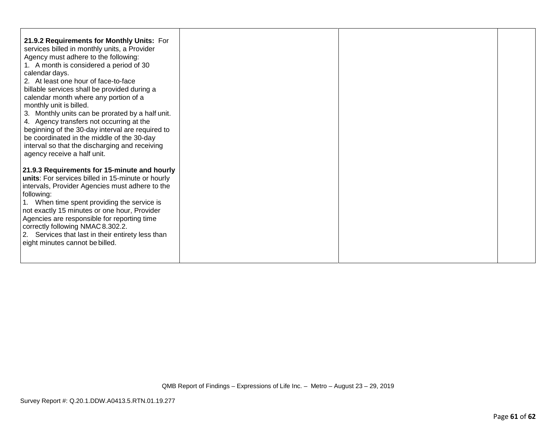| 21.9.2 Requirements for Monthly Units: For<br>services billed in monthly units, a Provider<br>Agency must adhere to the following:<br>1. A month is considered a period of 30<br>calendar days.<br>2. At least one hour of face-to-face<br>billable services shall be provided during a<br>calendar month where any portion of a<br>monthly unit is billed.<br>3. Monthly units can be prorated by a half unit.<br>4. Agency transfers not occurring at the<br>beginning of the 30-day interval are required to<br>be coordinated in the middle of the 30-day<br>interval so that the discharging and receiving<br>agency receive a half unit. |  |  |
|------------------------------------------------------------------------------------------------------------------------------------------------------------------------------------------------------------------------------------------------------------------------------------------------------------------------------------------------------------------------------------------------------------------------------------------------------------------------------------------------------------------------------------------------------------------------------------------------------------------------------------------------|--|--|
| 21.9.3 Requirements for 15-minute and hourly<br>units: For services billed in 15-minute or hourly<br>intervals, Provider Agencies must adhere to the<br>following:<br>1. When time spent providing the service is<br>not exactly 15 minutes or one hour, Provider<br>Agencies are responsible for reporting time<br>correctly following NMAC 8.302.2.<br>2. Services that last in their entirety less than<br>eight minutes cannot be billed.                                                                                                                                                                                                  |  |  |